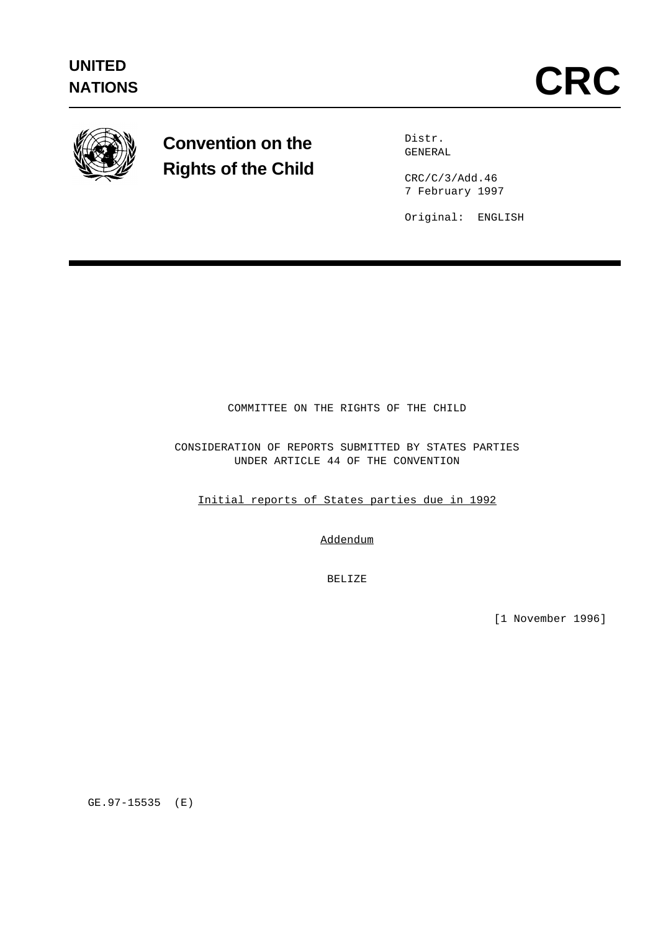

# **Convention on the Rights of the Child**

Distr. GENERAL

CRC/C/3/Add.46 7 February 1997

Original: ENGLISH

COMMITTEE ON THE RIGHTS OF THE CHILD

CONSIDERATION OF REPORTS SUBMITTED BY STATES PARTIES UNDER ARTICLE 44 OF THE CONVENTION

Initial reports of States parties due in 1992

Addendum

BELIZE

[1 November 1996]

GE.97-15535 (E)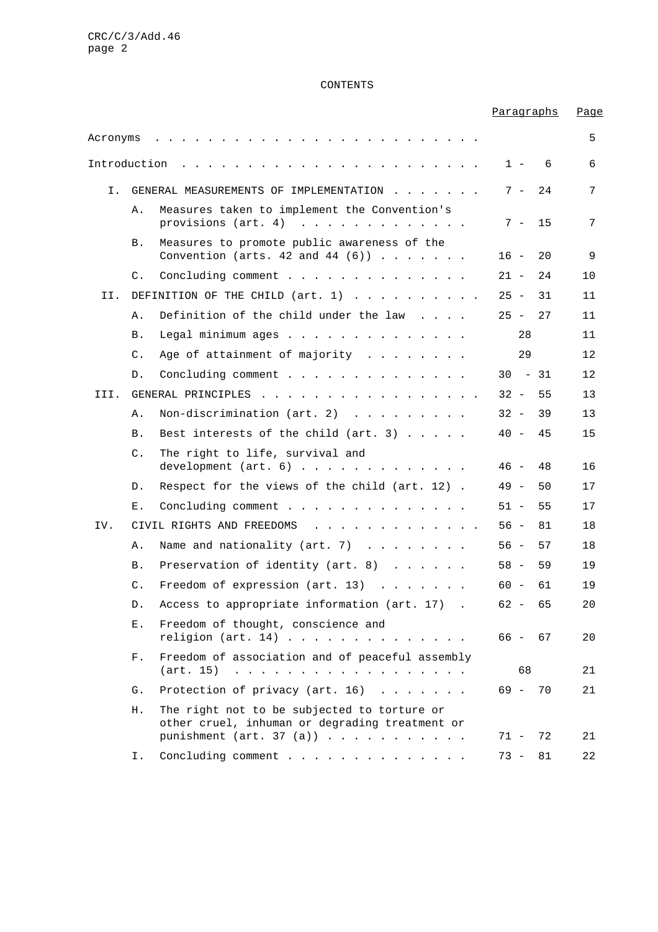#### CONTENTS

## Paragraphs Page Acronyms ......................... 5 Introduction ....................... 1 - 6 6 I. GENERAL MEASUREMENTS OF IMPLEMENTATION . . . . . . 7 - 24 7 A. Measures taken to implement the Convention's provisions  $(\text{art. } 4)$  .............. 7 - 15 7 B. Measures to promote public awareness of the Convention (arts.  $42$  and  $44$   $(6)$ )....... 16 - 20 9 C. Concluding comment . . . . . . . . . . . . . 21 - 24 10 II. DEFINITION OF THE CHILD  $(art. 1)$  . . . . . . . . . 25 - 31 11 A. Definition of the child under the law . . . . 25 - 27 11 B. Legal minimum ages . . . . . . . . . . . . . . 28 11 C. Age of attainment of majority . . . . . . . 29 12 D. Concluding comment . . . . . . . . . . . . . 30 - 31 12 III. GENERAL PRINCIPLES . . . . . . . . . . . . . . . . 32 - 55 13 A. Non-discrimination (art. 2) . . . . . . . . 32 - 39 13 B. Best interests of the child (art. 3) ..... 40 - 45 15 C. The right to life, survival and development (art. 6) . . . . . . . . . . . . . 46 - 48 16 D. Respect for the views of the child (art. 12) . 49 - 50 17 E. Concluding comment . . . . . . . . . . . . . 51 - 55 17 IV. CIVIL RIGHTS AND FREEDOMS . . . . . . . . . . . . 56 - 81 18 A. Name and nationality (art. 7) . . . . . . . . 56 - 57 18 B. Preservation of identity (art. 8) . . . . . . 58 - 59 19 C. Freedom of expression (art. 13) ....... 60 - 61 19 D. Access to appropriate information (art. 17) . 62 - 65 20 E. Freedom of thought, conscience and religion (art. 14) . . . . . . . . . . . . . . . 66 - 67 20 F. Freedom of association and of peaceful assembly (art. 15) .................. 68 21 G. Protection of privacy (art. 16) . . . . . . . 69 - 70 21 H. The right not to be subjected to torture or other cruel, inhuman or degrading treatment or punishment (art. 37 (a)) . . . . . . . . . . . 71 - 72 21 I. Concluding comment . . . . . . . . . . . . . 73 - 81 22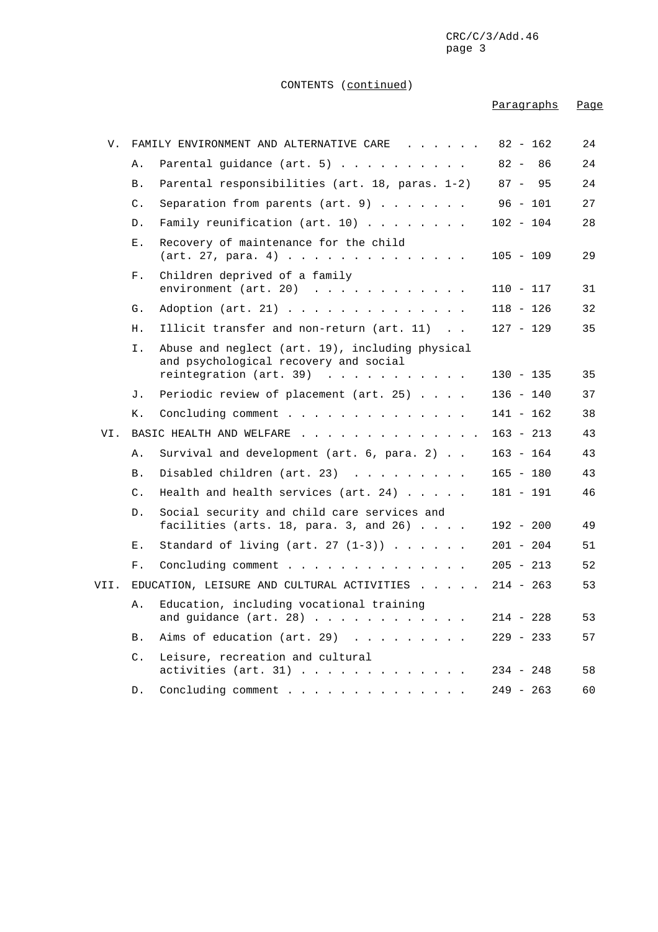#### CONTENTS (continued)

## Paragraphs Page V. FAMILY ENVIRONMENT AND ALTERNATIVE CARE . . . . . 82 - 162 24 A. Parental guidance (art. 5) . . . . . . . . . 82 - 86 24 B. Parental responsibilities (art. 18, paras. 1-2) 87 - 95 24 C. Separation from parents  $(\arctan 9)$ ....... 96 - 101 27 D. Family reunification (art. 10) . . . . . . . 102 - 104 28 E. Recovery of maintenance for the child (art. 27, para. 4) . . . . . . . . . . . . . . 105 - 109 29 F. Children deprived of a family environment (art. 20) . . . . . . . . . . . . 110 - 117 31 G. Adoption (art. 21) . . . . . . . . . . . . . 118 - 126 32 H. Illicit transfer and non-return (art. 11) . . 127 - 129 35 I. Abuse and neglect (art. 19), including physical and psychological recovery and social reintegration (art. 39) . . . . . . . . . . . 130 - 135 35 J. Periodic review of placement (art. 25) .... 136 - 140 37 K. Concluding comment . . . . . . . . . . . . . 141 - 162 38 VI. BASIC HEALTH AND WELFARE . . . . . . . . . . . . . 163 - 213 43 A. Survival and development (art. 6, para. 2) . . 163 - 164 43 B. Disabled children (art. 23) . . . . . . . . . 165 - 180 43 C. Health and health services (art. 24) ..... 181 - 191 46 D. Social security and child care services and facilities (arts. 18, para. 3, and 26) .... 192 - 200 49 E. Standard of living (art. 27  $(1-3)$ ) ..... 201 - 204 51 F. Concluding comment . . . . . . . . . . . . . 205 - 213 52 VII. EDUCATION, LEISURE AND CULTURAL ACTIVITIES ..... 214 - 263 53 A. Education, including vocational training and guidance (art. 28) . . . . . . . . . . . . 214 - 228 53 B. Aims of education (art. 29) . . . . . . . . 229 - 233 57 C. Leisure, recreation and cultural activities (art. 31) . . . . . . . . . . . . 234 - 248 58 D. Concluding comment . . . . . . . . . . . . . 249 - 263 60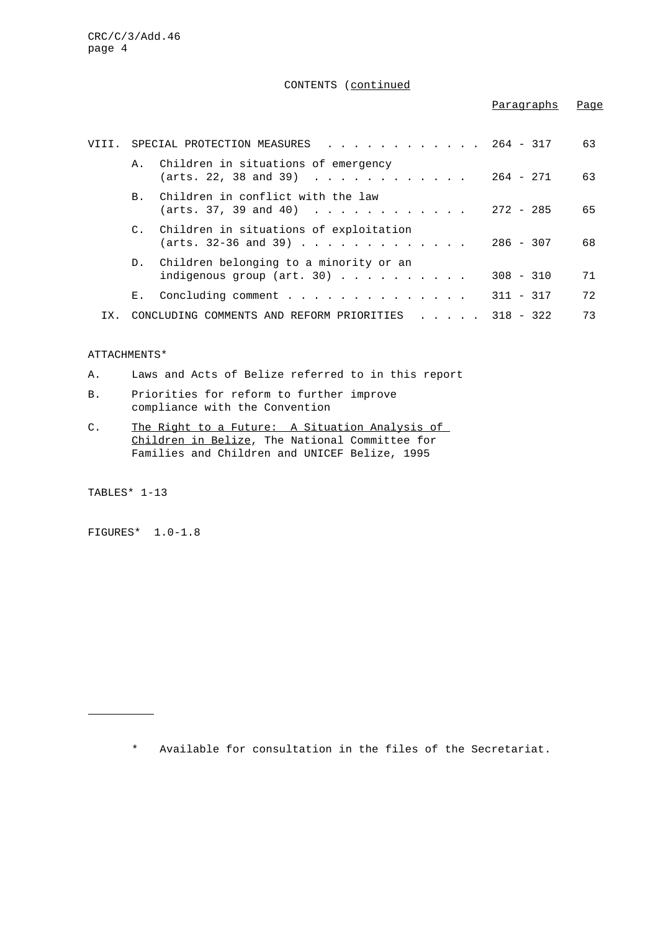## CONTENTS (continued

## Paragraphs Page

|  |                | . 264 - 317<br>VIII. SPECIAL PROTECTION MEASURES                                 |                                                   | 63 |
|--|----------------|----------------------------------------------------------------------------------|---------------------------------------------------|----|
|  |                | A. Children in situations of emergency<br>(arts. 22, 38 and 39)                  | $264 - 271$                                       | 63 |
|  |                | B. Children in conflict with the law<br>$(\text{arts. } 37, 39 \text{ and } 40)$ | $272 - 285$                                       | 65 |
|  |                | C. Children in situations of exploitation<br>(arts. 32-36 and 39)                | $286 - 307$                                       | 68 |
|  |                | D. Children belonging to a minority or an<br>indigenous group (art. 30) $\ldots$ | $308 - 310$                                       | 71 |
|  | $E_{\rm{tot}}$ |                                                                                  | $311 - 317$                                       | 72 |
|  |                | CONCLUDING COMMENTS AND REFORM PRIORITIES                                        | $\cdot$ $\cdot$ $\cdot$ $\cdot$ $\cdot$ 318 - 322 | 73 |

## ATTACHMENTS\*

- A. Laws and Acts of Belize referred to in this report
- B. Priorities for reform to further improve compliance with the Convention
- C. The Right to a Future: A Situation Analysis of Children in Belize, The National Committee for Families and Children and UNICEF Belize, 1995

TABLES\* 1-13

j.

FIGURES\* 1.0-1.8

\* Available for consultation in the files of the Secretariat.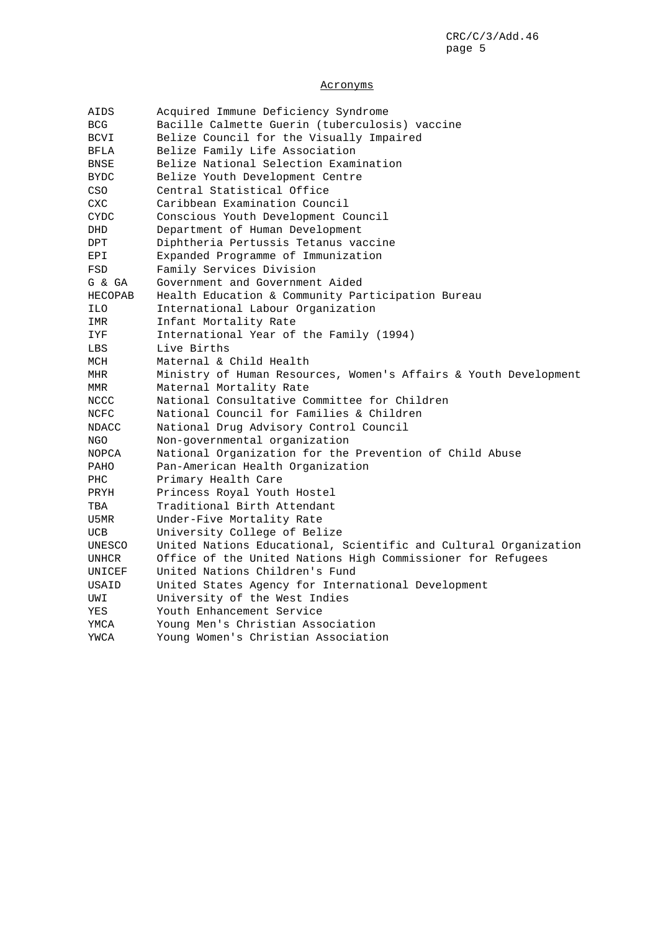## Acronyms

| AIDS    | Acquired Immune Deficiency Syndrome                              |  |
|---------|------------------------------------------------------------------|--|
| BCG     | Bacille Calmette Guerin (tuberculosis) vaccine                   |  |
| BCVI    | Belize Council for the Visually Impaired                         |  |
| BFLA    | Belize Family Life Association                                   |  |
| BNSE    | Belize National Selection Examination                            |  |
| BYDC    | Belize Youth Development Centre                                  |  |
| CSO     | Central Statistical Office                                       |  |
| CXC     | Caribbean Examination Council                                    |  |
| CYDC    | Conscious Youth Development Council                              |  |
| DHD     | Department of Human Development                                  |  |
| DPT     | Diphtheria Pertussis Tetanus vaccine                             |  |
| EPI     | Expanded Programme of Immunization                               |  |
| FSD     | Family Services Division                                         |  |
| G & GA  | Government and Government Aided                                  |  |
| HECOPAB | Health Education & Community Participation Bureau                |  |
| ILO     | International Labour Organization                                |  |
| IMR     | Infant Mortality Rate                                            |  |
| IYF     | International Year of the Family (1994)                          |  |
| LBS     | Live Births                                                      |  |
| MCH     | Maternal & Child Health                                          |  |
| MHR     | Ministry of Human Resources, Women's Affairs & Youth Development |  |
| MMR     | Maternal Mortality Rate                                          |  |
| NCCC    | National Consultative Committee for Children                     |  |
| NCFC    | National Council for Families & Children                         |  |
| NDACC   | National Drug Advisory Control Council                           |  |
| NGO     | Non-governmental organization                                    |  |
| NOPCA   | National Organization for the Prevention of Child Abuse          |  |
| PAHO    | Pan-American Health Organization                                 |  |
| PHC     | Primary Health Care                                              |  |
| PRYH    | Princess Royal Youth Hostel                                      |  |
| TBA     | Traditional Birth Attendant                                      |  |
| U5MR    | Under-Five Mortality Rate                                        |  |
| UCB     | University College of Belize                                     |  |
| UNESCO  | United Nations Educational, Scientific and Cultural Organization |  |
| UNHCR   | Office of the United Nations High Commissioner for Refugees      |  |
| UNICEF  | United Nations Children's Fund                                   |  |
| USAID   | United States Agency for International Development               |  |
| UWI     | University of the West Indies                                    |  |
| YES     | Youth Enhancement Service                                        |  |
| YMCA    | Young Men's Christian Association                                |  |
| YWCA    | Young Women's Christian Association                              |  |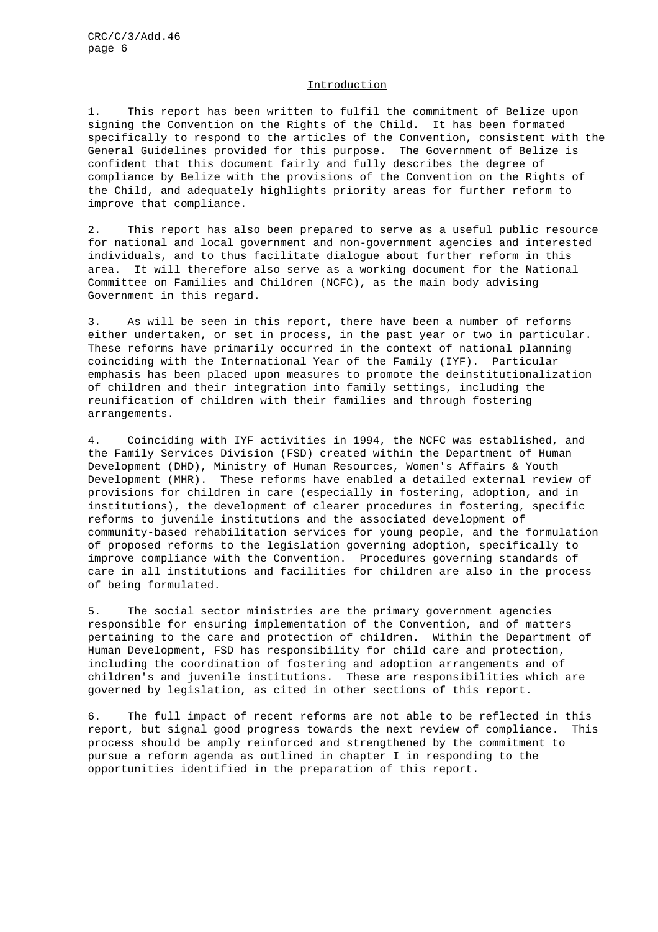## Introduction

1. This report has been written to fulfil the commitment of Belize upon signing the Convention on the Rights of the Child. It has been formated specifically to respond to the articles of the Convention, consistent with the General Guidelines provided for this purpose. The Government of Belize is confident that this document fairly and fully describes the degree of compliance by Belize with the provisions of the Convention on the Rights of the Child, and adequately highlights priority areas for further reform to improve that compliance.

2. This report has also been prepared to serve as a useful public resource for national and local government and non-government agencies and interested individuals, and to thus facilitate dialogue about further reform in this area. It will therefore also serve as a working document for the National Committee on Families and Children (NCFC), as the main body advising Government in this regard.

3. As will be seen in this report, there have been a number of reforms either undertaken, or set in process, in the past year or two in particular. These reforms have primarily occurred in the context of national planning coinciding with the International Year of the Family (IYF). Particular emphasis has been placed upon measures to promote the deinstitutionalization of children and their integration into family settings, including the reunification of children with their families and through fostering arrangements.

4. Coinciding with IYF activities in 1994, the NCFC was established, and the Family Services Division (FSD) created within the Department of Human Development (DHD), Ministry of Human Resources, Women's Affairs & Youth Development (MHR). These reforms have enabled a detailed external review of provisions for children in care (especially in fostering, adoption, and in institutions), the development of clearer procedures in fostering, specific reforms to juvenile institutions and the associated development of community-based rehabilitation services for young people, and the formulation of proposed reforms to the legislation governing adoption, specifically to improve compliance with the Convention. Procedures governing standards of care in all institutions and facilities for children are also in the process of being formulated.

5. The social sector ministries are the primary government agencies responsible for ensuring implementation of the Convention, and of matters pertaining to the care and protection of children. Within the Department of Human Development, FSD has responsibility for child care and protection, including the coordination of fostering and adoption arrangements and of children's and juvenile institutions. These are responsibilities which are governed by legislation, as cited in other sections of this report.

6. The full impact of recent reforms are not able to be reflected in this report, but signal good progress towards the next review of compliance. This process should be amply reinforced and strengthened by the commitment to pursue a reform agenda as outlined in chapter I in responding to the opportunities identified in the preparation of this report.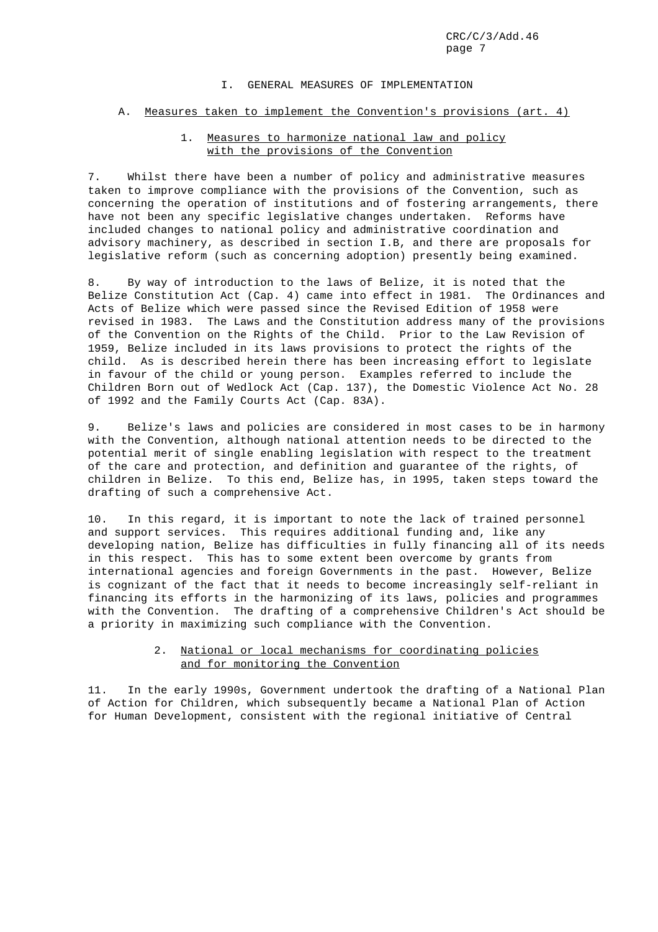#### I. GENERAL MEASURES OF IMPLEMENTATION

#### A. Measures taken to implement the Convention's provisions (art. 4)

## 1. Measures to harmonize national law and policy with the provisions of the Convention

7. Whilst there have been a number of policy and administrative measures taken to improve compliance with the provisions of the Convention, such as concerning the operation of institutions and of fostering arrangements, there have not been any specific legislative changes undertaken. Reforms have included changes to national policy and administrative coordination and advisory machinery, as described in section I.B, and there are proposals for legislative reform (such as concerning adoption) presently being examined.

8. By way of introduction to the laws of Belize, it is noted that the Belize Constitution Act (Cap. 4) came into effect in 1981. The Ordinances and Acts of Belize which were passed since the Revised Edition of 1958 were revised in 1983. The Laws and the Constitution address many of the provisions of the Convention on the Rights of the Child. Prior to the Law Revision of 1959, Belize included in its laws provisions to protect the rights of the child. As is described herein there has been increasing effort to legislate in favour of the child or young person. Examples referred to include the Children Born out of Wedlock Act (Cap. 137), the Domestic Violence Act No. 28 of 1992 and the Family Courts Act (Cap. 83A).

9. Belize's laws and policies are considered in most cases to be in harmony with the Convention, although national attention needs to be directed to the potential merit of single enabling legislation with respect to the treatment of the care and protection, and definition and guarantee of the rights, of children in Belize. To this end, Belize has, in 1995, taken steps toward the drafting of such a comprehensive Act.

10. In this regard, it is important to note the lack of trained personnel and support services. This requires additional funding and, like any developing nation, Belize has difficulties in fully financing all of its needs in this respect. This has to some extent been overcome by grants from international agencies and foreign Governments in the past. However, Belize is cognizant of the fact that it needs to become increasingly self-reliant in financing its efforts in the harmonizing of its laws, policies and programmes with the Convention. The drafting of a comprehensive Children's Act should be a priority in maximizing such compliance with the Convention.

## 2. National or local mechanisms for coordinating policies and for monitoring the Convention

11. In the early 1990s, Government undertook the drafting of a National Plan of Action for Children, which subsequently became a National Plan of Action for Human Development, consistent with the regional initiative of Central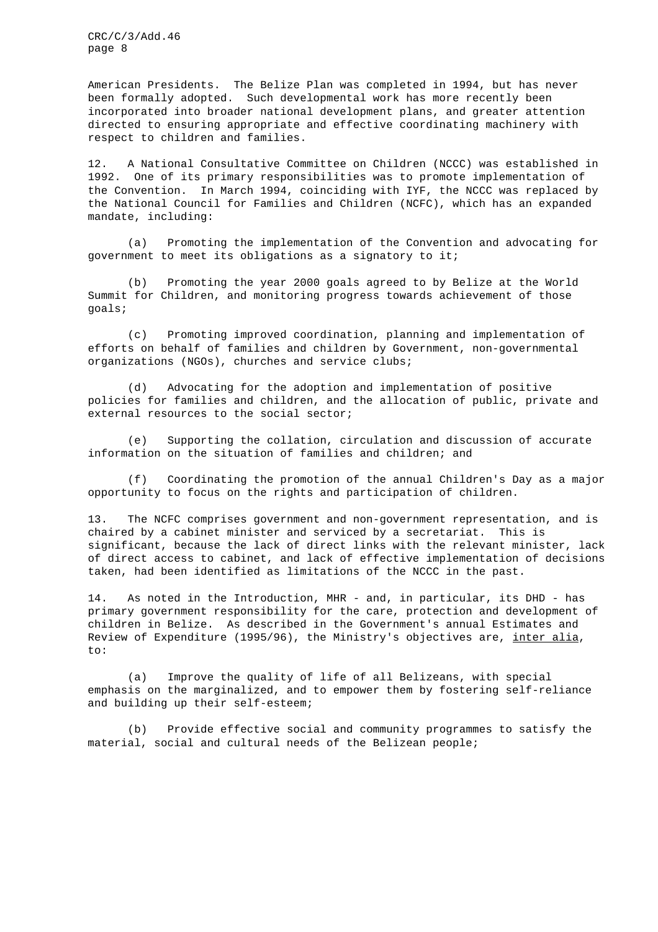American Presidents. The Belize Plan was completed in 1994, but has never been formally adopted. Such developmental work has more recently been incorporated into broader national development plans, and greater attention directed to ensuring appropriate and effective coordinating machinery with respect to children and families.

12. A National Consultative Committee on Children (NCCC) was established in 1992. One of its primary responsibilities was to promote implementation of the Convention. In March 1994, coinciding with IYF, the NCCC was replaced by the National Council for Families and Children (NCFC), which has an expanded mandate, including:

(a) Promoting the implementation of the Convention and advocating for government to meet its obligations as a signatory to it;

(b) Promoting the year 2000 goals agreed to by Belize at the World Summit for Children, and monitoring progress towards achievement of those goals;

(c) Promoting improved coordination, planning and implementation of efforts on behalf of families and children by Government, non-governmental organizations (NGOs), churches and service clubs;

(d) Advocating for the adoption and implementation of positive policies for families and children, and the allocation of public, private and external resources to the social sector;

(e) Supporting the collation, circulation and discussion of accurate information on the situation of families and children; and

(f) Coordinating the promotion of the annual Children's Day as a major opportunity to focus on the rights and participation of children.

13. The NCFC comprises government and non-government representation, and is chaired by a cabinet minister and serviced by a secretariat. This is significant, because the lack of direct links with the relevant minister, lack of direct access to cabinet, and lack of effective implementation of decisions taken, had been identified as limitations of the NCCC in the past.

14. As noted in the Introduction, MHR - and, in particular, its DHD - has primary government responsibility for the care, protection and development of children in Belize. As described in the Government's annual Estimates and Review of Expenditure (1995/96), the Ministry's objectives are, inter alia,  $t \cap$ :

(a) Improve the quality of life of all Belizeans, with special emphasis on the marginalized, and to empower them by fostering self-reliance and building up their self-esteem;

(b) Provide effective social and community programmes to satisfy the material, social and cultural needs of the Belizean people;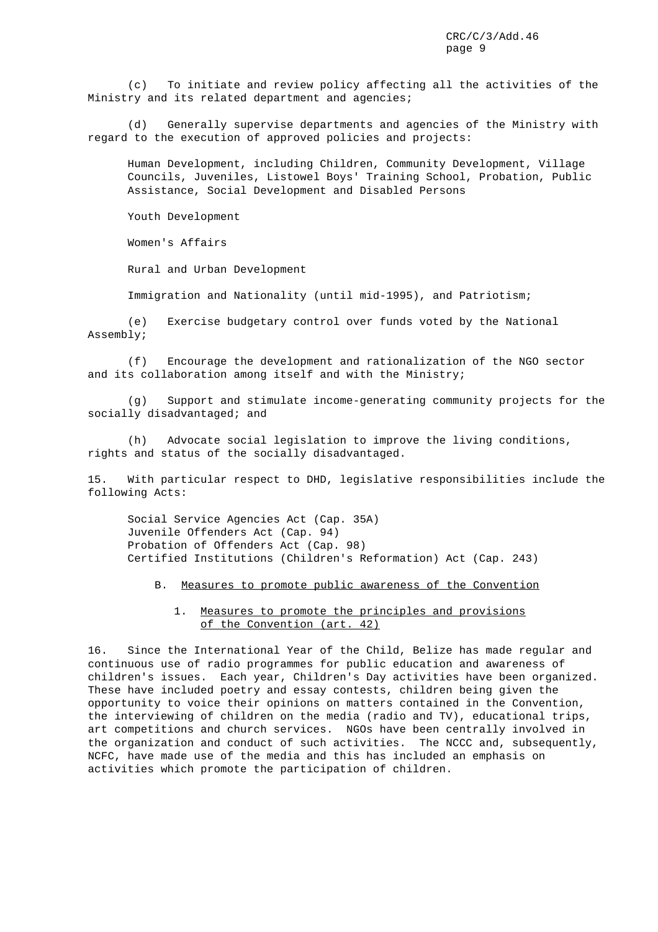(c) To initiate and review policy affecting all the activities of the Ministry and its related department and agencies;

(d) Generally supervise departments and agencies of the Ministry with regard to the execution of approved policies and projects:

Human Development, including Children, Community Development, Village Councils, Juveniles, Listowel Boys' Training School, Probation, Public Assistance, Social Development and Disabled Persons

Youth Development

Women's Affairs

Rural and Urban Development

Immigration and Nationality (until mid-1995), and Patriotism;

(e) Exercise budgetary control over funds voted by the National Assembly;

(f) Encourage the development and rationalization of the NGO sector and its collaboration among itself and with the Ministry;

(g) Support and stimulate income-generating community projects for the socially disadvantaged; and

(h) Advocate social legislation to improve the living conditions, rights and status of the socially disadvantaged.

15. With particular respect to DHD, legislative responsibilities include the following Acts:

Social Service Agencies Act (Cap. 35A) Juvenile Offenders Act (Cap. 94) Probation of Offenders Act (Cap. 98) Certified Institutions (Children's Reformation) Act (Cap. 243)

B. Measures to promote public awareness of the Convention

## 1. Measures to promote the principles and provisions of the Convention (art. 42)

16. Since the International Year of the Child, Belize has made regular and continuous use of radio programmes for public education and awareness of children's issues. Each year, Children's Day activities have been organized. These have included poetry and essay contests, children being given the opportunity to voice their opinions on matters contained in the Convention, the interviewing of children on the media (radio and TV), educational trips, art competitions and church services. NGOs have been centrally involved in the organization and conduct of such activities. The NCCC and, subsequently, NCFC, have made use of the media and this has included an emphasis on activities which promote the participation of children.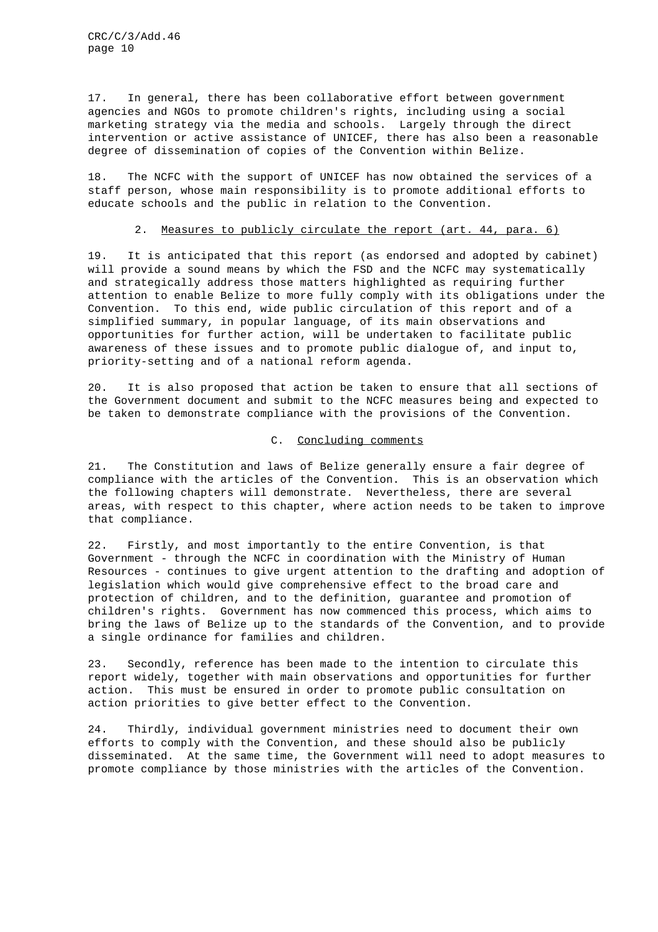17. In general, there has been collaborative effort between government agencies and NGOs to promote children's rights, including using a social marketing strategy via the media and schools. Largely through the direct intervention or active assistance of UNICEF, there has also been a reasonable degree of dissemination of copies of the Convention within Belize.

18. The NCFC with the support of UNICEF has now obtained the services of a staff person, whose main responsibility is to promote additional efforts to educate schools and the public in relation to the Convention.

## 2. Measures to publicly circulate the report (art. 44, para. 6)

19. It is anticipated that this report (as endorsed and adopted by cabinet) will provide a sound means by which the FSD and the NCFC may systematically and strategically address those matters highlighted as requiring further attention to enable Belize to more fully comply with its obligations under the Convention. To this end, wide public circulation of this report and of a simplified summary, in popular language, of its main observations and opportunities for further action, will be undertaken to facilitate public awareness of these issues and to promote public dialogue of, and input to, priority-setting and of a national reform agenda.

20. It is also proposed that action be taken to ensure that all sections of the Government document and submit to the NCFC measures being and expected to be taken to demonstrate compliance with the provisions of the Convention.

#### C. Concluding comments

21. The Constitution and laws of Belize generally ensure a fair degree of compliance with the articles of the Convention. This is an observation which the following chapters will demonstrate. Nevertheless, there are several areas, with respect to this chapter, where action needs to be taken to improve that compliance.

22. Firstly, and most importantly to the entire Convention, is that Government - through the NCFC in coordination with the Ministry of Human Resources - continues to give urgent attention to the drafting and adoption of legislation which would give comprehensive effect to the broad care and protection of children, and to the definition, guarantee and promotion of children's rights. Government has now commenced this process, which aims to bring the laws of Belize up to the standards of the Convention, and to provide a single ordinance for families and children.

23. Secondly, reference has been made to the intention to circulate this report widely, together with main observations and opportunities for further action. This must be ensured in order to promote public consultation on action priorities to give better effect to the Convention.

24. Thirdly, individual government ministries need to document their own efforts to comply with the Convention, and these should also be publicly disseminated. At the same time, the Government will need to adopt measures to promote compliance by those ministries with the articles of the Convention.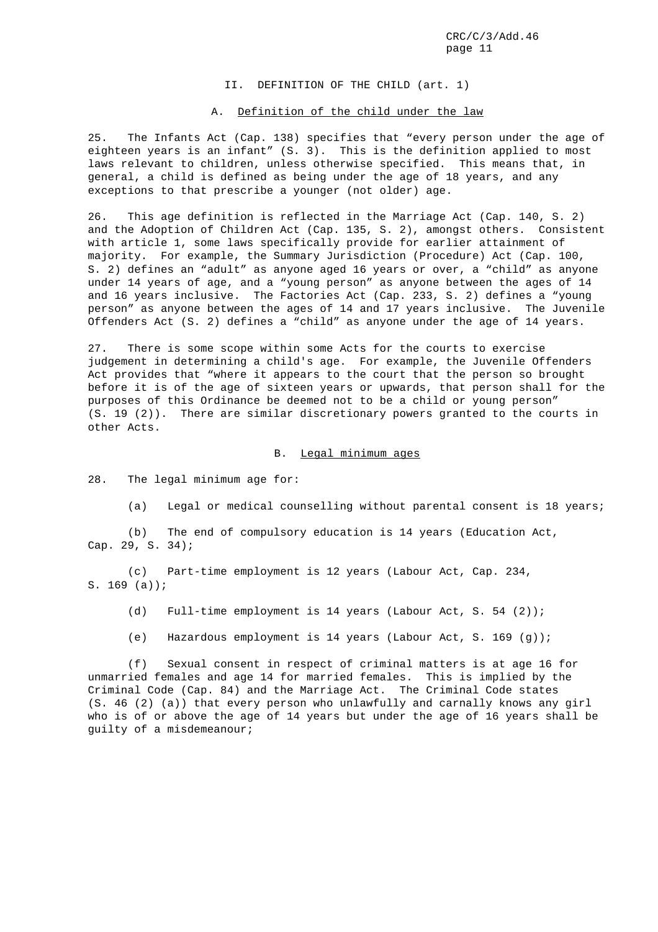II. DEFINITION OF THE CHILD (art. 1)

#### A. Definition of the child under the law

25. The Infants Act (Cap. 138) specifies that "every person under the age of eighteen years is an infant" (S. 3). This is the definition applied to most laws relevant to children, unless otherwise specified. This means that, in general, a child is defined as being under the age of 18 years, and any exceptions to that prescribe a younger (not older) age.

26. This age definition is reflected in the Marriage Act (Cap. 140, S. 2) and the Adoption of Children Act (Cap. 135, S. 2), amongst others. Consistent with article 1, some laws specifically provide for earlier attainment of majority. For example, the Summary Jurisdiction (Procedure) Act (Cap. 100, S. 2) defines an "adult" as anyone aged 16 years or over, a "child" as anyone under 14 years of age, and a "young person" as anyone between the ages of 14 and 16 years inclusive. The Factories Act (Cap. 233, S. 2) defines a "young person" as anyone between the ages of 14 and 17 years inclusive. The Juvenile Offenders Act (S. 2) defines a "child" as anyone under the age of 14 years.

27. There is some scope within some Acts for the courts to exercise judgement in determining a child's age. For example, the Juvenile Offenders Act provides that "where it appears to the court that the person so brought before it is of the age of sixteen years or upwards, that person shall for the purposes of this Ordinance be deemed not to be a child or young person" (S. 19 (2)). There are similar discretionary powers granted to the courts in other Acts.

B. Legal minimum ages

28. The legal minimum age for:

(a) Legal or medical counselling without parental consent is 18 years;

(b) The end of compulsory education is 14 years (Education Act, Cap. 29, S. 34);

(c) Part-time employment is 12 years (Labour Act, Cap. 234, S. 169 (a));

(d) Full-time employment is 14 years (Labour Act, S. 54 (2));

(e) Hazardous employment is 14 years (Labour Act, S. 169 (g));

(f) Sexual consent in respect of criminal matters is at age 16 for unmarried females and age 14 for married females. This is implied by the Criminal Code (Cap. 84) and the Marriage Act. The Criminal Code states (S. 46 (2) (a)) that every person who unlawfully and carnally knows any girl who is of or above the age of 14 years but under the age of 16 years shall be guilty of a misdemeanour;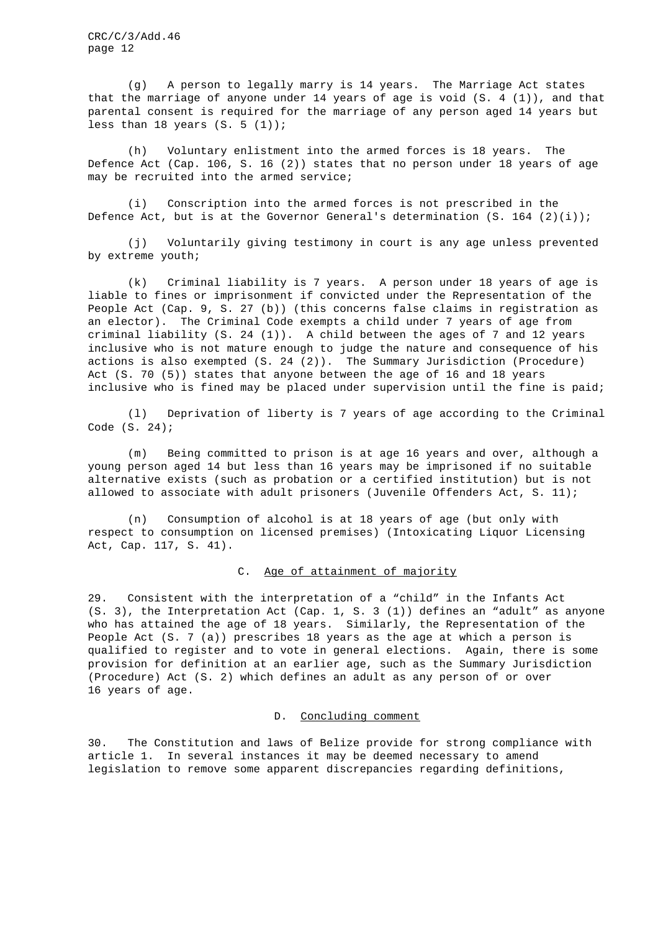(g) A person to legally marry is 14 years. The Marriage Act states that the marriage of anyone under 14 years of age is void (S. 4 (1)), and that parental consent is required for the marriage of any person aged 14 years but less than 18 years  $(S. 5 (1))$ ;

(h) Voluntary enlistment into the armed forces is 18 years. The Defence Act (Cap. 106, S. 16 (2)) states that no person under 18 years of age may be recruited into the armed service;

(i) Conscription into the armed forces is not prescribed in the Defence Act, but is at the Governor General's determination  $(S. 164 (2)(i))$ ;

(j) Voluntarily giving testimony in court is any age unless prevented by extreme youth;

(k) Criminal liability is 7 years. A person under 18 years of age is liable to fines or imprisonment if convicted under the Representation of the People Act (Cap. 9, S. 27 (b)) (this concerns false claims in registration as an elector). The Criminal Code exempts a child under 7 years of age from criminal liability (S. 24 (1)). A child between the ages of 7 and 12 years inclusive who is not mature enough to judge the nature and consequence of his actions is also exempted (S. 24 (2)). The Summary Jurisdiction (Procedure) Act (S. 70 (5)) states that anyone between the age of 16 and 18 years inclusive who is fined may be placed under supervision until the fine is paid;

(l) Deprivation of liberty is 7 years of age according to the Criminal Code (S. 24);

(m) Being committed to prison is at age 16 years and over, although a young person aged 14 but less than 16 years may be imprisoned if no suitable alternative exists (such as probation or a certified institution) but is not allowed to associate with adult prisoners (Juvenile Offenders Act, S. 11);

(n) Consumption of alcohol is at 18 years of age (but only with respect to consumption on licensed premises) (Intoxicating Liquor Licensing Act, Cap. 117, S. 41).

## C. Age of attainment of majority

29. Consistent with the interpretation of a "child" in the Infants Act (S. 3), the Interpretation Act (Cap. 1, S. 3 (1)) defines an "adult" as anyone who has attained the age of 18 years. Similarly, the Representation of the People Act (S. 7 (a)) prescribes 18 years as the age at which a person is qualified to register and to vote in general elections. Again, there is some provision for definition at an earlier age, such as the Summary Jurisdiction (Procedure) Act (S. 2) which defines an adult as any person of or over 16 years of age.

#### D. Concluding comment

30. The Constitution and laws of Belize provide for strong compliance with article 1. In several instances it may be deemed necessary to amend legislation to remove some apparent discrepancies regarding definitions,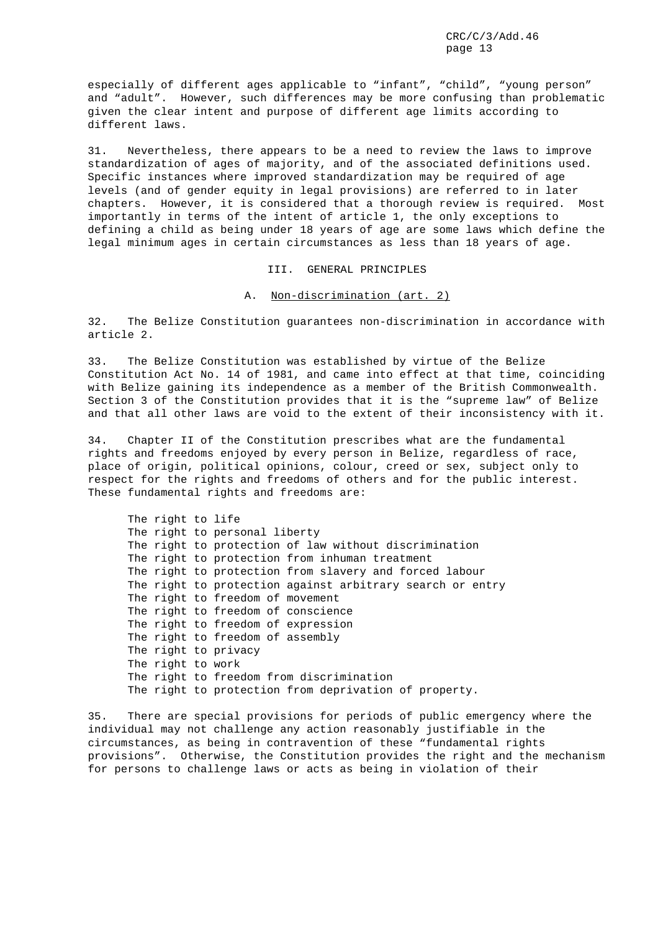especially of different ages applicable to "infant", "child", "young person" and "adult". However, such differences may be more confusing than problematic given the clear intent and purpose of different age limits according to different laws.

31. Nevertheless, there appears to be a need to review the laws to improve standardization of ages of majority, and of the associated definitions used. Specific instances where improved standardization may be required of age levels (and of gender equity in legal provisions) are referred to in later chapters. However, it is considered that a thorough review is required. Most importantly in terms of the intent of article 1, the only exceptions to defining a child as being under 18 years of age are some laws which define the legal minimum ages in certain circumstances as less than 18 years of age.

III. GENERAL PRINCIPLES

#### A. Non-discrimination (art. 2)

32. The Belize Constitution guarantees non-discrimination in accordance with article 2.

33. The Belize Constitution was established by virtue of the Belize Constitution Act No. 14 of 1981, and came into effect at that time, coinciding with Belize gaining its independence as a member of the British Commonwealth. Section 3 of the Constitution provides that it is the "supreme law" of Belize and that all other laws are void to the extent of their inconsistency with it.

34. Chapter II of the Constitution prescribes what are the fundamental rights and freedoms enjoyed by every person in Belize, regardless of race, place of origin, political opinions, colour, creed or sex, subject only to respect for the rights and freedoms of others and for the public interest. These fundamental rights and freedoms are:

The right to life The right to personal liberty The right to protection of law without discrimination The right to protection from inhuman treatment The right to protection from slavery and forced labour The right to protection against arbitrary search or entry The right to freedom of movement The right to freedom of conscience The right to freedom of expression The right to freedom of assembly The right to privacy The right to work The right to freedom from discrimination The right to protection from deprivation of property.

35. There are special provisions for periods of public emergency where the individual may not challenge any action reasonably justifiable in the circumstances, as being in contravention of these "fundamental rights provisions". Otherwise, the Constitution provides the right and the mechanism for persons to challenge laws or acts as being in violation of their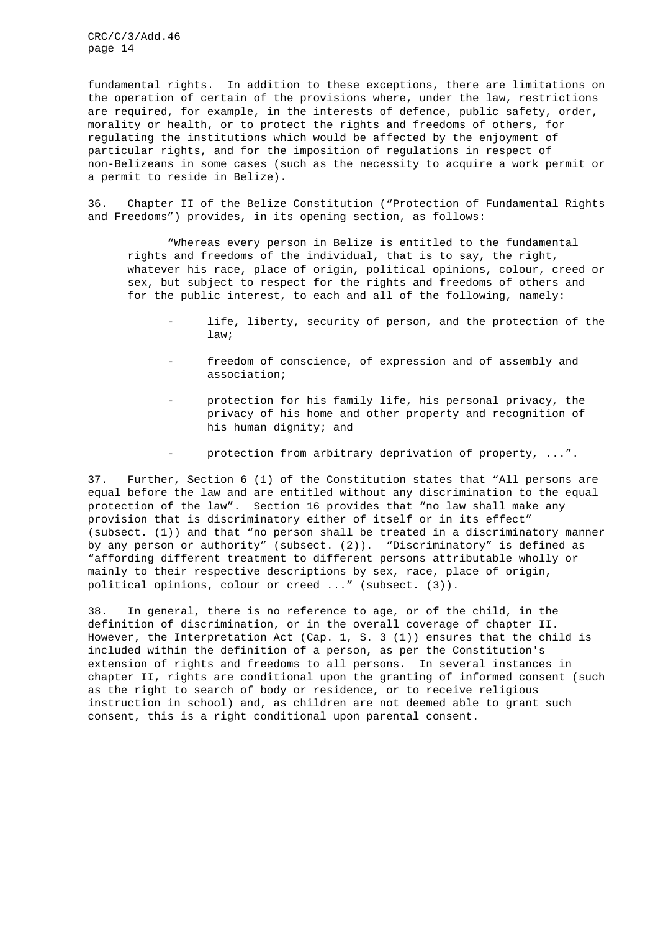fundamental rights. In addition to these exceptions, there are limitations on the operation of certain of the provisions where, under the law, restrictions are required, for example, in the interests of defence, public safety, order, morality or health, or to protect the rights and freedoms of others, for regulating the institutions which would be affected by the enjoyment of particular rights, and for the imposition of regulations in respect of non-Belizeans in some cases (such as the necessity to acquire a work permit or a permit to reside in Belize).

36. Chapter II of the Belize Constitution ("Protection of Fundamental Rights and Freedoms") provides, in its opening section, as follows:

"Whereas every person in Belize is entitled to the fundamental rights and freedoms of the individual, that is to say, the right, whatever his race, place of origin, political opinions, colour, creed or sex, but subject to respect for the rights and freedoms of others and for the public interest, to each and all of the following, namely:

- life, liberty, security of person, and the protection of the law;
- freedom of conscience, of expression and of assembly and association;
- protection for his family life, his personal privacy, the privacy of his home and other property and recognition of his human dignity; and
- protection from arbitrary deprivation of property, ...".

37. Further, Section 6 (1) of the Constitution states that "All persons are equal before the law and are entitled without any discrimination to the equal protection of the law". Section 16 provides that "no law shall make any provision that is discriminatory either of itself or in its effect" (subsect. (1)) and that "no person shall be treated in a discriminatory manner by any person or authority" (subsect. (2)). "Discriminatory" is defined as "affording different treatment to different persons attributable wholly or mainly to their respective descriptions by sex, race, place of origin, political opinions, colour or creed ..." (subsect. (3)).

38. In general, there is no reference to age, or of the child, in the definition of discrimination, or in the overall coverage of chapter II. However, the Interpretation Act (Cap. 1, S. 3 (1)) ensures that the child is included within the definition of a person, as per the Constitution's extension of rights and freedoms to all persons. In several instances in chapter II, rights are conditional upon the granting of informed consent (such as the right to search of body or residence, or to receive religious instruction in school) and, as children are not deemed able to grant such consent, this is a right conditional upon parental consent.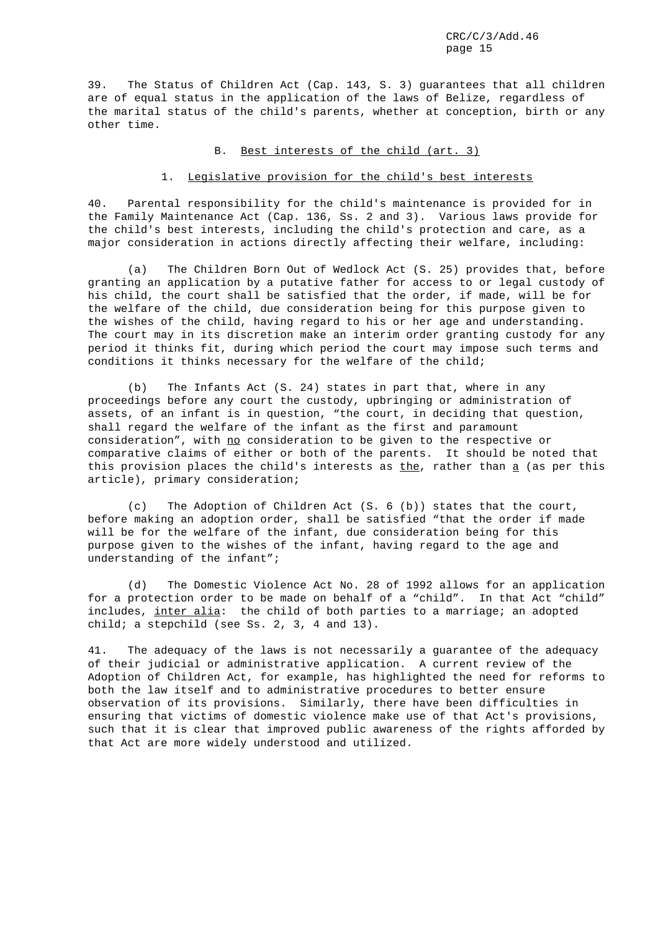39. The Status of Children Act (Cap. 143, S. 3) guarantees that all children are of equal status in the application of the laws of Belize, regardless of the marital status of the child's parents, whether at conception, birth or any other time.

## B. Best interests of the child (art. 3)

## 1. Legislative provision for the child's best interests

40. Parental responsibility for the child's maintenance is provided for in the Family Maintenance Act (Cap. 136, Ss. 2 and 3). Various laws provide for the child's best interests, including the child's protection and care, as a major consideration in actions directly affecting their welfare, including:

(a) The Children Born Out of Wedlock Act (S. 25) provides that, before granting an application by a putative father for access to or legal custody of his child, the court shall be satisfied that the order, if made, will be for the welfare of the child, due consideration being for this purpose given to the wishes of the child, having regard to his or her age and understanding. The court may in its discretion make an interim order granting custody for any period it thinks fit, during which period the court may impose such terms and conditions it thinks necessary for the welfare of the child;

(b) The Infants Act (S. 24) states in part that, where in any proceedings before any court the custody, upbringing or administration of assets, of an infant is in question, "the court, in deciding that question, shall regard the welfare of the infant as the first and paramount consideration", with no consideration to be given to the respective or comparative claims of either or both of the parents. It should be noted that this provision places the child's interests as  $the$ , rather than  $\underline{a}$  (as per this</u> article), primary consideration;

(c) The Adoption of Children Act (S. 6 (b)) states that the court, before making an adoption order, shall be satisfied "that the order if made will be for the welfare of the infant, due consideration being for this purpose given to the wishes of the infant, having regard to the age and understanding of the infant";

(d) The Domestic Violence Act No. 28 of 1992 allows for an application for a protection order to be made on behalf of a "child". In that Act "child" includes, inter alia: the child of both parties to a marriage; an adopted child; a stepchild (see Ss. 2, 3, 4 and 13).

41. The adequacy of the laws is not necessarily a guarantee of the adequacy of their judicial or administrative application. A current review of the Adoption of Children Act, for example, has highlighted the need for reforms to both the law itself and to administrative procedures to better ensure observation of its provisions. Similarly, there have been difficulties in ensuring that victims of domestic violence make use of that Act's provisions, such that it is clear that improved public awareness of the rights afforded by that Act are more widely understood and utilized.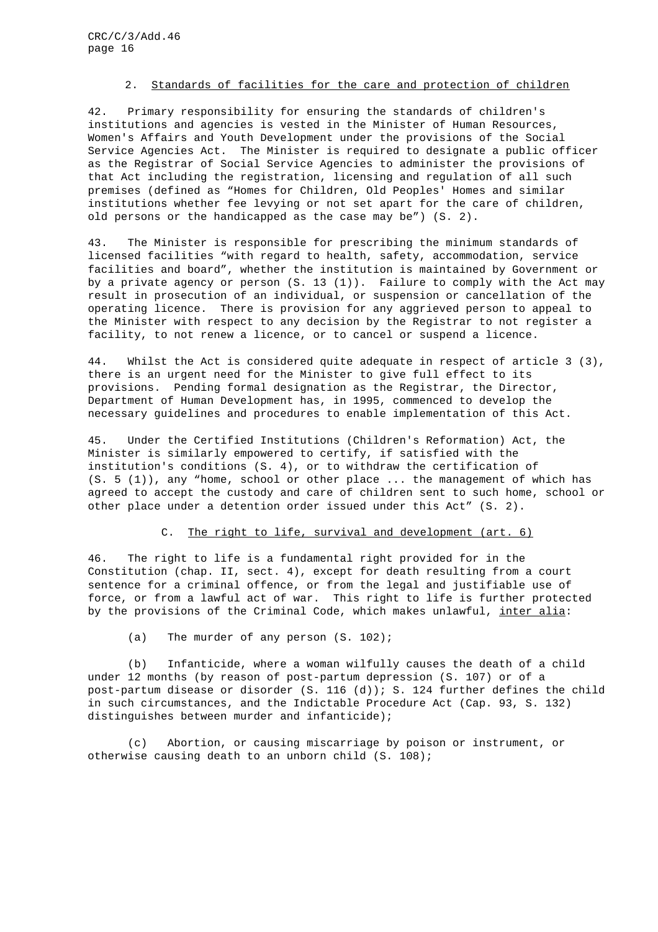## 2. Standards of facilities for the care and protection of children

42. Primary responsibility for ensuring the standards of children's institutions and agencies is vested in the Minister of Human Resources, Women's Affairs and Youth Development under the provisions of the Social Service Agencies Act. The Minister is required to designate a public officer as the Registrar of Social Service Agencies to administer the provisions of that Act including the registration, licensing and regulation of all such premises (defined as "Homes for Children, Old Peoples' Homes and similar institutions whether fee levying or not set apart for the care of children, old persons or the handicapped as the case may be") (S. 2).

43. The Minister is responsible for prescribing the minimum standards of licensed facilities "with regard to health, safety, accommodation, service facilities and board", whether the institution is maintained by Government or by a private agency or person (S. 13 (1)). Failure to comply with the Act may result in prosecution of an individual, or suspension or cancellation of the operating licence. There is provision for any aggrieved person to appeal to the Minister with respect to any decision by the Registrar to not register a facility, to not renew a licence, or to cancel or suspend a licence.

44. Whilst the Act is considered quite adequate in respect of article 3 (3), there is an urgent need for the Minister to give full effect to its provisions. Pending formal designation as the Registrar, the Director, Department of Human Development has, in 1995, commenced to develop the necessary guidelines and procedures to enable implementation of this Act.

45. Under the Certified Institutions (Children's Reformation) Act, the Minister is similarly empowered to certify, if satisfied with the institution's conditions (S. 4), or to withdraw the certification of  $(S. 5 (1))$ , any "home, school or other place ... the management of which has agreed to accept the custody and care of children sent to such home, school or other place under a detention order issued under this Act" (S. 2).

## C. The right to life, survival and development (art. 6)

46. The right to life is a fundamental right provided for in the Constitution (chap. II, sect. 4), except for death resulting from a court sentence for a criminal offence, or from the legal and justifiable use of force, or from a lawful act of war. This right to life is further protected by the provisions of the Criminal Code, which makes unlawful, inter alia:

(a) The murder of any person (S. 102);

(b) Infanticide, where a woman wilfully causes the death of a child under 12 months (by reason of post-partum depression (S. 107) or of a post-partum disease or disorder (S. 116 (d)); S. 124 further defines the child in such circumstances, and the Indictable Procedure Act (Cap. 93, S. 132) distinguishes between murder and infanticide);

(c) Abortion, or causing miscarriage by poison or instrument, or otherwise causing death to an unborn child (S. 108);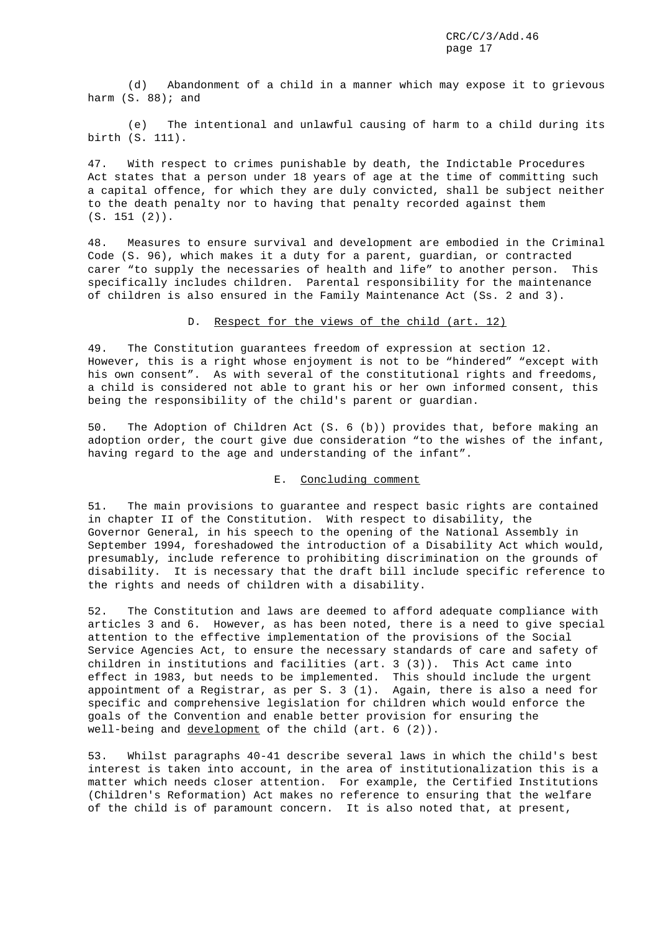(d) Abandonment of a child in a manner which may expose it to grievous harm  $(S. 88)$ ; and

(e) The intentional and unlawful causing of harm to a child during its birth (S. 111).

47. With respect to crimes punishable by death, the Indictable Procedures Act states that a person under 18 years of age at the time of committing such a capital offence, for which they are duly convicted, shall be subject neither to the death penalty nor to having that penalty recorded against them (S. 151 (2)).

48. Measures to ensure survival and development are embodied in the Criminal Code (S. 96), which makes it a duty for a parent, guardian, or contracted carer "to supply the necessaries of health and life" to another person. This specifically includes children. Parental responsibility for the maintenance of children is also ensured in the Family Maintenance Act (Ss. 2 and 3).

#### D. Respect for the views of the child (art. 12)

49. The Constitution guarantees freedom of expression at section 12. However, this is a right whose enjoyment is not to be "hindered" "except with his own consent". As with several of the constitutional rights and freedoms, a child is considered not able to grant his or her own informed consent, this being the responsibility of the child's parent or guardian.

50. The Adoption of Children Act (S. 6 (b)) provides that, before making an adoption order, the court give due consideration "to the wishes of the infant, having regard to the age and understanding of the infant".

## E. Concluding comment

51. The main provisions to guarantee and respect basic rights are contained in chapter II of the Constitution. With respect to disability, the Governor General, in his speech to the opening of the National Assembly in September 1994, foreshadowed the introduction of a Disability Act which would, presumably, include reference to prohibiting discrimination on the grounds of disability. It is necessary that the draft bill include specific reference to the rights and needs of children with a disability.

52. The Constitution and laws are deemed to afford adequate compliance with articles 3 and 6. However, as has been noted, there is a need to give special attention to the effective implementation of the provisions of the Social Service Agencies Act, to ensure the necessary standards of care and safety of children in institutions and facilities (art. 3 (3)). This Act came into effect in 1983, but needs to be implemented. This should include the urgent appointment of a Registrar, as per S. 3 (1). Again, there is also a need for specific and comprehensive legislation for children which would enforce the goals of the Convention and enable better provision for ensuring the well-being and development of the child (art. 6 (2)).

53. Whilst paragraphs 40-41 describe several laws in which the child's best interest is taken into account, in the area of institutionalization this is a matter which needs closer attention. For example, the Certified Institutions (Children's Reformation) Act makes no reference to ensuring that the welfare of the child is of paramount concern. It is also noted that, at present,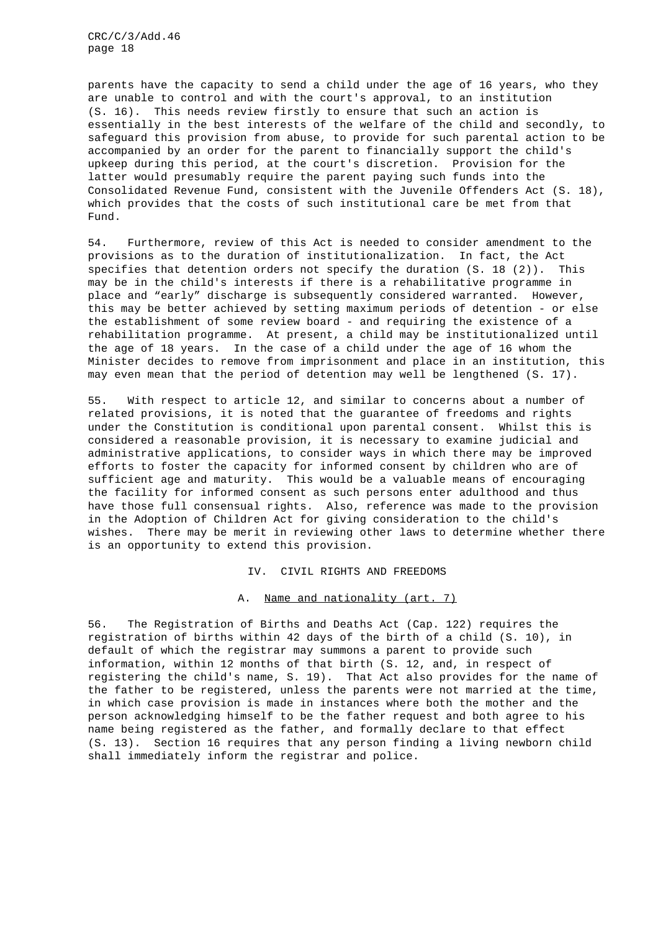parents have the capacity to send a child under the age of 16 years, who they are unable to control and with the court's approval, to an institution (S. 16). This needs review firstly to ensure that such an action is essentially in the best interests of the welfare of the child and secondly, to safeguard this provision from abuse, to provide for such parental action to be accompanied by an order for the parent to financially support the child's upkeep during this period, at the court's discretion. Provision for the latter would presumably require the parent paying such funds into the Consolidated Revenue Fund, consistent with the Juvenile Offenders Act (S. 18), which provides that the costs of such institutional care be met from that Fund.

54. Furthermore, review of this Act is needed to consider amendment to the provisions as to the duration of institutionalization. In fact, the Act specifies that detention orders not specify the duration (S. 18 (2)). This may be in the child's interests if there is a rehabilitative programme in place and "early" discharge is subsequently considered warranted. However, this may be better achieved by setting maximum periods of detention - or else the establishment of some review board - and requiring the existence of a rehabilitation programme. At present, a child may be institutionalized until the age of 18 years. In the case of a child under the age of 16 whom the Minister decides to remove from imprisonment and place in an institution, this may even mean that the period of detention may well be lengthened (S. 17).

55. With respect to article 12, and similar to concerns about a number of related provisions, it is noted that the guarantee of freedoms and rights under the Constitution is conditional upon parental consent. Whilst this is considered a reasonable provision, it is necessary to examine judicial and administrative applications, to consider ways in which there may be improved efforts to foster the capacity for informed consent by children who are of sufficient age and maturity. This would be a valuable means of encouraging the facility for informed consent as such persons enter adulthood and thus have those full consensual rights. Also, reference was made to the provision in the Adoption of Children Act for giving consideration to the child's wishes. There may be merit in reviewing other laws to determine whether there is an opportunity to extend this provision.

IV. CIVIL RIGHTS AND FREEDOMS

#### A. Name and nationality (art. 7)

56. The Registration of Births and Deaths Act (Cap. 122) requires the registration of births within 42 days of the birth of a child (S. 10), in default of which the registrar may summons a parent to provide such information, within 12 months of that birth (S. 12, and, in respect of registering the child's name, S. 19). That Act also provides for the name of the father to be registered, unless the parents were not married at the time, in which case provision is made in instances where both the mother and the person acknowledging himself to be the father request and both agree to his name being registered as the father, and formally declare to that effect (S. 13). Section 16 requires that any person finding a living newborn child shall immediately inform the registrar and police.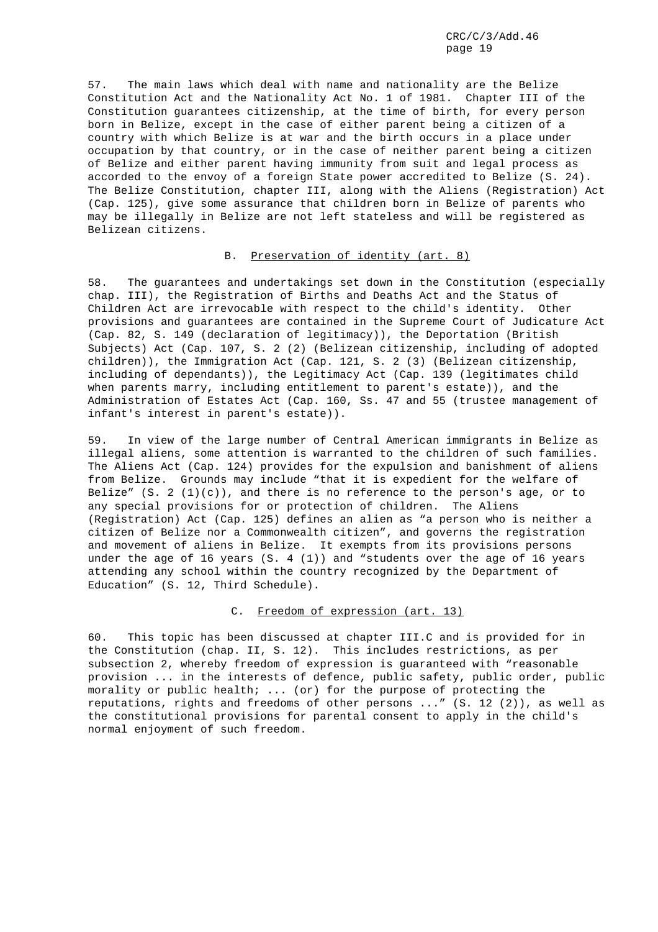57. The main laws which deal with name and nationality are the Belize Constitution Act and the Nationality Act No. 1 of 1981. Chapter III of the Constitution guarantees citizenship, at the time of birth, for every person born in Belize, except in the case of either parent being a citizen of a country with which Belize is at war and the birth occurs in a place under occupation by that country, or in the case of neither parent being a citizen of Belize and either parent having immunity from suit and legal process as accorded to the envoy of a foreign State power accredited to Belize (S. 24). The Belize Constitution, chapter III, along with the Aliens (Registration) Act (Cap. 125), give some assurance that children born in Belize of parents who may be illegally in Belize are not left stateless and will be registered as Belizean citizens.

## B. Preservation of identity (art. 8)

58. The guarantees and undertakings set down in the Constitution (especially chap. III), the Registration of Births and Deaths Act and the Status of Children Act are irrevocable with respect to the child's identity. Other provisions and guarantees are contained in the Supreme Court of Judicature Act (Cap. 82, S. 149 (declaration of legitimacy)), the Deportation (British Subjects) Act (Cap. 107, S. 2 (2) (Belizean citizenship, including of adopted children)), the Immigration Act (Cap. 121, S. 2 (3) (Belizean citizenship, including of dependants)), the Legitimacy Act (Cap. 139 (legitimates child when parents marry, including entitlement to parent's estate)), and the Administration of Estates Act (Cap. 160, Ss. 47 and 55 (trustee management of infant's interest in parent's estate)).

59. In view of the large number of Central American immigrants in Belize as illegal aliens, some attention is warranted to the children of such families. The Aliens Act (Cap. 124) provides for the expulsion and banishment of aliens from Belize. Grounds may include "that it is expedient for the welfare of Belize"  $(S. 2 (1)(c))$ , and there is no reference to the person's age, or to any special provisions for or protection of children. The Aliens (Registration) Act (Cap. 125) defines an alien as "a person who is neither a citizen of Belize nor a Commonwealth citizen", and governs the registration and movement of aliens in Belize. It exempts from its provisions persons under the age of 16 years  $(S. 4 (1))$  and "students over the age of 16 years attending any school within the country recognized by the Department of Education" (S. 12, Third Schedule).

## C. Freedom of expression (art. 13)

60. This topic has been discussed at chapter III.C and is provided for in the Constitution (chap. II, S. 12). This includes restrictions, as per subsection 2, whereby freedom of expression is guaranteed with "reasonable provision ... in the interests of defence, public safety, public order, public morality or public health; ... (or) for the purpose of protecting the reputations, rights and freedoms of other persons ..." (S. 12 (2)), as well as the constitutional provisions for parental consent to apply in the child's normal enjoyment of such freedom.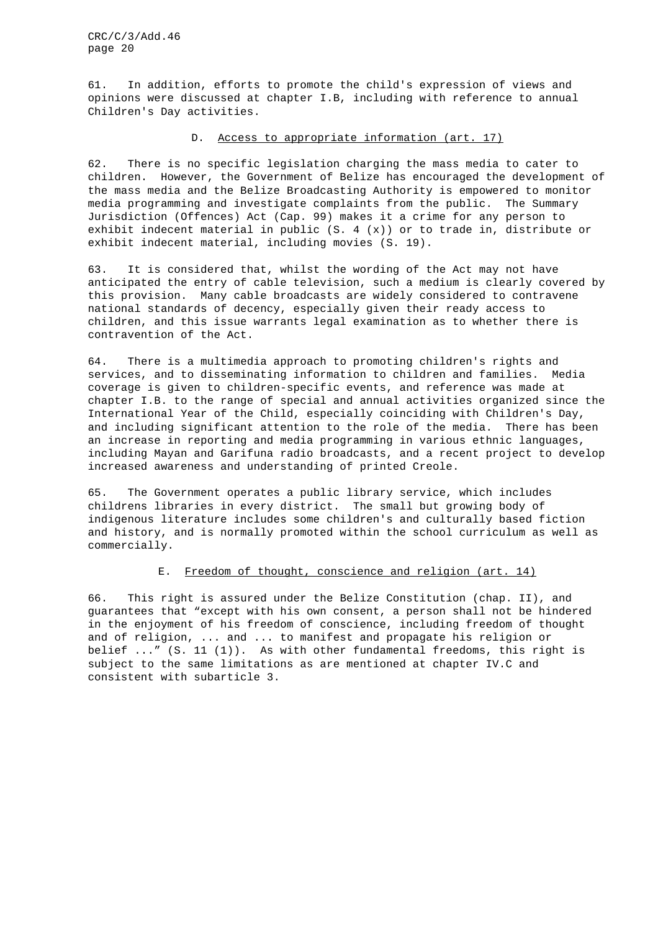61. In addition, efforts to promote the child's expression of views and opinions were discussed at chapter I.B, including with reference to annual Children's Day activities.

## D. Access to appropriate information (art. 17)

62. There is no specific legislation charging the mass media to cater to children. However, the Government of Belize has encouraged the development of the mass media and the Belize Broadcasting Authority is empowered to monitor media programming and investigate complaints from the public. The Summary Jurisdiction (Offences) Act (Cap. 99) makes it a crime for any person to exhibit indecent material in public  $(S. 4 (x))$  or to trade in, distribute or exhibit indecent material, including movies (S. 19).

63. It is considered that, whilst the wording of the Act may not have anticipated the entry of cable television, such a medium is clearly covered by this provision. Many cable broadcasts are widely considered to contravene national standards of decency, especially given their ready access to children, and this issue warrants legal examination as to whether there is contravention of the Act.

64. There is a multimedia approach to promoting children's rights and services, and to disseminating information to children and families. Media coverage is given to children-specific events, and reference was made at chapter I.B. to the range of special and annual activities organized since the International Year of the Child, especially coinciding with Children's Day, and including significant attention to the role of the media. There has been an increase in reporting and media programming in various ethnic languages, including Mayan and Garifuna radio broadcasts, and a recent project to develop increased awareness and understanding of printed Creole.

65. The Government operates a public library service, which includes childrens libraries in every district. The small but growing body of indigenous literature includes some children's and culturally based fiction and history, and is normally promoted within the school curriculum as well as commercially.

## E. Freedom of thought, conscience and religion (art. 14)

66. This right is assured under the Belize Constitution (chap. II), and guarantees that "except with his own consent, a person shall not be hindered in the enjoyment of his freedom of conscience, including freedom of thought and of religion, ... and ... to manifest and propagate his religion or belief  $\ldots$  " (S. 11 (1)). As with other fundamental freedoms, this right is subject to the same limitations as are mentioned at chapter IV.C and consistent with subarticle 3.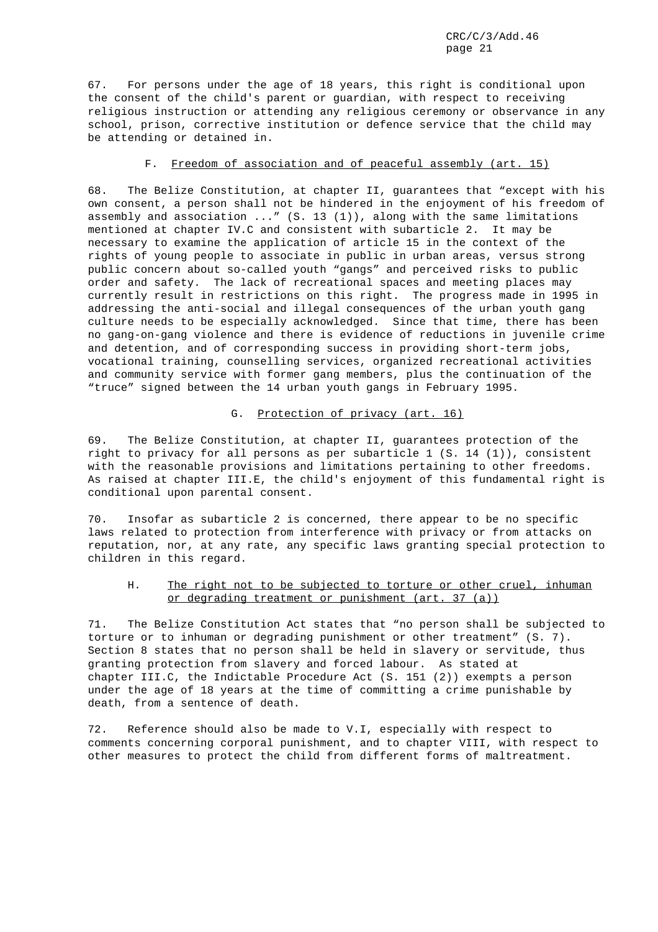67. For persons under the age of 18 years, this right is conditional upon the consent of the child's parent or guardian, with respect to receiving religious instruction or attending any religious ceremony or observance in any school, prison, corrective institution or defence service that the child may be attending or detained in.

## F. Freedom of association and of peaceful assembly (art. 15)

68. The Belize Constitution, at chapter II, guarantees that "except with his own consent, a person shall not be hindered in the enjoyment of his freedom of assembly and association ..." (S. 13 (1)), along with the same limitations mentioned at chapter IV.C and consistent with subarticle 2. It may be necessary to examine the application of article 15 in the context of the rights of young people to associate in public in urban areas, versus strong public concern about so-called youth "gangs" and perceived risks to public order and safety. The lack of recreational spaces and meeting places may currently result in restrictions on this right. The progress made in 1995 in addressing the anti-social and illegal consequences of the urban youth gang culture needs to be especially acknowledged. Since that time, there has been no gang-on-gang violence and there is evidence of reductions in juvenile crime and detention, and of corresponding success in providing short-term jobs, vocational training, counselling services, organized recreational activities and community service with former gang members, plus the continuation of the "truce" signed between the 14 urban youth gangs in February 1995.

## G. Protection of privacy (art. 16)

69. The Belize Constitution, at chapter II, guarantees protection of the right to privacy for all persons as per subarticle 1 (S. 14 (1)), consistent with the reasonable provisions and limitations pertaining to other freedoms. As raised at chapter III.E, the child's enjoyment of this fundamental right is conditional upon parental consent.

70. Insofar as subarticle 2 is concerned, there appear to be no specific laws related to protection from interference with privacy or from attacks on reputation, nor, at any rate, any specific laws granting special protection to children in this regard.

## H. The right not to be subjected to torture or other cruel, inhuman or degrading treatment or punishment (art. 37 (a))

71. The Belize Constitution Act states that "no person shall be subjected to torture or to inhuman or degrading punishment or other treatment" (S. 7). Section 8 states that no person shall be held in slavery or servitude, thus granting protection from slavery and forced labour. As stated at chapter III.C, the Indictable Procedure Act (S. 151 (2)) exempts a person under the age of 18 years at the time of committing a crime punishable by death, from a sentence of death.

72. Reference should also be made to V.I, especially with respect to comments concerning corporal punishment, and to chapter VIII, with respect to other measures to protect the child from different forms of maltreatment.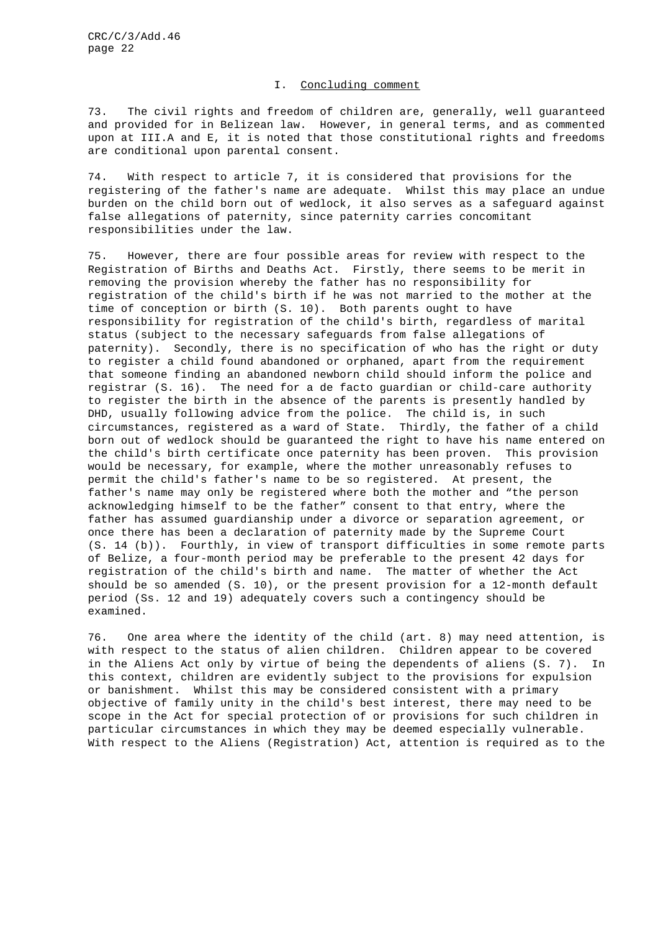## I. Concluding comment

73. The civil rights and freedom of children are, generally, well guaranteed and provided for in Belizean law. However, in general terms, and as commented upon at III.A and E, it is noted that those constitutional rights and freedoms are conditional upon parental consent.

74. With respect to article 7, it is considered that provisions for the registering of the father's name are adequate. Whilst this may place an undue burden on the child born out of wedlock, it also serves as a safeguard against false allegations of paternity, since paternity carries concomitant responsibilities under the law.

75. However, there are four possible areas for review with respect to the Registration of Births and Deaths Act. Firstly, there seems to be merit in removing the provision whereby the father has no responsibility for registration of the child's birth if he was not married to the mother at the time of conception or birth (S. 10). Both parents ought to have responsibility for registration of the child's birth, regardless of marital status (subject to the necessary safeguards from false allegations of paternity). Secondly, there is no specification of who has the right or duty to register a child found abandoned or orphaned, apart from the requirement that someone finding an abandoned newborn child should inform the police and registrar (S. 16). The need for a de facto guardian or child-care authority to register the birth in the absence of the parents is presently handled by DHD, usually following advice from the police. The child is, in such circumstances, registered as a ward of State. Thirdly, the father of a child born out of wedlock should be guaranteed the right to have his name entered on the child's birth certificate once paternity has been proven. This provision would be necessary, for example, where the mother unreasonably refuses to permit the child's father's name to be so registered. At present, the father's name may only be registered where both the mother and "the person acknowledging himself to be the father" consent to that entry, where the father has assumed guardianship under a divorce or separation agreement, or once there has been a declaration of paternity made by the Supreme Court (S. 14 (b)). Fourthly, in view of transport difficulties in some remote parts of Belize, a four-month period may be preferable to the present 42 days for registration of the child's birth and name. The matter of whether the Act should be so amended (S. 10), or the present provision for a 12-month default period (Ss. 12 and 19) adequately covers such a contingency should be examined.

76. One area where the identity of the child (art. 8) may need attention, is with respect to the status of alien children. Children appear to be covered in the Aliens Act only by virtue of being the dependents of aliens (S. 7). In this context, children are evidently subject to the provisions for expulsion or banishment. Whilst this may be considered consistent with a primary objective of family unity in the child's best interest, there may need to be scope in the Act for special protection of or provisions for such children in particular circumstances in which they may be deemed especially vulnerable. With respect to the Aliens (Registration) Act, attention is required as to the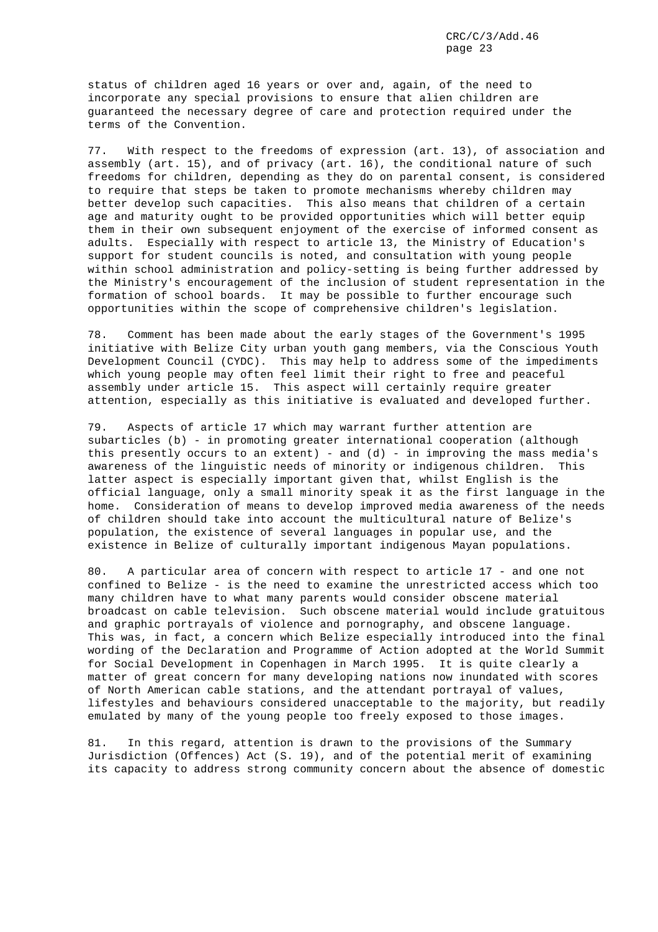status of children aged 16 years or over and, again, of the need to incorporate any special provisions to ensure that alien children are guaranteed the necessary degree of care and protection required under the terms of the Convention.

77. With respect to the freedoms of expression (art. 13), of association and assembly (art. 15), and of privacy (art. 16), the conditional nature of such freedoms for children, depending as they do on parental consent, is considered to require that steps be taken to promote mechanisms whereby children may better develop such capacities. This also means that children of a certain age and maturity ought to be provided opportunities which will better equip them in their own subsequent enjoyment of the exercise of informed consent as adults. Especially with respect to article 13, the Ministry of Education's support for student councils is noted, and consultation with young people within school administration and policy-setting is being further addressed by the Ministry's encouragement of the inclusion of student representation in the formation of school boards. It may be possible to further encourage such opportunities within the scope of comprehensive children's legislation.

78. Comment has been made about the early stages of the Government's 1995 initiative with Belize City urban youth gang members, via the Conscious Youth Development Council (CYDC). This may help to address some of the impediments which young people may often feel limit their right to free and peaceful assembly under article 15. This aspect will certainly require greater attention, especially as this initiative is evaluated and developed further.

79. Aspects of article 17 which may warrant further attention are subarticles (b) - in promoting greater international cooperation (although this presently occurs to an extent) - and  $(d)$  - in improving the mass media's awareness of the linguistic needs of minority or indigenous children. This latter aspect is especially important given that, whilst English is the official language, only a small minority speak it as the first language in the home. Consideration of means to develop improved media awareness of the needs of children should take into account the multicultural nature of Belize's population, the existence of several languages in popular use, and the existence in Belize of culturally important indigenous Mayan populations.

80. A particular area of concern with respect to article 17 - and one not confined to Belize - is the need to examine the unrestricted access which too many children have to what many parents would consider obscene material broadcast on cable television. Such obscene material would include gratuitous and graphic portrayals of violence and pornography, and obscene language. This was, in fact, a concern which Belize especially introduced into the final wording of the Declaration and Programme of Action adopted at the World Summit for Social Development in Copenhagen in March 1995. It is quite clearly a matter of great concern for many developing nations now inundated with scores of North American cable stations, and the attendant portrayal of values, lifestyles and behaviours considered unacceptable to the majority, but readily emulated by many of the young people too freely exposed to those images.

81. In this regard, attention is drawn to the provisions of the Summary Jurisdiction (Offences) Act (S. 19), and of the potential merit of examining its capacity to address strong community concern about the absence of domestic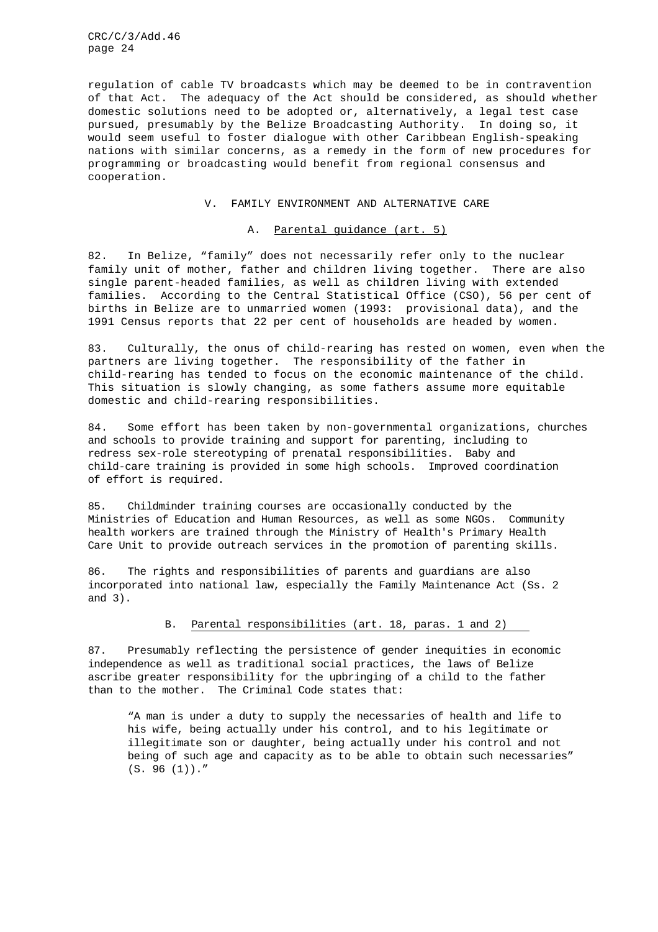regulation of cable TV broadcasts which may be deemed to be in contravention of that Act. The adequacy of the Act should be considered, as should whether domestic solutions need to be adopted or, alternatively, a legal test case pursued, presumably by the Belize Broadcasting Authority. In doing so, it would seem useful to foster dialogue with other Caribbean English-speaking nations with similar concerns, as a remedy in the form of new procedures for programming or broadcasting would benefit from regional consensus and cooperation.

## V. FAMILY ENVIRONMENT AND ALTERNATIVE CARE

## A. Parental guidance (art. 5)

82. In Belize, "family" does not necessarily refer only to the nuclear family unit of mother, father and children living together. There are also single parent-headed families, as well as children living with extended families. According to the Central Statistical Office (CSO), 56 per cent of births in Belize are to unmarried women (1993: provisional data), and the 1991 Census reports that 22 per cent of households are headed by women.

83. Culturally, the onus of child-rearing has rested on women, even when the partners are living together. The responsibility of the father in child-rearing has tended to focus on the economic maintenance of the child. This situation is slowly changing, as some fathers assume more equitable domestic and child-rearing responsibilities.

84. Some effort has been taken by non-governmental organizations, churches and schools to provide training and support for parenting, including to redress sex-role stereotyping of prenatal responsibilities. Baby and child-care training is provided in some high schools. Improved coordination of effort is required.

85. Childminder training courses are occasionally conducted by the Ministries of Education and Human Resources, as well as some NGOs. Community health workers are trained through the Ministry of Health's Primary Health Care Unit to provide outreach services in the promotion of parenting skills.

86. The rights and responsibilities of parents and guardians are also incorporated into national law, especially the Family Maintenance Act (Ss. 2 and 3).

## B. Parental responsibilities (art. 18, paras. 1 and 2)

87. Presumably reflecting the persistence of gender inequities in economic independence as well as traditional social practices, the laws of Belize ascribe greater responsibility for the upbringing of a child to the father than to the mother. The Criminal Code states that:

"A man is under a duty to supply the necessaries of health and life to his wife, being actually under his control, and to his legitimate or illegitimate son or daughter, being actually under his control and not being of such age and capacity as to be able to obtain such necessaries"  $(S. 96 (1))$ ."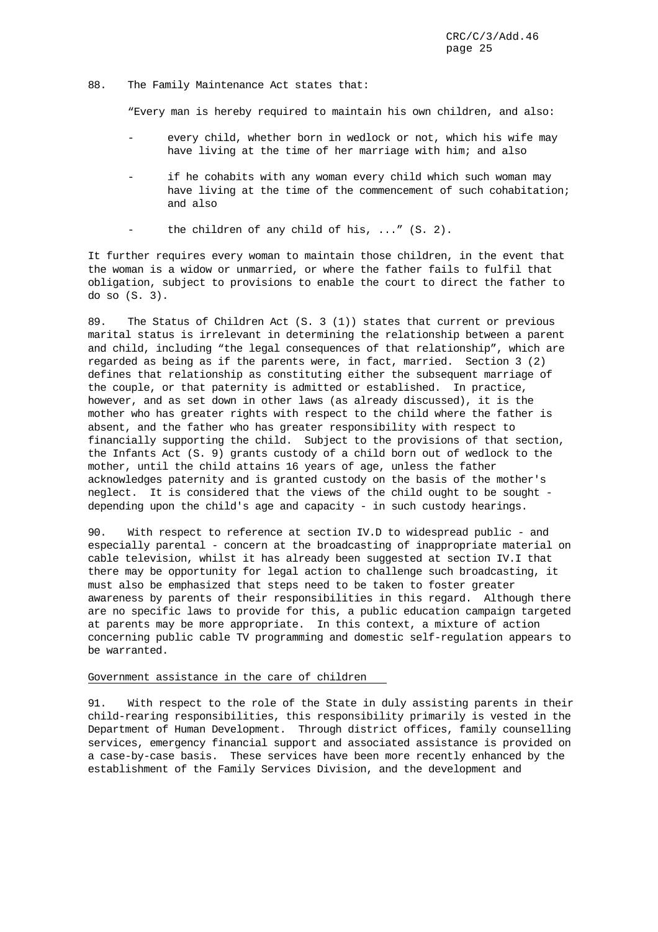#### 88. The Family Maintenance Act states that:

"Every man is hereby required to maintain his own children, and also:

- every child, whether born in wedlock or not, which his wife may have living at the time of her marriage with him; and also
- if he cohabits with any woman every child which such woman may have living at the time of the commencement of such cohabitation; and also
- the children of any child of his,  $\ldots$  (S. 2).

It further requires every woman to maintain those children, in the event that the woman is a widow or unmarried, or where the father fails to fulfil that obligation, subject to provisions to enable the court to direct the father to do so (S. 3).

89. The Status of Children Act (S. 3 (1)) states that current or previous marital status is irrelevant in determining the relationship between a parent and child, including "the legal consequences of that relationship", which are regarded as being as if the parents were, in fact, married. Section 3 (2) defines that relationship as constituting either the subsequent marriage of the couple, or that paternity is admitted or established. In practice, however, and as set down in other laws (as already discussed), it is the mother who has greater rights with respect to the child where the father is absent, and the father who has greater responsibility with respect to financially supporting the child. Subject to the provisions of that section, the Infants Act (S. 9) grants custody of a child born out of wedlock to the mother, until the child attains 16 years of age, unless the father acknowledges paternity and is granted custody on the basis of the mother's neglect. It is considered that the views of the child ought to be sought depending upon the child's age and capacity - in such custody hearings.

90. With respect to reference at section IV.D to widespread public - and especially parental - concern at the broadcasting of inappropriate material on cable television, whilst it has already been suggested at section IV.I that there may be opportunity for legal action to challenge such broadcasting, it must also be emphasized that steps need to be taken to foster greater awareness by parents of their responsibilities in this regard. Although there are no specific laws to provide for this, a public education campaign targeted at parents may be more appropriate. In this context, a mixture of action concerning public cable TV programming and domestic self-regulation appears to be warranted.

#### Government assistance in the care of children

91. With respect to the role of the State in duly assisting parents in their child-rearing responsibilities, this responsibility primarily is vested in the Department of Human Development. Through district offices, family counselling services, emergency financial support and associated assistance is provided on a case-by-case basis. These services have been more recently enhanced by the establishment of the Family Services Division, and the development and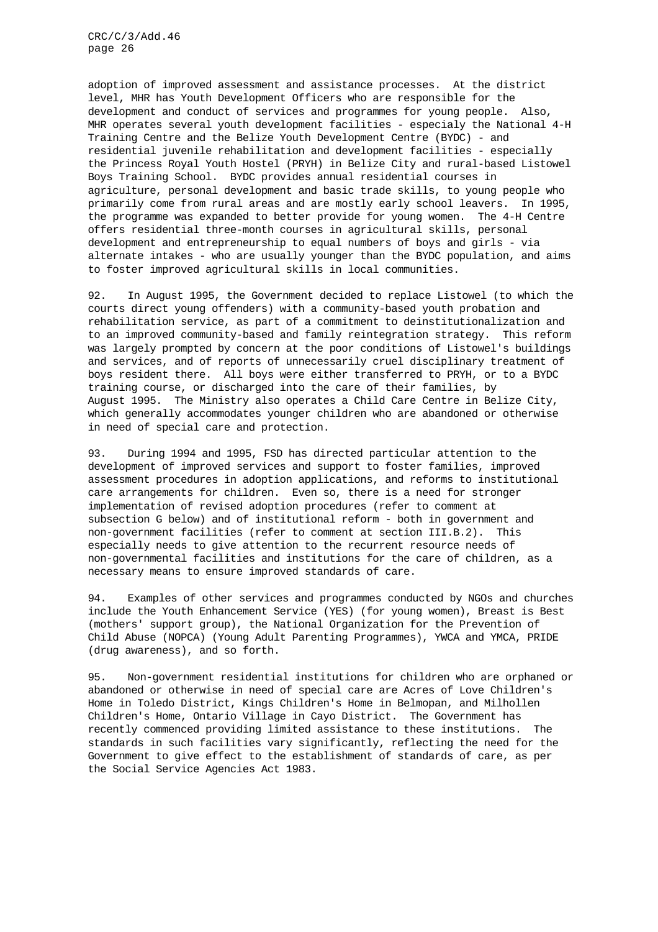adoption of improved assessment and assistance processes. At the district level, MHR has Youth Development Officers who are responsible for the development and conduct of services and programmes for young people. Also, MHR operates several youth development facilities - especialy the National 4-H Training Centre and the Belize Youth Development Centre (BYDC) - and residential juvenile rehabilitation and development facilities - especially the Princess Royal Youth Hostel (PRYH) in Belize City and rural-based Listowel Boys Training School. BYDC provides annual residential courses in agriculture, personal development and basic trade skills, to young people who primarily come from rural areas and are mostly early school leavers. In 1995, the programme was expanded to better provide for young women. The 4-H Centre offers residential three-month courses in agricultural skills, personal development and entrepreneurship to equal numbers of boys and girls - via alternate intakes - who are usually younger than the BYDC population, and aims to foster improved agricultural skills in local communities.

92. In August 1995, the Government decided to replace Listowel (to which the courts direct young offenders) with a community-based youth probation and rehabilitation service, as part of a commitment to deinstitutionalization and to an improved community-based and family reintegration strategy. This reform was largely prompted by concern at the poor conditions of Listowel's buildings and services, and of reports of unnecessarily cruel disciplinary treatment of boys resident there. All boys were either transferred to PRYH, or to a BYDC training course, or discharged into the care of their families, by August 1995. The Ministry also operates a Child Care Centre in Belize City, which generally accommodates younger children who are abandoned or otherwise in need of special care and protection.

93. During 1994 and 1995, FSD has directed particular attention to the development of improved services and support to foster families, improved assessment procedures in adoption applications, and reforms to institutional care arrangements for children. Even so, there is a need for stronger implementation of revised adoption procedures (refer to comment at subsection G below) and of institutional reform - both in government and non-government facilities (refer to comment at section III.B.2). This especially needs to give attention to the recurrent resource needs of non-governmental facilities and institutions for the care of children, as a necessary means to ensure improved standards of care.

94. Examples of other services and programmes conducted by NGOs and churches include the Youth Enhancement Service (YES) (for young women), Breast is Best (mothers' support group), the National Organization for the Prevention of Child Abuse (NOPCA) (Young Adult Parenting Programmes), YWCA and YMCA, PRIDE (drug awareness), and so forth.

95. Non-government residential institutions for children who are orphaned or abandoned or otherwise in need of special care are Acres of Love Children's Home in Toledo District, Kings Children's Home in Belmopan, and Milhollen Children's Home, Ontario Village in Cayo District. The Government has recently commenced providing limited assistance to these institutions. The standards in such facilities vary significantly, reflecting the need for the Government to give effect to the establishment of standards of care, as per the Social Service Agencies Act 1983.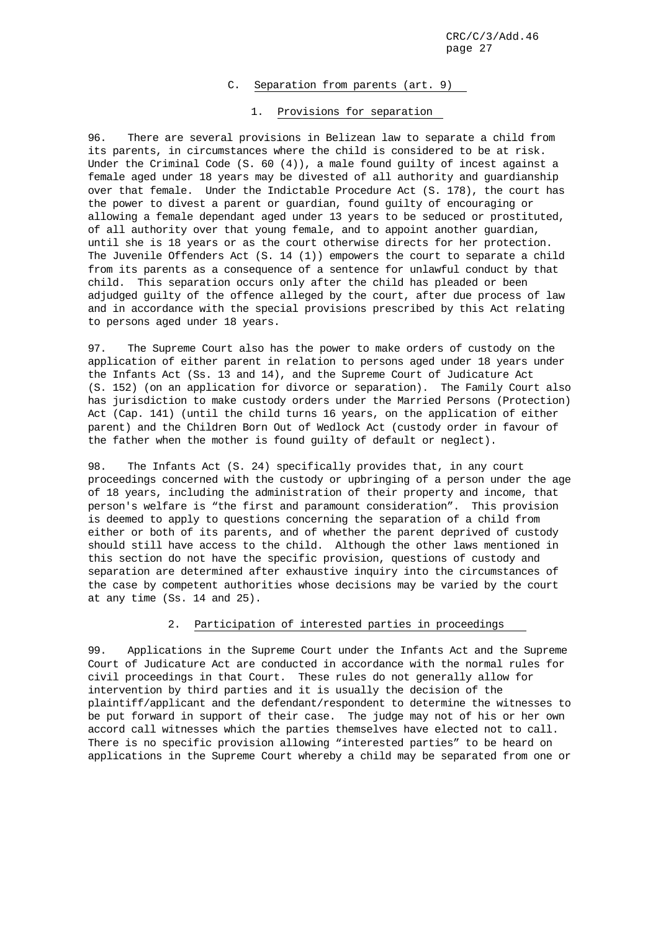## C. Separation from parents (art. 9)

## 1. Provisions for separation

96. There are several provisions in Belizean law to separate a child from its parents, in circumstances where the child is considered to be at risk. Under the Criminal Code  $(S. 60 (4))$ , a male found guilty of incest against a female aged under 18 years may be divested of all authority and guardianship over that female. Under the Indictable Procedure Act (S. 178), the court has the power to divest a parent or guardian, found guilty of encouraging or allowing a female dependant aged under 13 years to be seduced or prostituted, of all authority over that young female, and to appoint another guardian, until she is 18 years or as the court otherwise directs for her protection. The Juvenile Offenders Act (S. 14 (1)) empowers the court to separate a child from its parents as a consequence of a sentence for unlawful conduct by that child. This separation occurs only after the child has pleaded or been adjudged guilty of the offence alleged by the court, after due process of law and in accordance with the special provisions prescribed by this Act relating to persons aged under 18 years.

97. The Supreme Court also has the power to make orders of custody on the application of either parent in relation to persons aged under 18 years under the Infants Act (Ss. 13 and 14), and the Supreme Court of Judicature Act (S. 152) (on an application for divorce or separation). The Family Court also has jurisdiction to make custody orders under the Married Persons (Protection) Act (Cap. 141) (until the child turns 16 years, on the application of either parent) and the Children Born Out of Wedlock Act (custody order in favour of the father when the mother is found guilty of default or neglect).

98. The Infants Act (S. 24) specifically provides that, in any court proceedings concerned with the custody or upbringing of a person under the age of 18 years, including the administration of their property and income, that person's welfare is "the first and paramount consideration". This provision is deemed to apply to questions concerning the separation of a child from either or both of its parents, and of whether the parent deprived of custody should still have access to the child. Although the other laws mentioned in this section do not have the specific provision, questions of custody and separation are determined after exhaustive inquiry into the circumstances of the case by competent authorities whose decisions may be varied by the court at any time (Ss. 14 and 25).

## 2. Participation of interested parties in proceedings

99. Applications in the Supreme Court under the Infants Act and the Supreme Court of Judicature Act are conducted in accordance with the normal rules for civil proceedings in that Court. These rules do not generally allow for intervention by third parties and it is usually the decision of the plaintiff/applicant and the defendant/respondent to determine the witnesses to be put forward in support of their case. The judge may not of his or her own accord call witnesses which the parties themselves have elected not to call. There is no specific provision allowing "interested parties" to be heard on applications in the Supreme Court whereby a child may be separated from one or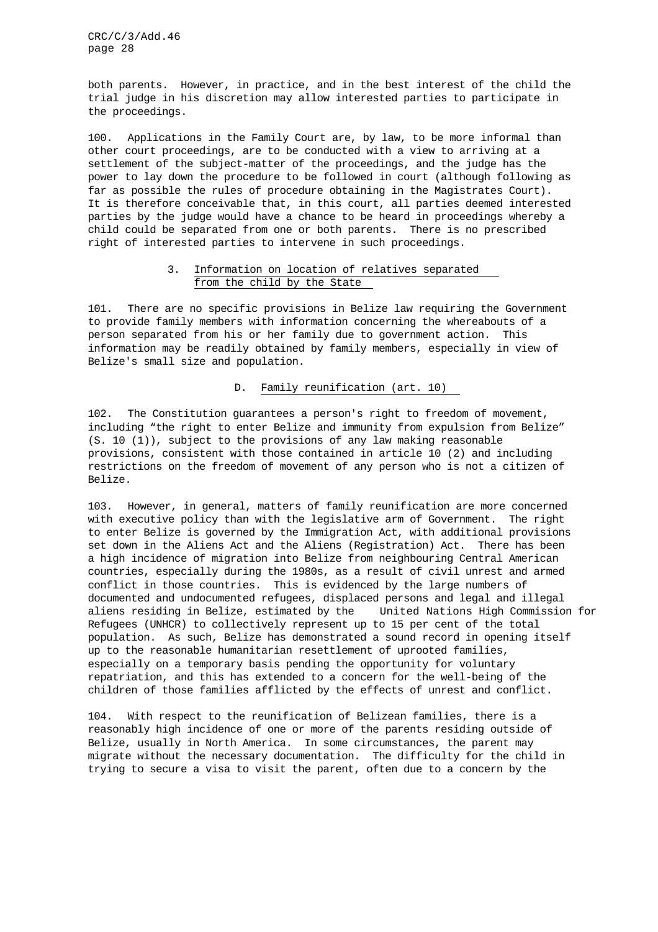both parents. However, in practice, and in the best interest of the child the trial judge in his discretion may allow interested parties to participate in the proceedings.

100. Applications in the Family Court are, by law, to be more informal than other court proceedings, are to be conducted with a view to arriving at a settlement of the subject-matter of the proceedings, and the judge has the power to lay down the procedure to be followed in court (although following as far as possible the rules of procedure obtaining in the Magistrates Court). It is therefore conceivable that, in this court, all parties deemed interested parties by the judge would have a chance to be heard in proceedings whereby a child could be separated from one or both parents. There is no prescribed right of interested parties to intervene in such proceedings.

## 3. Information on location of relatives separated from the child by the State

101. There are no specific provisions in Belize law requiring the Government to provide family members with information concerning the whereabouts of a person separated from his or her family due to government action. This information may be readily obtained by family members, especially in view of Belize's small size and population.

D. Family reunification (art. 10)

102. The Constitution guarantees a person's right to freedom of movement, including "the right to enter Belize and immunity from expulsion from Belize" (S. 10 (1)), subject to the provisions of any law making reasonable provisions, consistent with those contained in article 10 (2) and including restrictions on the freedom of movement of any person who is not a citizen of Belize.

103. However, in general, matters of family reunification are more concerned with executive policy than with the legislative arm of Government. The right to enter Belize is governed by the Immigration Act, with additional provisions set down in the Aliens Act and the Aliens (Registration) Act. There has been a high incidence of migration into Belize from neighbouring Central American countries, especially during the 1980s, as a result of civil unrest and armed conflict in those countries. This is evidenced by the large numbers of documented and undocumented refugees, displaced persons and legal and illegal aliens residing in Belize, estimated by the United Nations High Commission for Refugees (UNHCR) to collectively represent up to 15 per cent of the total population. As such, Belize has demonstrated a sound record in opening itself up to the reasonable humanitarian resettlement of uprooted families, especially on a temporary basis pending the opportunity for voluntary repatriation, and this has extended to a concern for the well-being of the children of those families afflicted by the effects of unrest and conflict.

104. With respect to the reunification of Belizean families, there is a reasonably high incidence of one or more of the parents residing outside of Belize, usually in North America. In some circumstances, the parent may migrate without the necessary documentation. The difficulty for the child in trying to secure a visa to visit the parent, often due to a concern by the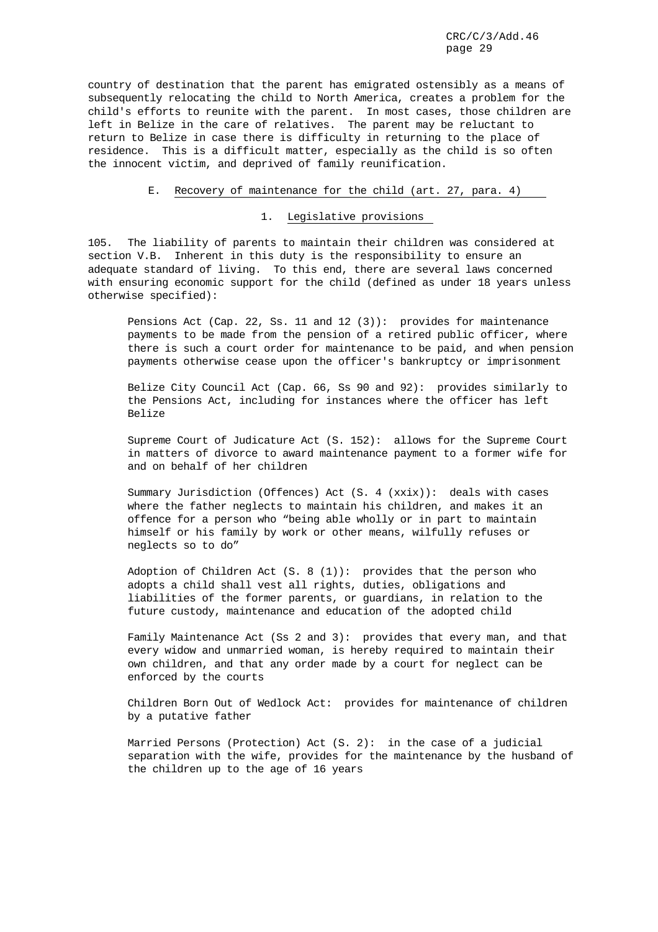country of destination that the parent has emigrated ostensibly as a means of subsequently relocating the child to North America, creates a problem for the child's efforts to reunite with the parent. In most cases, those children are left in Belize in the care of relatives. The parent may be reluctant to return to Belize in case there is difficulty in returning to the place of residence. This is a difficult matter, especially as the child is so often the innocent victim, and deprived of family reunification.

#### E. Recovery of maintenance for the child (art. 27, para. 4)

1. Legislative provisions

105. The liability of parents to maintain their children was considered at section V.B. Inherent in this duty is the responsibility to ensure an adequate standard of living. To this end, there are several laws concerned with ensuring economic support for the child (defined as under 18 years unless otherwise specified):

Pensions Act (Cap. 22, Ss. 11 and 12 (3)): provides for maintenance payments to be made from the pension of a retired public officer, where there is such a court order for maintenance to be paid, and when pension payments otherwise cease upon the officer's bankruptcy or imprisonment

Belize City Council Act (Cap. 66, Ss 90 and 92): provides similarly to the Pensions Act, including for instances where the officer has left Belize

Supreme Court of Judicature Act (S. 152): allows for the Supreme Court in matters of divorce to award maintenance payment to a former wife for and on behalf of her children

Summary Jurisdiction (Offences) Act (S. 4 (xxix)): deals with cases where the father neglects to maintain his children, and makes it an offence for a person who "being able wholly or in part to maintain himself or his family by work or other means, wilfully refuses or neglects so to do"

Adoption of Children Act  $(S. 8 (1))$ : provides that the person who adopts a child shall vest all rights, duties, obligations and liabilities of the former parents, or guardians, in relation to the future custody, maintenance and education of the adopted child

Family Maintenance Act (Ss 2 and 3): provides that every man, and that every widow and unmarried woman, is hereby required to maintain their own children, and that any order made by a court for neglect can be enforced by the courts

Children Born Out of Wedlock Act: provides for maintenance of children by a putative father

Married Persons (Protection) Act (S. 2): in the case of a judicial separation with the wife, provides for the maintenance by the husband of the children up to the age of 16 years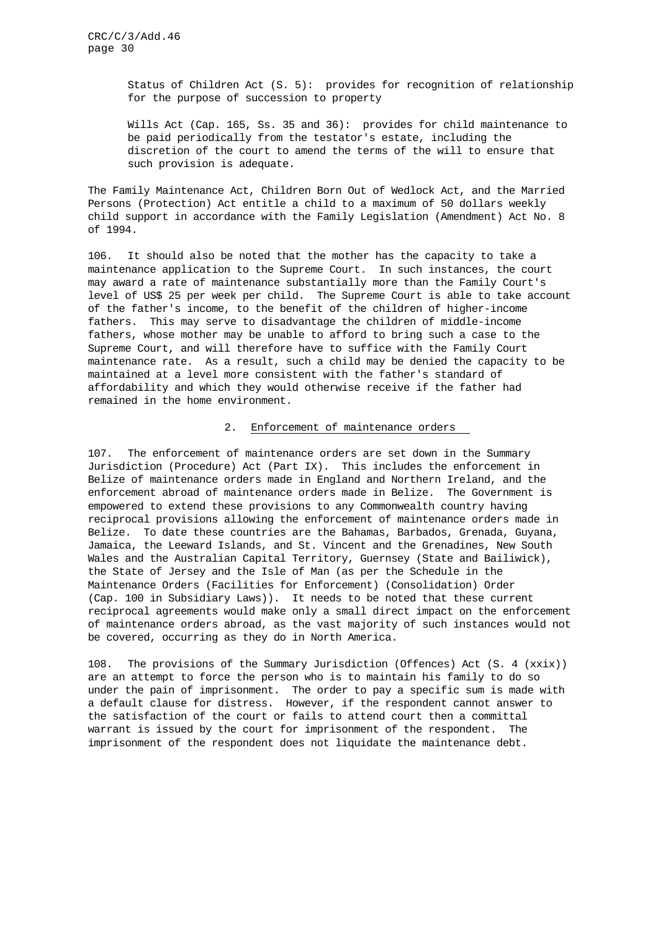Status of Children Act (S. 5): provides for recognition of relationship for the purpose of succession to property

Wills Act (Cap. 165, Ss. 35 and 36): provides for child maintenance to be paid periodically from the testator's estate, including the discretion of the court to amend the terms of the will to ensure that such provision is adequate.

The Family Maintenance Act, Children Born Out of Wedlock Act, and the Married Persons (Protection) Act entitle a child to a maximum of 50 dollars weekly child support in accordance with the Family Legislation (Amendment) Act No. 8 of 1994.

106. It should also be noted that the mother has the capacity to take a maintenance application to the Supreme Court. In such instances, the court may award a rate of maintenance substantially more than the Family Court's level of US\$ 25 per week per child. The Supreme Court is able to take account of the father's income, to the benefit of the children of higher-income fathers. This may serve to disadvantage the children of middle-income fathers, whose mother may be unable to afford to bring such a case to the Supreme Court, and will therefore have to suffice with the Family Court maintenance rate. As a result, such a child may be denied the capacity to be maintained at a level more consistent with the father's standard of affordability and which they would otherwise receive if the father had remained in the home environment.

## 2. Enforcement of maintenance orders

107. The enforcement of maintenance orders are set down in the Summary Jurisdiction (Procedure) Act (Part IX). This includes the enforcement in Belize of maintenance orders made in England and Northern Ireland, and the enforcement abroad of maintenance orders made in Belize. The Government is empowered to extend these provisions to any Commonwealth country having reciprocal provisions allowing the enforcement of maintenance orders made in Belize. To date these countries are the Bahamas, Barbados, Grenada, Guyana, Jamaica, the Leeward Islands, and St. Vincent and the Grenadines, New South Wales and the Australian Capital Territory, Guernsey (State and Bailiwick), the State of Jersey and the Isle of Man (as per the Schedule in the Maintenance Orders (Facilities for Enforcement) (Consolidation) Order (Cap. 100 in Subsidiary Laws)). It needs to be noted that these current reciprocal agreements would make only a small direct impact on the enforcement of maintenance orders abroad, as the vast majority of such instances would not be covered, occurring as they do in North America.

108. The provisions of the Summary Jurisdiction (Offences) Act (S. 4 (xxix)) are an attempt to force the person who is to maintain his family to do so under the pain of imprisonment. The order to pay a specific sum is made with a default clause for distress. However, if the respondent cannot answer to the satisfaction of the court or fails to attend court then a committal warrant is issued by the court for imprisonment of the respondent. The imprisonment of the respondent does not liquidate the maintenance debt.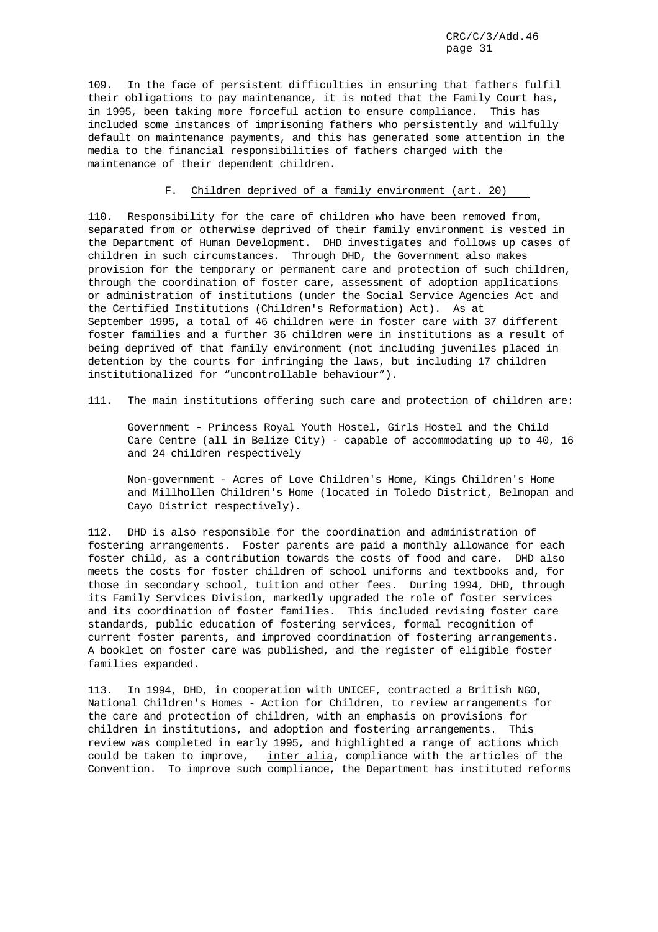109. In the face of persistent difficulties in ensuring that fathers fulfil their obligations to pay maintenance, it is noted that the Family Court has, in 1995, been taking more forceful action to ensure compliance. This has included some instances of imprisoning fathers who persistently and wilfully default on maintenance payments, and this has generated some attention in the media to the financial responsibilities of fathers charged with the maintenance of their dependent children.

## F. Children deprived of a family environment (art. 20)

110. Responsibility for the care of children who have been removed from, separated from or otherwise deprived of their family environment is vested in the Department of Human Development. DHD investigates and follows up cases of children in such circumstances. Through DHD, the Government also makes provision for the temporary or permanent care and protection of such children, through the coordination of foster care, assessment of adoption applications or administration of institutions (under the Social Service Agencies Act and the Certified Institutions (Children's Reformation) Act). As at September 1995, a total of 46 children were in foster care with 37 different foster families and a further 36 children were in institutions as a result of being deprived of that family environment (not including juveniles placed in detention by the courts for infringing the laws, but including 17 children institutionalized for "uncontrollable behaviour").

111. The main institutions offering such care and protection of children are:

Government - Princess Royal Youth Hostel, Girls Hostel and the Child Care Centre (all in Belize City) - capable of accommodating up to 40, 16 and 24 children respectively

Non-government - Acres of Love Children's Home, Kings Children's Home and Millhollen Children's Home (located in Toledo District, Belmopan and Cayo District respectively).

112. DHD is also responsible for the coordination and administration of fostering arrangements. Foster parents are paid a monthly allowance for each foster child, as a contribution towards the costs of food and care. DHD also meets the costs for foster children of school uniforms and textbooks and, for those in secondary school, tuition and other fees. During 1994, DHD, through its Family Services Division, markedly upgraded the role of foster services and its coordination of foster families. This included revising foster care standards, public education of fostering services, formal recognition of current foster parents, and improved coordination of fostering arrangements. A booklet on foster care was published, and the register of eligible foster families expanded.

113. In 1994, DHD, in cooperation with UNICEF, contracted a British NGO, National Children's Homes - Action for Children, to review arrangements for the care and protection of children, with an emphasis on provisions for children in institutions, and adoption and fostering arrangements. This review was completed in early 1995, and highlighted a range of actions which could be taken to improve, inter alia, compliance with the articles of the Convention. To improve such compliance, the Department has instituted reforms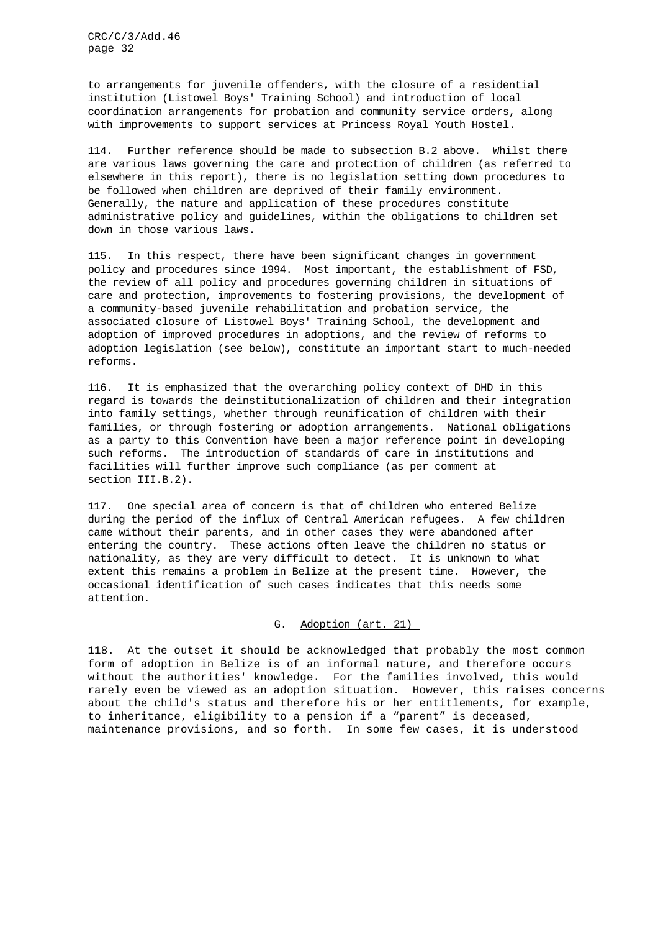to arrangements for juvenile offenders, with the closure of a residential institution (Listowel Boys' Training School) and introduction of local coordination arrangements for probation and community service orders, along with improvements to support services at Princess Royal Youth Hostel.

114. Further reference should be made to subsection B.2 above. Whilst there are various laws governing the care and protection of children (as referred to elsewhere in this report), there is no legislation setting down procedures to be followed when children are deprived of their family environment. Generally, the nature and application of these procedures constitute administrative policy and guidelines, within the obligations to children set down in those various laws.

115. In this respect, there have been significant changes in government policy and procedures since 1994. Most important, the establishment of FSD, the review of all policy and procedures governing children in situations of care and protection, improvements to fostering provisions, the development of a community-based juvenile rehabilitation and probation service, the associated closure of Listowel Boys' Training School, the development and adoption of improved procedures in adoptions, and the review of reforms to adoption legislation (see below), constitute an important start to much-needed reforms.

116. It is emphasized that the overarching policy context of DHD in this regard is towards the deinstitutionalization of children and their integration into family settings, whether through reunification of children with their families, or through fostering or adoption arrangements. National obligations as a party to this Convention have been a major reference point in developing such reforms. The introduction of standards of care in institutions and facilities will further improve such compliance (as per comment at section III.B.2).

117. One special area of concern is that of children who entered Belize during the period of the influx of Central American refugees. A few children came without their parents, and in other cases they were abandoned after entering the country. These actions often leave the children no status or nationality, as they are very difficult to detect. It is unknown to what extent this remains a problem in Belize at the present time. However, the occasional identification of such cases indicates that this needs some attention.

## G. Adoption (art. 21)

118. At the outset it should be acknowledged that probably the most common form of adoption in Belize is of an informal nature, and therefore occurs without the authorities' knowledge. For the families involved, this would rarely even be viewed as an adoption situation. However, this raises concerns about the child's status and therefore his or her entitlements, for example, to inheritance, eligibility to a pension if a "parent" is deceased, maintenance provisions, and so forth. In some few cases, it is understood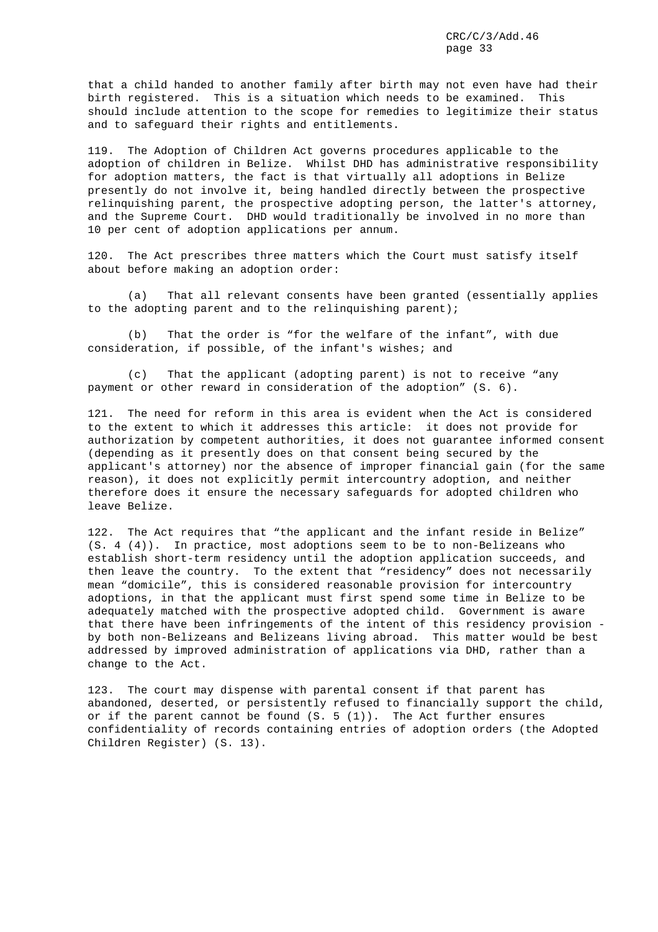that a child handed to another family after birth may not even have had their birth registered. This is a situation which needs to be examined. This should include attention to the scope for remedies to legitimize their status and to safeguard their rights and entitlements.

119. The Adoption of Children Act governs procedures applicable to the adoption of children in Belize. Whilst DHD has administrative responsibility for adoption matters, the fact is that virtually all adoptions in Belize presently do not involve it, being handled directly between the prospective relinquishing parent, the prospective adopting person, the latter's attorney, and the Supreme Court. DHD would traditionally be involved in no more than 10 per cent of adoption applications per annum.

120. The Act prescribes three matters which the Court must satisfy itself about before making an adoption order:

(a) That all relevant consents have been granted (essentially applies to the adopting parent and to the relinquishing parent);

(b) That the order is "for the welfare of the infant", with due consideration, if possible, of the infant's wishes; and

(c) That the applicant (adopting parent) is not to receive "any payment or other reward in consideration of the adoption" (S. 6).

121. The need for reform in this area is evident when the Act is considered to the extent to which it addresses this article: it does not provide for authorization by competent authorities, it does not guarantee informed consent (depending as it presently does on that consent being secured by the applicant's attorney) nor the absence of improper financial gain (for the same reason), it does not explicitly permit intercountry adoption, and neither therefore does it ensure the necessary safeguards for adopted children who leave Belize.

122. The Act requires that "the applicant and the infant reside in Belize" (S. 4 (4)). In practice, most adoptions seem to be to non-Belizeans who establish short-term residency until the adoption application succeeds, and then leave the country. To the extent that "residency" does not necessarily mean "domicile", this is considered reasonable provision for intercountry adoptions, in that the applicant must first spend some time in Belize to be adequately matched with the prospective adopted child. Government is aware that there have been infringements of the intent of this residency provision by both non-Belizeans and Belizeans living abroad. This matter would be best addressed by improved administration of applications via DHD, rather than a change to the Act.

123. The court may dispense with parental consent if that parent has abandoned, deserted, or persistently refused to financially support the child, or if the parent cannot be found  $(S. 5 (1))$ . The Act further ensures confidentiality of records containing entries of adoption orders (the Adopted Children Register) (S. 13).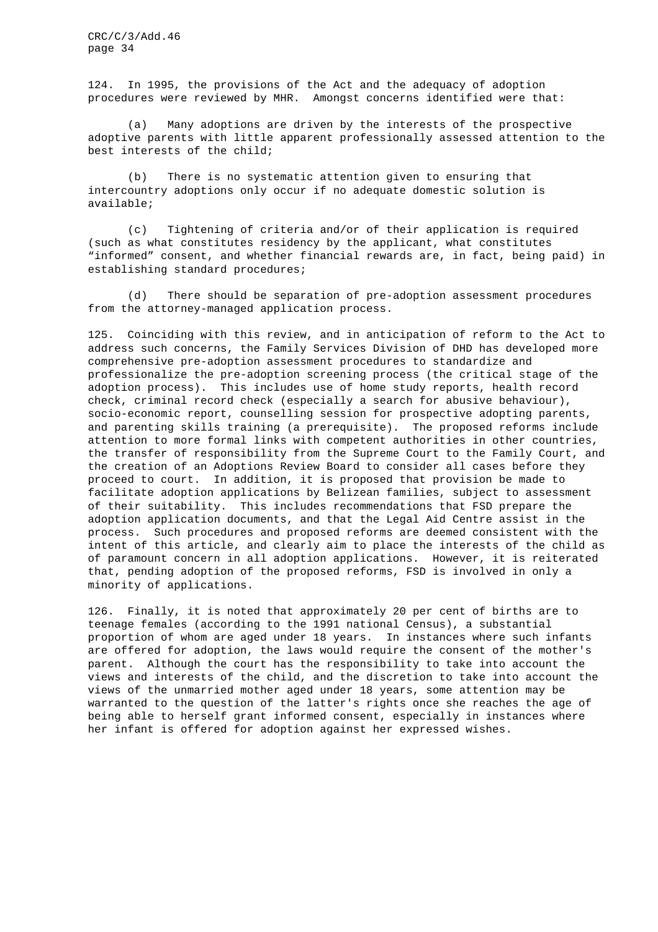124. In 1995, the provisions of the Act and the adequacy of adoption procedures were reviewed by MHR. Amongst concerns identified were that:

(a) Many adoptions are driven by the interests of the prospective adoptive parents with little apparent professionally assessed attention to the best interests of the child;

(b) There is no systematic attention given to ensuring that intercountry adoptions only occur if no adequate domestic solution is available;

(c) Tightening of criteria and/or of their application is required (such as what constitutes residency by the applicant, what constitutes "informed" consent, and whether financial rewards are, in fact, being paid) in establishing standard procedures;

(d) There should be separation of pre-adoption assessment procedures from the attorney-managed application process.

125. Coinciding with this review, and in anticipation of reform to the Act to address such concerns, the Family Services Division of DHD has developed more comprehensive pre-adoption assessment procedures to standardize and professionalize the pre-adoption screening process (the critical stage of the adoption process). This includes use of home study reports, health record check, criminal record check (especially a search for abusive behaviour), socio-economic report, counselling session for prospective adopting parents, and parenting skills training (a prerequisite). The proposed reforms include attention to more formal links with competent authorities in other countries, the transfer of responsibility from the Supreme Court to the Family Court, and the creation of an Adoptions Review Board to consider all cases before they proceed to court. In addition, it is proposed that provision be made to facilitate adoption applications by Belizean families, subject to assessment of their suitability. This includes recommendations that FSD prepare the adoption application documents, and that the Legal Aid Centre assist in the process. Such procedures and proposed reforms are deemed consistent with the intent of this article, and clearly aim to place the interests of the child as of paramount concern in all adoption applications. However, it is reiterated that, pending adoption of the proposed reforms, FSD is involved in only a minority of applications.

126. Finally, it is noted that approximately 20 per cent of births are to teenage females (according to the 1991 national Census), a substantial proportion of whom are aged under 18 years. In instances where such infants are offered for adoption, the laws would require the consent of the mother's parent. Although the court has the responsibility to take into account the views and interests of the child, and the discretion to take into account the views of the unmarried mother aged under 18 years, some attention may be warranted to the question of the latter's rights once she reaches the age of being able to herself grant informed consent, especially in instances where her infant is offered for adoption against her expressed wishes.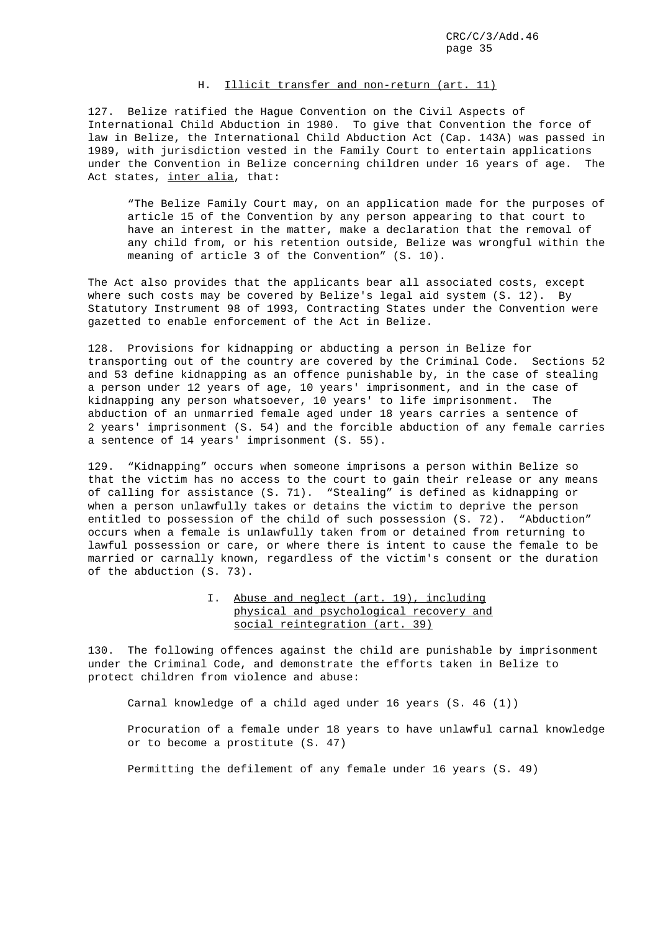## H. Illicit transfer and non-return (art. 11)

127. Belize ratified the Hague Convention on the Civil Aspects of International Child Abduction in 1980. To give that Convention the force of law in Belize, the International Child Abduction Act (Cap. 143A) was passed in 1989, with jurisdiction vested in the Family Court to entertain applications under the Convention in Belize concerning children under 16 years of age. The Act states, inter alia, that:

"The Belize Family Court may, on an application made for the purposes of article 15 of the Convention by any person appearing to that court to have an interest in the matter, make a declaration that the removal of any child from, or his retention outside, Belize was wrongful within the meaning of article 3 of the Convention" (S. 10).

The Act also provides that the applicants bear all associated costs, except where such costs may be covered by Belize's legal aid system (S. 12). By Statutory Instrument 98 of 1993, Contracting States under the Convention were gazetted to enable enforcement of the Act in Belize.

128. Provisions for kidnapping or abducting a person in Belize for transporting out of the country are covered by the Criminal Code. Sections 52 and 53 define kidnapping as an offence punishable by, in the case of stealing a person under 12 years of age, 10 years' imprisonment, and in the case of kidnapping any person whatsoever, 10 years' to life imprisonment. The abduction of an unmarried female aged under 18 years carries a sentence of 2 years' imprisonment (S. 54) and the forcible abduction of any female carries a sentence of 14 years' imprisonment (S. 55).

129. "Kidnapping" occurs when someone imprisons a person within Belize so that the victim has no access to the court to gain their release or any means of calling for assistance (S. 71). "Stealing" is defined as kidnapping or when a person unlawfully takes or detains the victim to deprive the person entitled to possession of the child of such possession (S. 72). "Abduction" occurs when a female is unlawfully taken from or detained from returning to lawful possession or care, or where there is intent to cause the female to be married or carnally known, regardless of the victim's consent or the duration of the abduction (S. 73).

## I. Abuse and neglect (art. 19), including physical and psychological recovery and social reintegration (art. 39)

130. The following offences against the child are punishable by imprisonment under the Criminal Code, and demonstrate the efforts taken in Belize to protect children from violence and abuse:

Carnal knowledge of a child aged under 16 years (S. 46 (1))

Procuration of a female under 18 years to have unlawful carnal knowledge or to become a prostitute (S. 47)

Permitting the defilement of any female under 16 years (S. 49)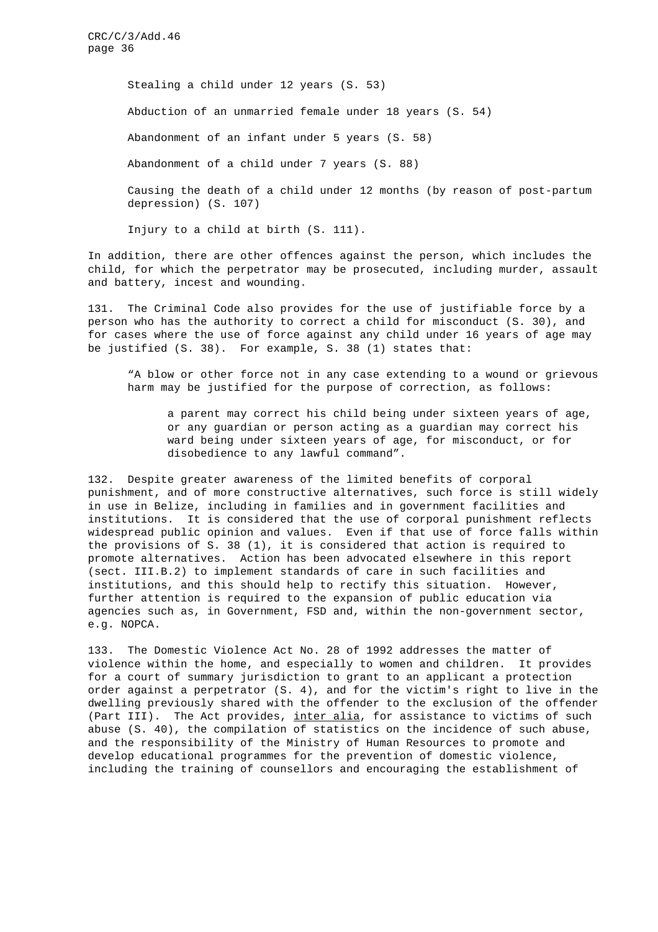> Stealing a child under 12 years (S. 53) Abduction of an unmarried female under 18 years (S. 54) Abandonment of an infant under 5 years (S. 58) Abandonment of a child under 7 years (S. 88) Causing the death of a child under 12 months (by reason of post-partum

depression) (S. 107)

Injury to a child at birth (S. 111).

In addition, there are other offences against the person, which includes the child, for which the perpetrator may be prosecuted, including murder, assault and battery, incest and wounding.

131. The Criminal Code also provides for the use of justifiable force by a person who has the authority to correct a child for misconduct (S. 30), and for cases where the use of force against any child under 16 years of age may be justified (S. 38). For example, S. 38 (1) states that:

"A blow or other force not in any case extending to a wound or grievous harm may be justified for the purpose of correction, as follows:

a parent may correct his child being under sixteen years of age, or any guardian or person acting as a guardian may correct his ward being under sixteen years of age, for misconduct, or for disobedience to any lawful command".

132. Despite greater awareness of the limited benefits of corporal punishment, and of more constructive alternatives, such force is still widely in use in Belize, including in families and in government facilities and institutions. It is considered that the use of corporal punishment reflects widespread public opinion and values. Even if that use of force falls within the provisions of S. 38 (1), it is considered that action is required to promote alternatives. Action has been advocated elsewhere in this report (sect. III.B.2) to implement standards of care in such facilities and institutions, and this should help to rectify this situation. However, further attention is required to the expansion of public education via agencies such as, in Government, FSD and, within the non-government sector, e.g. NOPCA.

133. The Domestic Violence Act No. 28 of 1992 addresses the matter of violence within the home, and especially to women and children. It provides for a court of summary jurisdiction to grant to an applicant a protection order against a perpetrator (S. 4), and for the victim's right to live in the dwelling previously shared with the offender to the exclusion of the offender (Part III). The Act provides, inter alia, for assistance to victims of such abuse (S. 40), the compilation of statistics on the incidence of such abuse, and the responsibility of the Ministry of Human Resources to promote and develop educational programmes for the prevention of domestic violence, including the training of counsellors and encouraging the establishment of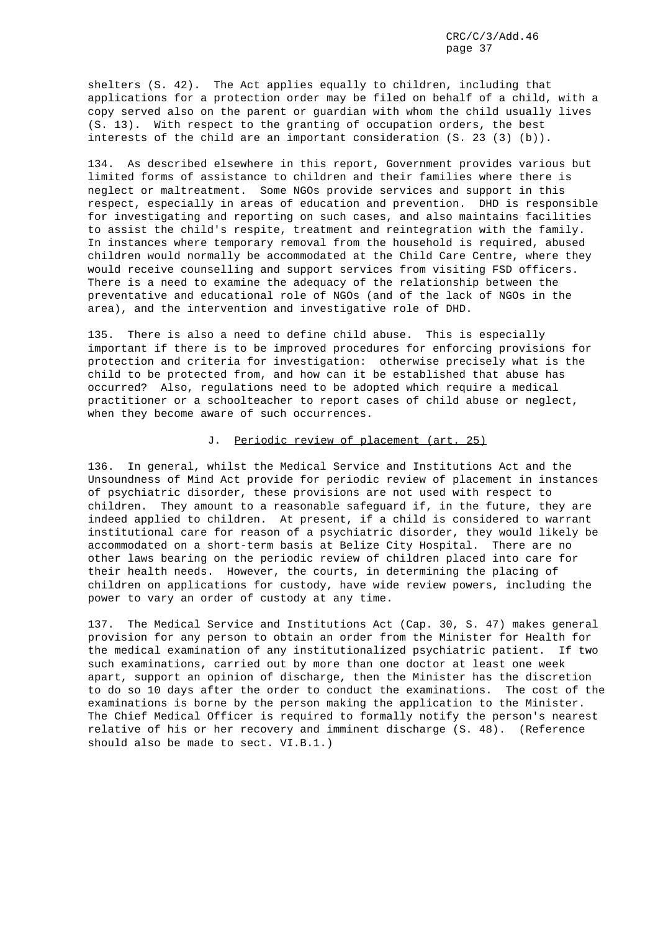shelters (S. 42). The Act applies equally to children, including that applications for a protection order may be filed on behalf of a child, with a copy served also on the parent or guardian with whom the child usually lives (S. 13). With respect to the granting of occupation orders, the best interests of the child are an important consideration (S. 23 (3) (b)).

134. As described elsewhere in this report, Government provides various but limited forms of assistance to children and their families where there is neglect or maltreatment. Some NGOs provide services and support in this respect, especially in areas of education and prevention. DHD is responsible for investigating and reporting on such cases, and also maintains facilities to assist the child's respite, treatment and reintegration with the family. In instances where temporary removal from the household is required, abused children would normally be accommodated at the Child Care Centre, where they would receive counselling and support services from visiting FSD officers. There is a need to examine the adequacy of the relationship between the preventative and educational role of NGOs (and of the lack of NGOs in the area), and the intervention and investigative role of DHD.

135. There is also a need to define child abuse. This is especially important if there is to be improved procedures for enforcing provisions for protection and criteria for investigation: otherwise precisely what is the child to be protected from, and how can it be established that abuse has occurred? Also, regulations need to be adopted which require a medical practitioner or a schoolteacher to report cases of child abuse or neglect, when they become aware of such occurrences.

## J. Periodic review of placement (art. 25)

136. In general, whilst the Medical Service and Institutions Act and the Unsoundness of Mind Act provide for periodic review of placement in instances of psychiatric disorder, these provisions are not used with respect to children. They amount to a reasonable safeguard if, in the future, they are indeed applied to children. At present, if a child is considered to warrant institutional care for reason of a psychiatric disorder, they would likely be accommodated on a short-term basis at Belize City Hospital. There are no other laws bearing on the periodic review of children placed into care for their health needs. However, the courts, in determining the placing of children on applications for custody, have wide review powers, including the power to vary an order of custody at any time.

137. The Medical Service and Institutions Act (Cap. 30, S. 47) makes general provision for any person to obtain an order from the Minister for Health for the medical examination of any institutionalized psychiatric patient. If two such examinations, carried out by more than one doctor at least one week apart, support an opinion of discharge, then the Minister has the discretion to do so 10 days after the order to conduct the examinations. The cost of the examinations is borne by the person making the application to the Minister. The Chief Medical Officer is required to formally notify the person's nearest relative of his or her recovery and imminent discharge (S. 48). (Reference should also be made to sect. VI.B.1.)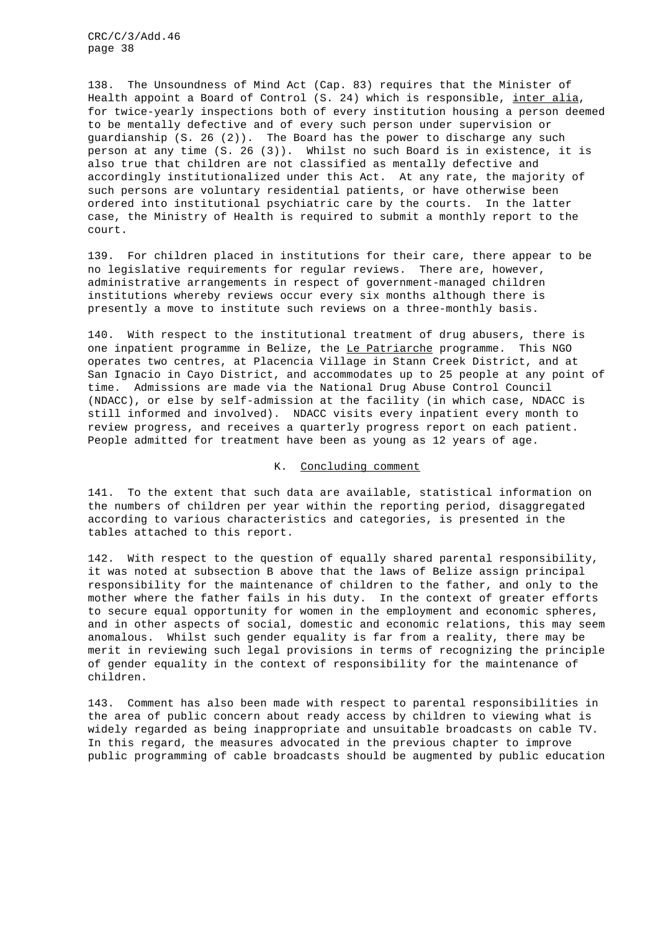138. The Unsoundness of Mind Act (Cap. 83) requires that the Minister of Health appoint a Board of Control (S. 24) which is responsible, inter alia, for twice-yearly inspections both of every institution housing a person deemed to be mentally defective and of every such person under supervision or guardianship (S. 26 (2)). The Board has the power to discharge any such person at any time (S. 26 (3)). Whilst no such Board is in existence, it is also true that children are not classified as mentally defective and accordingly institutionalized under this Act. At any rate, the majority of such persons are voluntary residential patients, or have otherwise been ordered into institutional psychiatric care by the courts. In the latter case, the Ministry of Health is required to submit a monthly report to the court.

139. For children placed in institutions for their care, there appear to be no legislative requirements for regular reviews. There are, however, administrative arrangements in respect of government-managed children institutions whereby reviews occur every six months although there is presently a move to institute such reviews on a three-monthly basis.

140. With respect to the institutional treatment of drug abusers, there is one inpatient programme in Belize, the Le Patriarche programme. This NGO operates two centres, at Placencia Village in Stann Creek District, and at San Ignacio in Cayo District, and accommodates up to 25 people at any point of time. Admissions are made via the National Drug Abuse Control Council (NDACC), or else by self-admission at the facility (in which case, NDACC is still informed and involved). NDACC visits every inpatient every month to review progress, and receives a quarterly progress report on each patient. People admitted for treatment have been as young as 12 years of age.

## K. Concluding comment

141. To the extent that such data are available, statistical information on the numbers of children per year within the reporting period, disaggregated according to various characteristics and categories, is presented in the tables attached to this report.

142. With respect to the question of equally shared parental responsibility, it was noted at subsection B above that the laws of Belize assign principal responsibility for the maintenance of children to the father, and only to the mother where the father fails in his duty. In the context of greater efforts to secure equal opportunity for women in the employment and economic spheres, and in other aspects of social, domestic and economic relations, this may seem anomalous. Whilst such gender equality is far from a reality, there may be merit in reviewing such legal provisions in terms of recognizing the principle of gender equality in the context of responsibility for the maintenance of children.

143. Comment has also been made with respect to parental responsibilities in the area of public concern about ready access by children to viewing what is widely regarded as being inappropriate and unsuitable broadcasts on cable TV. In this regard, the measures advocated in the previous chapter to improve public programming of cable broadcasts should be augmented by public education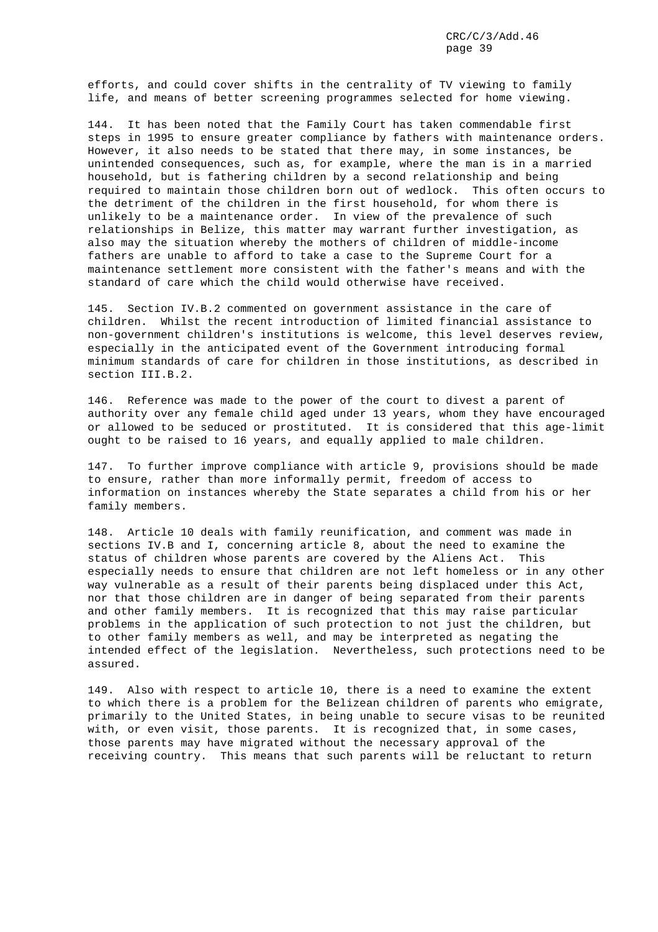efforts, and could cover shifts in the centrality of TV viewing to family life, and means of better screening programmes selected for home viewing.

144. It has been noted that the Family Court has taken commendable first steps in 1995 to ensure greater compliance by fathers with maintenance orders. However, it also needs to be stated that there may, in some instances, be unintended consequences, such as, for example, where the man is in a married household, but is fathering children by a second relationship and being required to maintain those children born out of wedlock. This often occurs to the detriment of the children in the first household, for whom there is unlikely to be a maintenance order. In view of the prevalence of such relationships in Belize, this matter may warrant further investigation, as also may the situation whereby the mothers of children of middle-income fathers are unable to afford to take a case to the Supreme Court for a maintenance settlement more consistent with the father's means and with the standard of care which the child would otherwise have received.

145. Section IV.B.2 commented on government assistance in the care of children. Whilst the recent introduction of limited financial assistance to non-government children's institutions is welcome, this level deserves review, especially in the anticipated event of the Government introducing formal minimum standards of care for children in those institutions, as described in section III.B.2.

146. Reference was made to the power of the court to divest a parent of authority over any female child aged under 13 years, whom they have encouraged or allowed to be seduced or prostituted. It is considered that this age-limit ought to be raised to 16 years, and equally applied to male children.

147. To further improve compliance with article 9, provisions should be made to ensure, rather than more informally permit, freedom of access to information on instances whereby the State separates a child from his or her family members.

148. Article 10 deals with family reunification, and comment was made in sections IV.B and I, concerning article 8, about the need to examine the status of children whose parents are covered by the Aliens Act. This especially needs to ensure that children are not left homeless or in any other way vulnerable as a result of their parents being displaced under this Act, nor that those children are in danger of being separated from their parents and other family members. It is recognized that this may raise particular problems in the application of such protection to not just the children, but to other family members as well, and may be interpreted as negating the intended effect of the legislation. Nevertheless, such protections need to be assured.

149. Also with respect to article 10, there is a need to examine the extent to which there is a problem for the Belizean children of parents who emigrate, primarily to the United States, in being unable to secure visas to be reunited with, or even visit, those parents. It is recognized that, in some cases, those parents may have migrated without the necessary approval of the receiving country. This means that such parents will be reluctant to return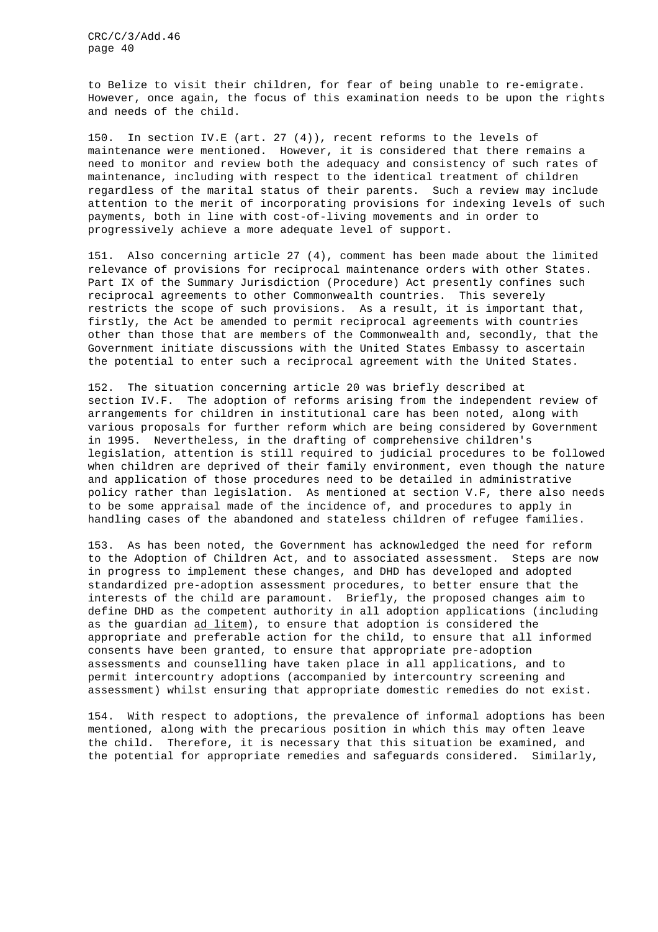to Belize to visit their children, for fear of being unable to re-emigrate. However, once again, the focus of this examination needs to be upon the rights and needs of the child.

150. In section IV.E (art. 27 (4)), recent reforms to the levels of maintenance were mentioned. However, it is considered that there remains a need to monitor and review both the adequacy and consistency of such rates of maintenance, including with respect to the identical treatment of children regardless of the marital status of their parents. Such a review may include attention to the merit of incorporating provisions for indexing levels of such payments, both in line with cost-of-living movements and in order to progressively achieve a more adequate level of support.

151. Also concerning article 27 (4), comment has been made about the limited relevance of provisions for reciprocal maintenance orders with other States. Part IX of the Summary Jurisdiction (Procedure) Act presently confines such reciprocal agreements to other Commonwealth countries. This severely restricts the scope of such provisions. As a result, it is important that, firstly, the Act be amended to permit reciprocal agreements with countries other than those that are members of the Commonwealth and, secondly, that the Government initiate discussions with the United States Embassy to ascertain the potential to enter such a reciprocal agreement with the United States.

152. The situation concerning article 20 was briefly described at section IV.F. The adoption of reforms arising from the independent review of arrangements for children in institutional care has been noted, along with various proposals for further reform which are being considered by Government in 1995. Nevertheless, in the drafting of comprehensive children's legislation, attention is still required to judicial procedures to be followed when children are deprived of their family environment, even though the nature and application of those procedures need to be detailed in administrative policy rather than legislation. As mentioned at section V.F, there also needs to be some appraisal made of the incidence of, and procedures to apply in handling cases of the abandoned and stateless children of refugee families.

153. As has been noted, the Government has acknowledged the need for reform to the Adoption of Children Act, and to associated assessment. Steps are now in progress to implement these changes, and DHD has developed and adopted standardized pre-adoption assessment procedures, to better ensure that the interests of the child are paramount. Briefly, the proposed changes aim to define DHD as the competent authority in all adoption applications (including as the guardian ad litem), to ensure that adoption is considered the appropriate and preferable action for the child, to ensure that all informed consents have been granted, to ensure that appropriate pre-adoption assessments and counselling have taken place in all applications, and to permit intercountry adoptions (accompanied by intercountry screening and assessment) whilst ensuring that appropriate domestic remedies do not exist.

154. With respect to adoptions, the prevalence of informal adoptions has been mentioned, along with the precarious position in which this may often leave the child. Therefore, it is necessary that this situation be examined, and the potential for appropriate remedies and safeguards considered. Similarly,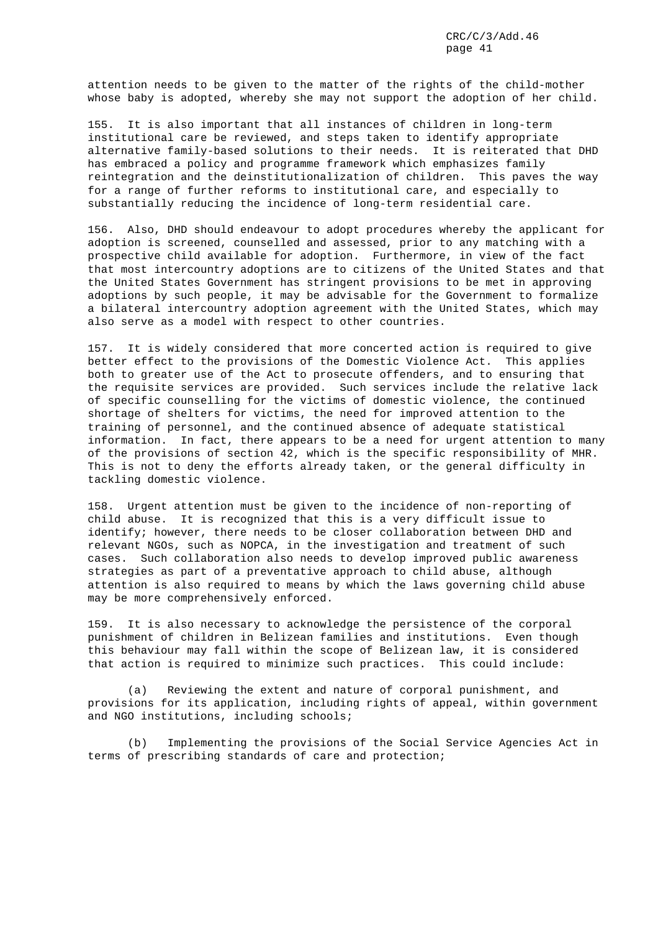attention needs to be given to the matter of the rights of the child-mother whose baby is adopted, whereby she may not support the adoption of her child.

155. It is also important that all instances of children in long-term institutional care be reviewed, and steps taken to identify appropriate alternative family-based solutions to their needs. It is reiterated that DHD has embraced a policy and programme framework which emphasizes family reintegration and the deinstitutionalization of children. This paves the way for a range of further reforms to institutional care, and especially to substantially reducing the incidence of long-term residential care.

156. Also, DHD should endeavour to adopt procedures whereby the applicant for adoption is screened, counselled and assessed, prior to any matching with a prospective child available for adoption. Furthermore, in view of the fact that most intercountry adoptions are to citizens of the United States and that the United States Government has stringent provisions to be met in approving adoptions by such people, it may be advisable for the Government to formalize a bilateral intercountry adoption agreement with the United States, which may also serve as a model with respect to other countries.

157. It is widely considered that more concerted action is required to give better effect to the provisions of the Domestic Violence Act. This applies both to greater use of the Act to prosecute offenders, and to ensuring that the requisite services are provided. Such services include the relative lack of specific counselling for the victims of domestic violence, the continued shortage of shelters for victims, the need for improved attention to the training of personnel, and the continued absence of adequate statistical information. In fact, there appears to be a need for urgent attention to many of the provisions of section 42, which is the specific responsibility of MHR. This is not to deny the efforts already taken, or the general difficulty in tackling domestic violence.

158. Urgent attention must be given to the incidence of non-reporting of child abuse. It is recognized that this is a very difficult issue to identify; however, there needs to be closer collaboration between DHD and relevant NGOs, such as NOPCA, in the investigation and treatment of such cases. Such collaboration also needs to develop improved public awareness strategies as part of a preventative approach to child abuse, although attention is also required to means by which the laws governing child abuse may be more comprehensively enforced.

159. It is also necessary to acknowledge the persistence of the corporal punishment of children in Belizean families and institutions. Even though this behaviour may fall within the scope of Belizean law, it is considered that action is required to minimize such practices. This could include:

(a) Reviewing the extent and nature of corporal punishment, and provisions for its application, including rights of appeal, within government and NGO institutions, including schools;

(b) Implementing the provisions of the Social Service Agencies Act in terms of prescribing standards of care and protection;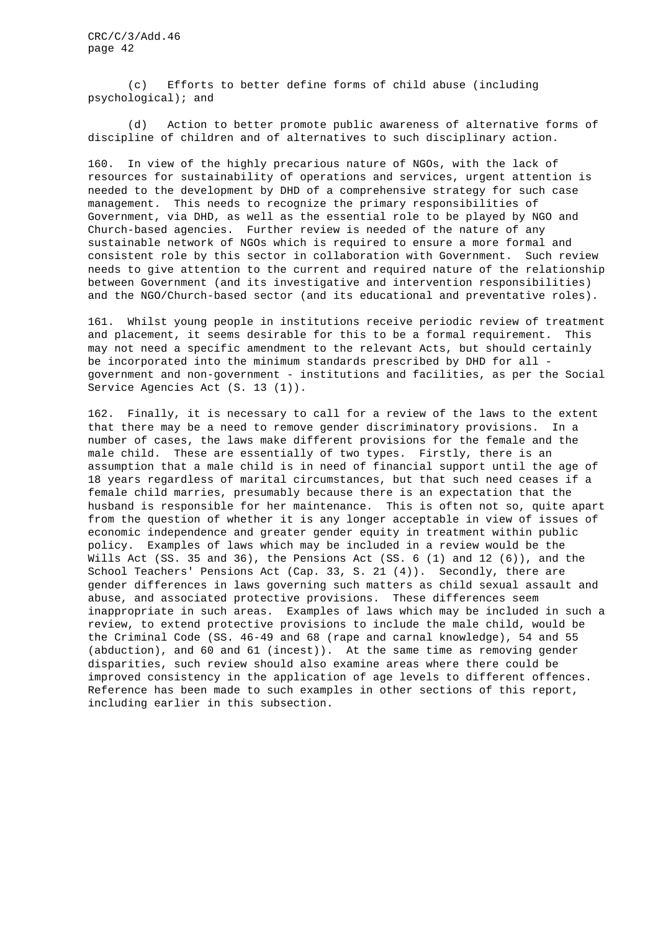(c) Efforts to better define forms of child abuse (including psychological); and

(d) Action to better promote public awareness of alternative forms of discipline of children and of alternatives to such disciplinary action.

160. In view of the highly precarious nature of NGOs, with the lack of resources for sustainability of operations and services, urgent attention is needed to the development by DHD of a comprehensive strategy for such case management. This needs to recognize the primary responsibilities of Government, via DHD, as well as the essential role to be played by NGO and Church-based agencies. Further review is needed of the nature of any sustainable network of NGOs which is required to ensure a more formal and consistent role by this sector in collaboration with Government. Such review needs to give attention to the current and required nature of the relationship between Government (and its investigative and intervention responsibilities) and the NGO/Church-based sector (and its educational and preventative roles).

161. Whilst young people in institutions receive periodic review of treatment and placement, it seems desirable for this to be a formal requirement. This may not need a specific amendment to the relevant Acts, but should certainly be incorporated into the minimum standards prescribed by DHD for all government and non-government - institutions and facilities, as per the Social Service Agencies Act (S. 13 (1)).

162. Finally, it is necessary to call for a review of the laws to the extent that there may be a need to remove gender discriminatory provisions. In a number of cases, the laws make different provisions for the female and the male child. These are essentially of two types. Firstly, there is an assumption that a male child is in need of financial support until the age of 18 years regardless of marital circumstances, but that such need ceases if a female child marries, presumably because there is an expectation that the husband is responsible for her maintenance. This is often not so, quite apart from the question of whether it is any longer acceptable in view of issues of economic independence and greater gender equity in treatment within public policy. Examples of laws which may be included in a review would be the Wills Act (SS. 35 and 36), the Pensions Act (SS.  $6$  (1) and 12 (6)), and the School Teachers' Pensions Act (Cap. 33, S. 21 (4)). Secondly, there are gender differences in laws governing such matters as child sexual assault and abuse, and associated protective provisions. These differences seem inappropriate in such areas. Examples of laws which may be included in such a review, to extend protective provisions to include the male child, would be the Criminal Code (SS. 46-49 and 68 (rape and carnal knowledge), 54 and 55 (abduction), and 60 and 61 (incest)). At the same time as removing gender disparities, such review should also examine areas where there could be improved consistency in the application of age levels to different offences. Reference has been made to such examples in other sections of this report, including earlier in this subsection.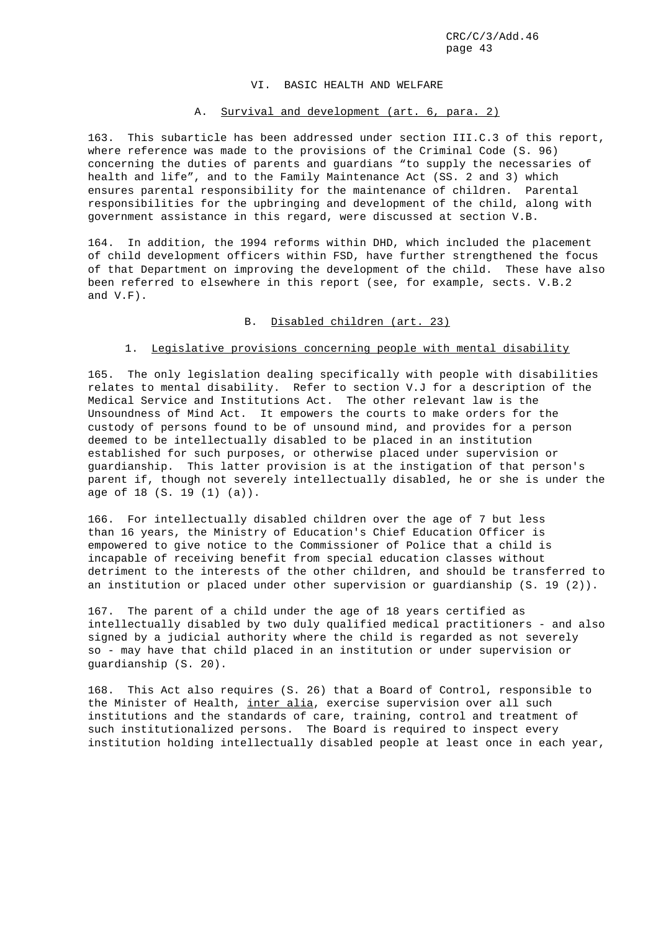### VI. BASIC HEALTH AND WELFARE

## A. Survival and development (art. 6, para. 2)

163. This subarticle has been addressed under section III.C.3 of this report, where reference was made to the provisions of the Criminal Code (S. 96) concerning the duties of parents and guardians "to supply the necessaries of health and life", and to the Family Maintenance Act (SS. 2 and 3) which ensures parental responsibility for the maintenance of children. Parental responsibilities for the upbringing and development of the child, along with government assistance in this regard, were discussed at section V.B.

164. In addition, the 1994 reforms within DHD, which included the placement of child development officers within FSD, have further strengthened the focus of that Department on improving the development of the child. These have also been referred to elsewhere in this report (see, for example, sects. V.B.2 and V.F).

## B. Disabled children (art. 23)

# 1. Legislative provisions concerning people with mental disability

165. The only legislation dealing specifically with people with disabilities relates to mental disability. Refer to section V.J for a description of the Medical Service and Institutions Act. The other relevant law is the Unsoundness of Mind Act. It empowers the courts to make orders for the custody of persons found to be of unsound mind, and provides for a person deemed to be intellectually disabled to be placed in an institution established for such purposes, or otherwise placed under supervision or guardianship. This latter provision is at the instigation of that person's parent if, though not severely intellectually disabled, he or she is under the age of 18 (S. 19 (1) (a)).

166. For intellectually disabled children over the age of 7 but less than 16 years, the Ministry of Education's Chief Education Officer is empowered to give notice to the Commissioner of Police that a child is incapable of receiving benefit from special education classes without detriment to the interests of the other children, and should be transferred to an institution or placed under other supervision or guardianship (S. 19 (2)).

167. The parent of a child under the age of 18 years certified as intellectually disabled by two duly qualified medical practitioners - and also signed by a judicial authority where the child is regarded as not severely so - may have that child placed in an institution or under supervision or guardianship (S. 20).

168. This Act also requires (S. 26) that a Board of Control, responsible to the Minister of Health, inter alia, exercise supervision over all such institutions and the standards of care, training, control and treatment of such institutionalized persons. The Board is required to inspect every institution holding intellectually disabled people at least once in each year,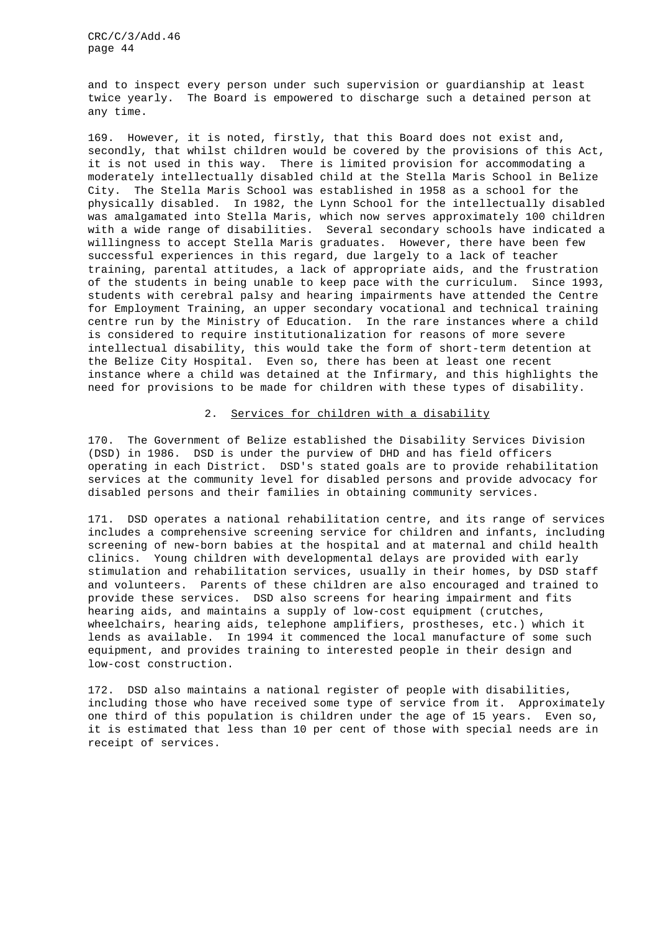and to inspect every person under such supervision or guardianship at least twice yearly. The Board is empowered to discharge such a detained person at any time.

169. However, it is noted, firstly, that this Board does not exist and, secondly, that whilst children would be covered by the provisions of this Act, it is not used in this way. There is limited provision for accommodating a moderately intellectually disabled child at the Stella Maris School in Belize City. The Stella Maris School was established in 1958 as a school for the physically disabled. In 1982, the Lynn School for the intellectually disabled was amalgamated into Stella Maris, which now serves approximately 100 children with a wide range of disabilities. Several secondary schools have indicated a willingness to accept Stella Maris graduates. However, there have been few successful experiences in this regard, due largely to a lack of teacher training, parental attitudes, a lack of appropriate aids, and the frustration of the students in being unable to keep pace with the curriculum. Since 1993, students with cerebral palsy and hearing impairments have attended the Centre for Employment Training, an upper secondary vocational and technical training centre run by the Ministry of Education. In the rare instances where a child is considered to require institutionalization for reasons of more severe intellectual disability, this would take the form of short-term detention at the Belize City Hospital. Even so, there has been at least one recent instance where a child was detained at the Infirmary, and this highlights the need for provisions to be made for children with these types of disability.

#### 2. Services for children with a disability

170. The Government of Belize established the Disability Services Division (DSD) in 1986. DSD is under the purview of DHD and has field officers operating in each District. DSD's stated goals are to provide rehabilitation services at the community level for disabled persons and provide advocacy for disabled persons and their families in obtaining community services.

171. DSD operates a national rehabilitation centre, and its range of services includes a comprehensive screening service for children and infants, including screening of new-born babies at the hospital and at maternal and child health clinics. Young children with developmental delays are provided with early stimulation and rehabilitation services, usually in their homes, by DSD staff and volunteers. Parents of these children are also encouraged and trained to provide these services. DSD also screens for hearing impairment and fits hearing aids, and maintains a supply of low-cost equipment (crutches, wheelchairs, hearing aids, telephone amplifiers, prostheses, etc.) which it lends as available. In 1994 it commenced the local manufacture of some such equipment, and provides training to interested people in their design and low-cost construction.

172. DSD also maintains a national register of people with disabilities, including those who have received some type of service from it. Approximately one third of this population is children under the age of 15 years. Even so, it is estimated that less than 10 per cent of those with special needs are in receipt of services.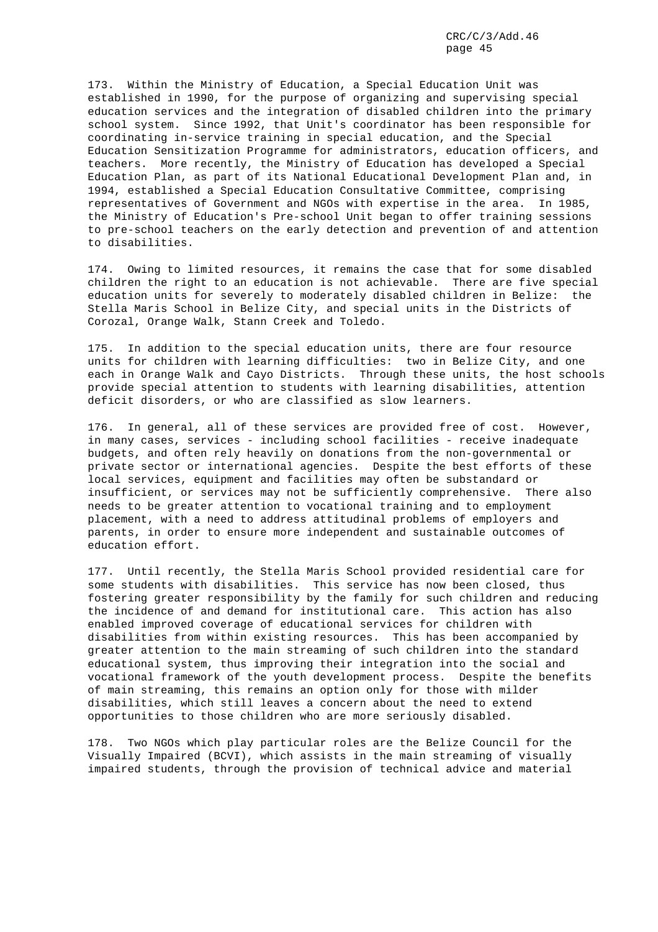173. Within the Ministry of Education, a Special Education Unit was established in 1990, for the purpose of organizing and supervising special education services and the integration of disabled children into the primary school system. Since 1992, that Unit's coordinator has been responsible for coordinating in-service training in special education, and the Special Education Sensitization Programme for administrators, education officers, and teachers. More recently, the Ministry of Education has developed a Special Education Plan, as part of its National Educational Development Plan and, in 1994, established a Special Education Consultative Committee, comprising representatives of Government and NGOs with expertise in the area. In 1985, the Ministry of Education's Pre-school Unit began to offer training sessions to pre-school teachers on the early detection and prevention of and attention to disabilities.

174. Owing to limited resources, it remains the case that for some disabled children the right to an education is not achievable. There are five special education units for severely to moderately disabled children in Belize: the Stella Maris School in Belize City, and special units in the Districts of Corozal, Orange Walk, Stann Creek and Toledo.

175. In addition to the special education units, there are four resource units for children with learning difficulties: two in Belize City, and one each in Orange Walk and Cayo Districts. Through these units, the host schools provide special attention to students with learning disabilities, attention deficit disorders, or who are classified as slow learners.

176. In general, all of these services are provided free of cost. However, in many cases, services - including school facilities - receive inadequate budgets, and often rely heavily on donations from the non-governmental or private sector or international agencies. Despite the best efforts of these local services, equipment and facilities may often be substandard or insufficient, or services may not be sufficiently comprehensive. There also needs to be greater attention to vocational training and to employment placement, with a need to address attitudinal problems of employers and parents, in order to ensure more independent and sustainable outcomes of education effort.

177. Until recently, the Stella Maris School provided residential care for some students with disabilities. This service has now been closed, thus fostering greater responsibility by the family for such children and reducing the incidence of and demand for institutional care. This action has also enabled improved coverage of educational services for children with disabilities from within existing resources. This has been accompanied by greater attention to the main streaming of such children into the standard educational system, thus improving their integration into the social and vocational framework of the youth development process. Despite the benefits of main streaming, this remains an option only for those with milder disabilities, which still leaves a concern about the need to extend opportunities to those children who are more seriously disabled.

178. Two NGOs which play particular roles are the Belize Council for the Visually Impaired (BCVI), which assists in the main streaming of visually impaired students, through the provision of technical advice and material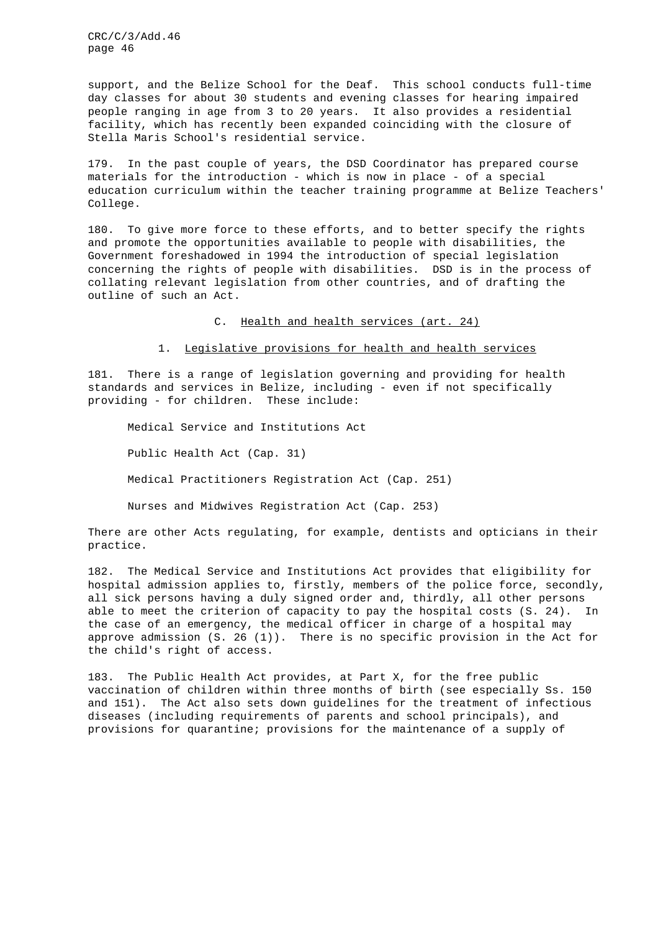support, and the Belize School for the Deaf. This school conducts full-time day classes for about 30 students and evening classes for hearing impaired people ranging in age from 3 to 20 years. It also provides a residential facility, which has recently been expanded coinciding with the closure of Stella Maris School's residential service.

179. In the past couple of years, the DSD Coordinator has prepared course materials for the introduction - which is now in place - of a special education curriculum within the teacher training programme at Belize Teachers' College.

180. To give more force to these efforts, and to better specify the rights and promote the opportunities available to people with disabilities, the Government foreshadowed in 1994 the introduction of special legislation concerning the rights of people with disabilities. DSD is in the process of collating relevant legislation from other countries, and of drafting the outline of such an Act.

C. Health and health services (art. 24)

1. Legislative provisions for health and health services

181. There is a range of legislation governing and providing for health standards and services in Belize, including - even if not specifically providing - for children. These include:

Medical Service and Institutions Act Public Health Act (Cap. 31) Medical Practitioners Registration Act (Cap. 251) Nurses and Midwives Registration Act (Cap. 253)

There are other Acts regulating, for example, dentists and opticians in their practice.

182. The Medical Service and Institutions Act provides that eligibility for hospital admission applies to, firstly, members of the police force, secondly, all sick persons having a duly signed order and, thirdly, all other persons able to meet the criterion of capacity to pay the hospital costs (S. 24). In the case of an emergency, the medical officer in charge of a hospital may approve admission (S. 26 (1)). There is no specific provision in the Act for the child's right of access.

183. The Public Health Act provides, at Part X, for the free public vaccination of children within three months of birth (see especially Ss. 150 and 151). The Act also sets down guidelines for the treatment of infectious diseases (including requirements of parents and school principals), and provisions for quarantine; provisions for the maintenance of a supply of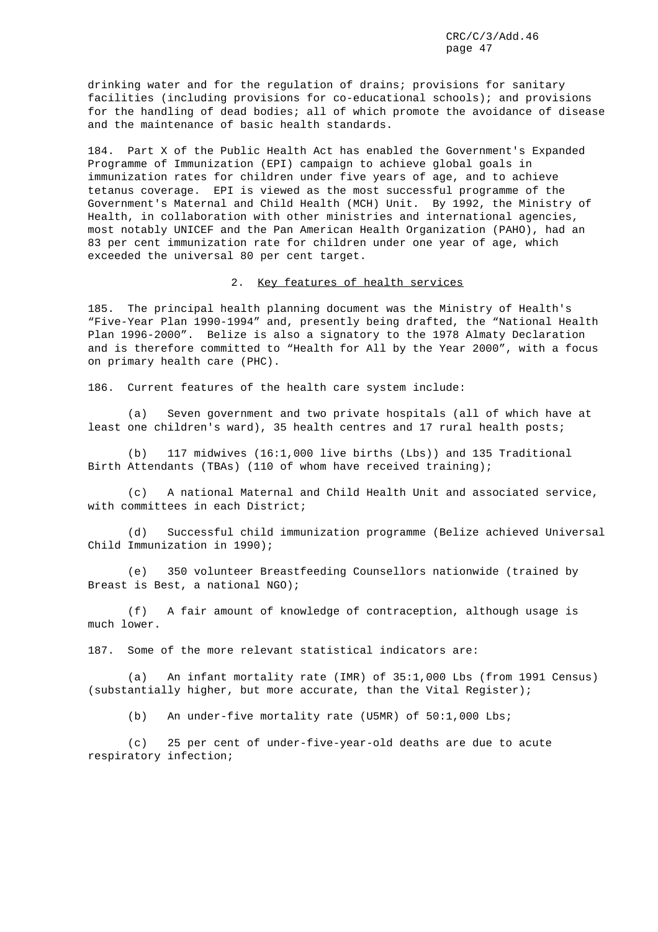drinking water and for the regulation of drains; provisions for sanitary facilities (including provisions for co-educational schools); and provisions for the handling of dead bodies; all of which promote the avoidance of disease and the maintenance of basic health standards.

184. Part X of the Public Health Act has enabled the Government's Expanded Programme of Immunization (EPI) campaign to achieve global goals in immunization rates for children under five years of age, and to achieve tetanus coverage. EPI is viewed as the most successful programme of the Government's Maternal and Child Health (MCH) Unit. By 1992, the Ministry of Health, in collaboration with other ministries and international agencies, most notably UNICEF and the Pan American Health Organization (PAHO), had an 83 per cent immunization rate for children under one year of age, which exceeded the universal 80 per cent target.

2. Key features of health services

185. The principal health planning document was the Ministry of Health's "Five-Year Plan 1990-1994" and, presently being drafted, the "National Health Plan 1996-2000". Belize is also a signatory to the 1978 Almaty Declaration and is therefore committed to "Health for All by the Year 2000", with a focus on primary health care (PHC).

186. Current features of the health care system include:

(a) Seven government and two private hospitals (all of which have at least one children's ward), 35 health centres and 17 rural health posts;

(b) 117 midwives (16:1,000 live births (Lbs)) and 135 Traditional Birth Attendants (TBAs) (110 of whom have received training);

(c) A national Maternal and Child Health Unit and associated service, with committees in each District;

(d) Successful child immunization programme (Belize achieved Universal Child Immunization in 1990);

(e) 350 volunteer Breastfeeding Counsellors nationwide (trained by Breast is Best, a national NGO);

(f) A fair amount of knowledge of contraception, although usage is much lower.

187. Some of the more relevant statistical indicators are:

(a) An infant mortality rate (IMR) of 35:1,000 Lbs (from 1991 Census) (substantially higher, but more accurate, than the Vital Register);

(b) An under-five mortality rate (U5MR) of 50:1,000 Lbs;

(c) 25 per cent of under-five-year-old deaths are due to acute respiratory infection;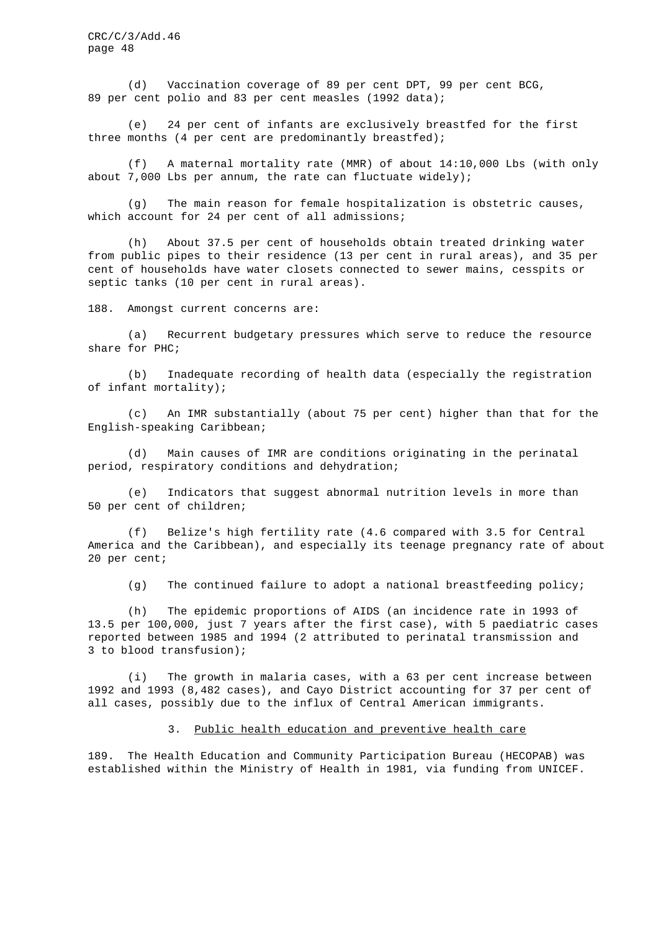(d) Vaccination coverage of 89 per cent DPT, 99 per cent BCG, 89 per cent polio and 83 per cent measles (1992 data);

(e) 24 per cent of infants are exclusively breastfed for the first three months (4 per cent are predominantly breastfed);

(f) A maternal mortality rate (MMR) of about 14:10,000 Lbs (with only about 7,000 Lbs per annum, the rate can fluctuate widely);

(g) The main reason for female hospitalization is obstetric causes, which account for 24 per cent of all admissions;

(h) About 37.5 per cent of households obtain treated drinking water from public pipes to their residence (13 per cent in rural areas), and 35 per cent of households have water closets connected to sewer mains, cesspits or septic tanks (10 per cent in rural areas).

188. Amongst current concerns are:

(a) Recurrent budgetary pressures which serve to reduce the resource share for PHC;

(b) Inadequate recording of health data (especially the registration of infant mortality);

(c) An IMR substantially (about 75 per cent) higher than that for the English-speaking Caribbean;

(d) Main causes of IMR are conditions originating in the perinatal period, respiratory conditions and dehydration;

(e) Indicators that suggest abnormal nutrition levels in more than 50 per cent of children;

(f) Belize's high fertility rate (4.6 compared with 3.5 for Central America and the Caribbean), and especially its teenage pregnancy rate of about 20 per cent;

(g) The continued failure to adopt a national breastfeeding policy;

(h) The epidemic proportions of AIDS (an incidence rate in 1993 of 13.5 per 100,000, just 7 years after the first case), with 5 paediatric cases reported between 1985 and 1994 (2 attributed to perinatal transmission and 3 to blood transfusion);

(i) The growth in malaria cases, with a 63 per cent increase between 1992 and 1993 (8,482 cases), and Cayo District accounting for 37 per cent of all cases, possibly due to the influx of Central American immigrants.

#### 3. Public health education and preventive health care

189. The Health Education and Community Participation Bureau (HECOPAB) was established within the Ministry of Health in 1981, via funding from UNICEF.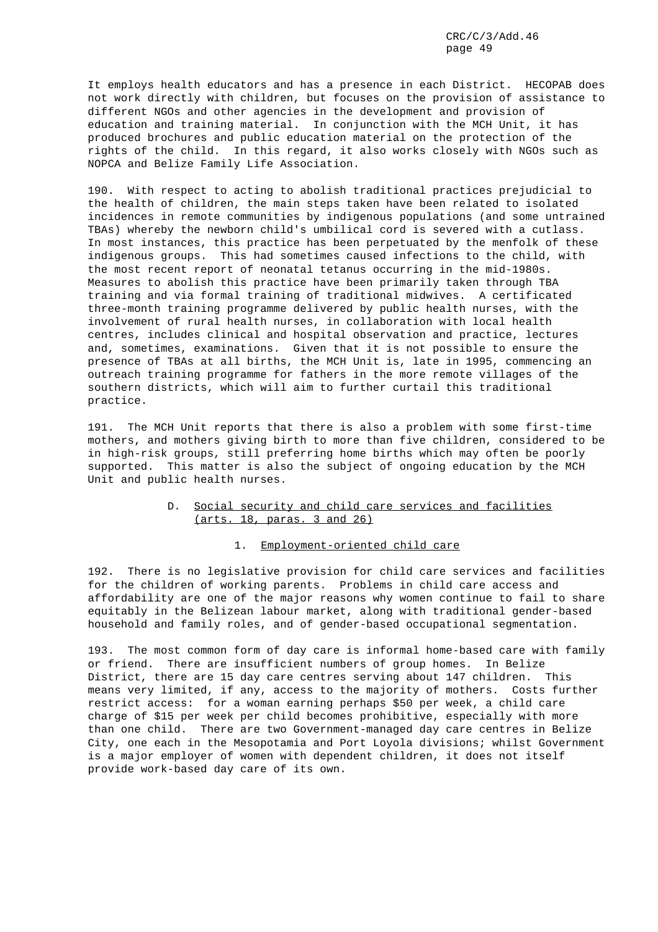It employs health educators and has a presence in each District. HECOPAB does not work directly with children, but focuses on the provision of assistance to different NGOs and other agencies in the development and provision of education and training material. In conjunction with the MCH Unit, it has produced brochures and public education material on the protection of the rights of the child. In this regard, it also works closely with NGOs such as NOPCA and Belize Family Life Association.

190. With respect to acting to abolish traditional practices prejudicial to the health of children, the main steps taken have been related to isolated incidences in remote communities by indigenous populations (and some untrained TBAs) whereby the newborn child's umbilical cord is severed with a cutlass. In most instances, this practice has been perpetuated by the menfolk of these indigenous groups. This had sometimes caused infections to the child, with the most recent report of neonatal tetanus occurring in the mid-1980s. Measures to abolish this practice have been primarily taken through TBA training and via formal training of traditional midwives. A certificated three-month training programme delivered by public health nurses, with the involvement of rural health nurses, in collaboration with local health centres, includes clinical and hospital observation and practice, lectures and, sometimes, examinations. Given that it is not possible to ensure the presence of TBAs at all births, the MCH Unit is, late in 1995, commencing an outreach training programme for fathers in the more remote villages of the southern districts, which will aim to further curtail this traditional practice.

191. The MCH Unit reports that there is also a problem with some first-time mothers, and mothers giving birth to more than five children, considered to be in high-risk groups, still preferring home births which may often be poorly supported. This matter is also the subject of ongoing education by the MCH Unit and public health nurses.

# D. Social security and child care services and facilities (arts. 18, paras. 3 and 26)

# 1. Employment-oriented child care

192. There is no legislative provision for child care services and facilities for the children of working parents. Problems in child care access and affordability are one of the major reasons why women continue to fail to share equitably in the Belizean labour market, along with traditional gender-based household and family roles, and of gender-based occupational segmentation.

193. The most common form of day care is informal home-based care with family or friend. There are insufficient numbers of group homes. In Belize District, there are 15 day care centres serving about 147 children. This means very limited, if any, access to the majority of mothers. Costs further restrict access: for a woman earning perhaps \$50 per week, a child care charge of \$15 per week per child becomes prohibitive, especially with more than one child. There are two Government-managed day care centres in Belize City, one each in the Mesopotamia and Port Loyola divisions; whilst Government is a major employer of women with dependent children, it does not itself provide work-based day care of its own.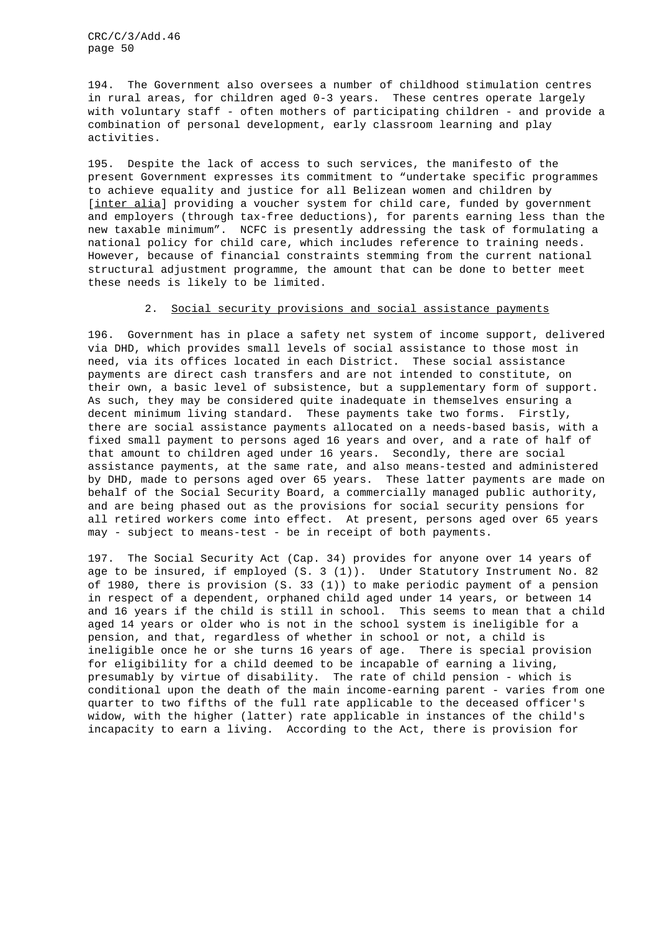194. The Government also oversees a number of childhood stimulation centres in rural areas, for children aged 0-3 years. These centres operate largely with voluntary staff - often mothers of participating children - and provide a combination of personal development, early classroom learning and play activities.

195. Despite the lack of access to such services, the manifesto of the present Government expresses its commitment to "undertake specific programmes to achieve equality and justice for all Belizean women and children by [inter alia] providing a voucher system for child care, funded by government and employers (through tax-free deductions), for parents earning less than the new taxable minimum". NCFC is presently addressing the task of formulating a national policy for child care, which includes reference to training needs. However, because of financial constraints stemming from the current national structural adjustment programme, the amount that can be done to better meet these needs is likely to be limited.

# 2. Social security provisions and social assistance payments

196. Government has in place a safety net system of income support, delivered via DHD, which provides small levels of social assistance to those most in need, via its offices located in each District. These social assistance payments are direct cash transfers and are not intended to constitute, on their own, a basic level of subsistence, but a supplementary form of support. As such, they may be considered quite inadequate in themselves ensuring a decent minimum living standard. These payments take two forms. Firstly, there are social assistance payments allocated on a needs-based basis, with a fixed small payment to persons aged 16 years and over, and a rate of half of that amount to children aged under 16 years. Secondly, there are social assistance payments, at the same rate, and also means-tested and administered by DHD, made to persons aged over 65 years. These latter payments are made on behalf of the Social Security Board, a commercially managed public authority, and are being phased out as the provisions for social security pensions for all retired workers come into effect. At present, persons aged over 65 years may - subject to means-test - be in receipt of both payments.

197. The Social Security Act (Cap. 34) provides for anyone over 14 years of age to be insured, if employed (S. 3 (1)). Under Statutory Instrument No. 82 of 1980, there is provision (S. 33 (1)) to make periodic payment of a pension in respect of a dependent, orphaned child aged under 14 years, or between 14 and 16 years if the child is still in school. This seems to mean that a child aged 14 years or older who is not in the school system is ineligible for a pension, and that, regardless of whether in school or not, a child is ineligible once he or she turns 16 years of age. There is special provision for eligibility for a child deemed to be incapable of earning a living, presumably by virtue of disability. The rate of child pension - which is conditional upon the death of the main income-earning parent - varies from one quarter to two fifths of the full rate applicable to the deceased officer's widow, with the higher (latter) rate applicable in instances of the child's incapacity to earn a living. According to the Act, there is provision for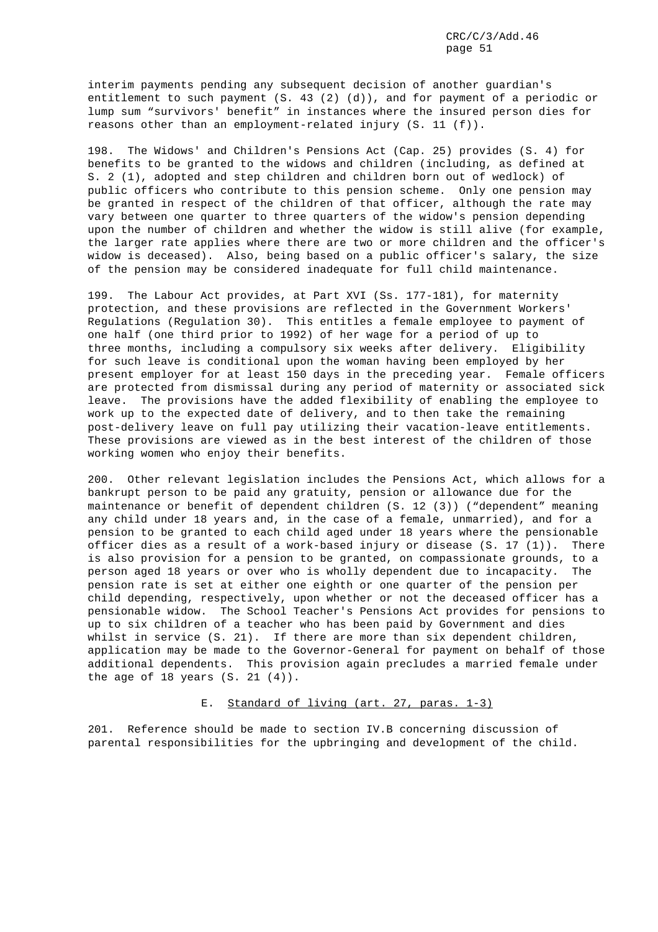interim payments pending any subsequent decision of another guardian's entitlement to such payment (S. 43 (2) (d)), and for payment of a periodic or lump sum "survivors' benefit" in instances where the insured person dies for reasons other than an employment-related injury (S. 11 (f)).

198. The Widows' and Children's Pensions Act (Cap. 25) provides (S. 4) for benefits to be granted to the widows and children (including, as defined at S. 2 (1), adopted and step children and children born out of wedlock) of public officers who contribute to this pension scheme. Only one pension may be granted in respect of the children of that officer, although the rate may vary between one quarter to three quarters of the widow's pension depending upon the number of children and whether the widow is still alive (for example, the larger rate applies where there are two or more children and the officer's widow is deceased). Also, being based on a public officer's salary, the size of the pension may be considered inadequate for full child maintenance.

199. The Labour Act provides, at Part XVI (Ss. 177-181), for maternity protection, and these provisions are reflected in the Government Workers' Regulations (Regulation 30). This entitles a female employee to payment of one half (one third prior to 1992) of her wage for a period of up to three months, including a compulsory six weeks after delivery. Eligibility for such leave is conditional upon the woman having been employed by her present employer for at least 150 days in the preceding year. Female officers are protected from dismissal during any period of maternity or associated sick leave. The provisions have the added flexibility of enabling the employee to work up to the expected date of delivery, and to then take the remaining post-delivery leave on full pay utilizing their vacation-leave entitlements. These provisions are viewed as in the best interest of the children of those working women who enjoy their benefits.

200. Other relevant legislation includes the Pensions Act, which allows for a bankrupt person to be paid any gratuity, pension or allowance due for the maintenance or benefit of dependent children (S. 12 (3)) ("dependent" meaning any child under 18 years and, in the case of a female, unmarried), and for a pension to be granted to each child aged under 18 years where the pensionable officer dies as a result of a work-based injury or disease (S. 17 (1)). There is also provision for a pension to be granted, on compassionate grounds, to a person aged 18 years or over who is wholly dependent due to incapacity. The pension rate is set at either one eighth or one quarter of the pension per child depending, respectively, upon whether or not the deceased officer has a pensionable widow. The School Teacher's Pensions Act provides for pensions to up to six children of a teacher who has been paid by Government and dies whilst in service (S. 21). If there are more than six dependent children, application may be made to the Governor-General for payment on behalf of those additional dependents. This provision again precludes a married female under the age of 18 years (S. 21 (4)).

### E. Standard of living (art. 27, paras. 1-3)

201. Reference should be made to section IV.B concerning discussion of parental responsibilities for the upbringing and development of the child.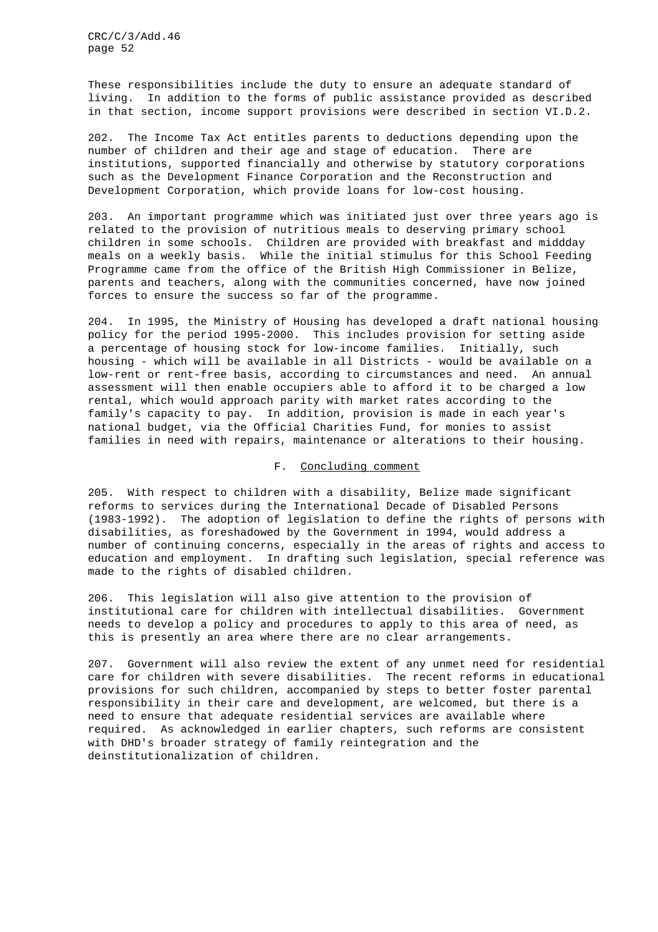These responsibilities include the duty to ensure an adequate standard of living. In addition to the forms of public assistance provided as described in that section, income support provisions were described in section VI.D.2.

202. The Income Tax Act entitles parents to deductions depending upon the number of children and their age and stage of education. There are institutions, supported financially and otherwise by statutory corporations such as the Development Finance Corporation and the Reconstruction and Development Corporation, which provide loans for low-cost housing.

203. An important programme which was initiated just over three years ago is related to the provision of nutritious meals to deserving primary school children in some schools. Children are provided with breakfast and middday meals on a weekly basis. While the initial stimulus for this School Feeding Programme came from the office of the British High Commissioner in Belize, parents and teachers, along with the communities concerned, have now joined forces to ensure the success so far of the programme.

204. In 1995, the Ministry of Housing has developed a draft national housing policy for the period 1995-2000. This includes provision for setting aside a percentage of housing stock for low-income families. Initially, such housing - which will be available in all Districts - would be available on a low-rent or rent-free basis, according to circumstances and need. An annual assessment will then enable occupiers able to afford it to be charged a low rental, which would approach parity with market rates according to the family's capacity to pay. In addition, provision is made in each year's national budget, via the Official Charities Fund, for monies to assist families in need with repairs, maintenance or alterations to their housing.

## F. Concluding comment

205. With respect to children with a disability, Belize made significant reforms to services during the International Decade of Disabled Persons (1983-1992). The adoption of legislation to define the rights of persons with disabilities, as foreshadowed by the Government in 1994, would address a number of continuing concerns, especially in the areas of rights and access to education and employment. In drafting such legislation, special reference was made to the rights of disabled children.

206. This legislation will also give attention to the provision of institutional care for children with intellectual disabilities. Government needs to develop a policy and procedures to apply to this area of need, as this is presently an area where there are no clear arrangements.

207. Government will also review the extent of any unmet need for residential care for children with severe disabilities. The recent reforms in educational provisions for such children, accompanied by steps to better foster parental responsibility in their care and development, are welcomed, but there is a need to ensure that adequate residential services are available where required. As acknowledged in earlier chapters, such reforms are consistent with DHD's broader strategy of family reintegration and the deinstitutionalization of children.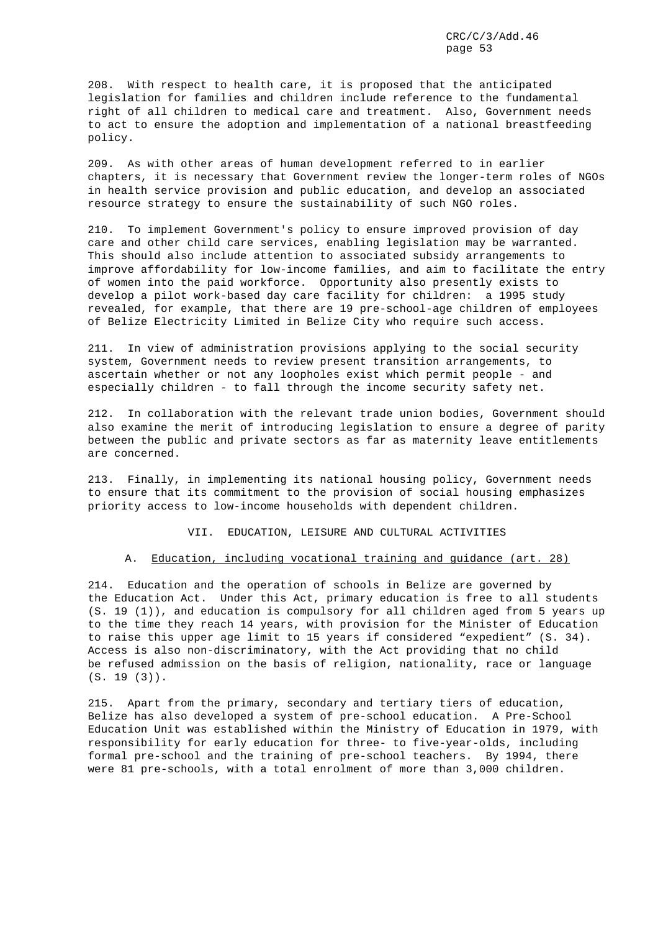208. With respect to health care, it is proposed that the anticipated legislation for families and children include reference to the fundamental right of all children to medical care and treatment. Also, Government needs to act to ensure the adoption and implementation of a national breastfeeding policy.

209. As with other areas of human development referred to in earlier chapters, it is necessary that Government review the longer-term roles of NGOs in health service provision and public education, and develop an associated resource strategy to ensure the sustainability of such NGO roles.

210. To implement Government's policy to ensure improved provision of day care and other child care services, enabling legislation may be warranted. This should also include attention to associated subsidy arrangements to improve affordability for low-income families, and aim to facilitate the entry of women into the paid workforce. Opportunity also presently exists to develop a pilot work-based day care facility for children: a 1995 study revealed, for example, that there are 19 pre-school-age children of employees of Belize Electricity Limited in Belize City who require such access.

211. In view of administration provisions applying to the social security system, Government needs to review present transition arrangements, to ascertain whether or not any loopholes exist which permit people - and especially children - to fall through the income security safety net.

212. In collaboration with the relevant trade union bodies, Government should also examine the merit of introducing legislation to ensure a degree of parity between the public and private sectors as far as maternity leave entitlements are concerned.

213. Finally, in implementing its national housing policy, Government needs to ensure that its commitment to the provision of social housing emphasizes priority access to low-income households with dependent children.

VII. EDUCATION, LEISURE AND CULTURAL ACTIVITIES

#### A. Education, including vocational training and guidance (art. 28)

214. Education and the operation of schools in Belize are governed by the Education Act. Under this Act, primary education is free to all students (S. 19 (1)), and education is compulsory for all children aged from 5 years up to the time they reach 14 years, with provision for the Minister of Education to raise this upper age limit to 15 years if considered "expedient" (S. 34). Access is also non-discriminatory, with the Act providing that no child be refused admission on the basis of religion, nationality, race or language (S. 19 (3)).

215. Apart from the primary, secondary and tertiary tiers of education, Belize has also developed a system of pre-school education. A Pre-School Education Unit was established within the Ministry of Education in 1979, with responsibility for early education for three- to five-year-olds, including formal pre-school and the training of pre-school teachers. By 1994, there were 81 pre-schools, with a total enrolment of more than 3,000 children.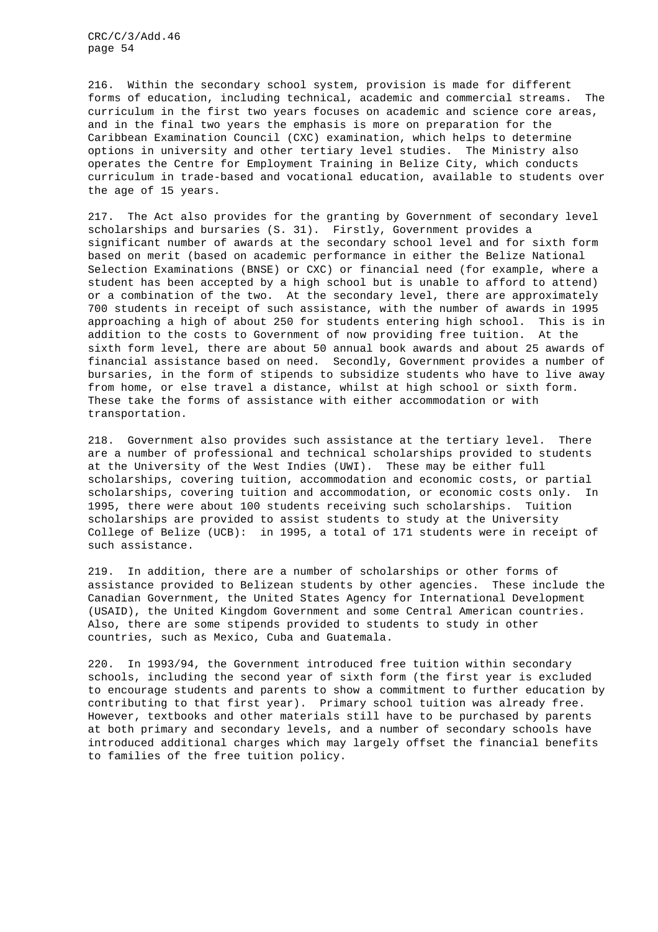216. Within the secondary school system, provision is made for different forms of education, including technical, academic and commercial streams. The curriculum in the first two years focuses on academic and science core areas, and in the final two years the emphasis is more on preparation for the Caribbean Examination Council (CXC) examination, which helps to determine options in university and other tertiary level studies. The Ministry also operates the Centre for Employment Training in Belize City, which conducts curriculum in trade-based and vocational education, available to students over the age of 15 years.

217. The Act also provides for the granting by Government of secondary level scholarships and bursaries (S. 31). Firstly, Government provides a significant number of awards at the secondary school level and for sixth form based on merit (based on academic performance in either the Belize National Selection Examinations (BNSE) or CXC) or financial need (for example, where a student has been accepted by a high school but is unable to afford to attend) or a combination of the two. At the secondary level, there are approximately 700 students in receipt of such assistance, with the number of awards in 1995 approaching a high of about 250 for students entering high school. This is in addition to the costs to Government of now providing free tuition. At the sixth form level, there are about 50 annual book awards and about 25 awards of financial assistance based on need. Secondly, Government provides a number of bursaries, in the form of stipends to subsidize students who have to live away from home, or else travel a distance, whilst at high school or sixth form. These take the forms of assistance with either accommodation or with transportation.

218. Government also provides such assistance at the tertiary level. There are a number of professional and technical scholarships provided to students at the University of the West Indies (UWI). These may be either full scholarships, covering tuition, accommodation and economic costs, or partial scholarships, covering tuition and accommodation, or economic costs only. In 1995, there were about 100 students receiving such scholarships. Tuition scholarships are provided to assist students to study at the University College of Belize (UCB): in 1995, a total of 171 students were in receipt of such assistance.

219. In addition, there are a number of scholarships or other forms of assistance provided to Belizean students by other agencies. These include the Canadian Government, the United States Agency for International Development (USAID), the United Kingdom Government and some Central American countries. Also, there are some stipends provided to students to study in other countries, such as Mexico, Cuba and Guatemala.

220. In 1993/94, the Government introduced free tuition within secondary schools, including the second year of sixth form (the first year is excluded to encourage students and parents to show a commitment to further education by contributing to that first year). Primary school tuition was already free. However, textbooks and other materials still have to be purchased by parents at both primary and secondary levels, and a number of secondary schools have introduced additional charges which may largely offset the financial benefits to families of the free tuition policy.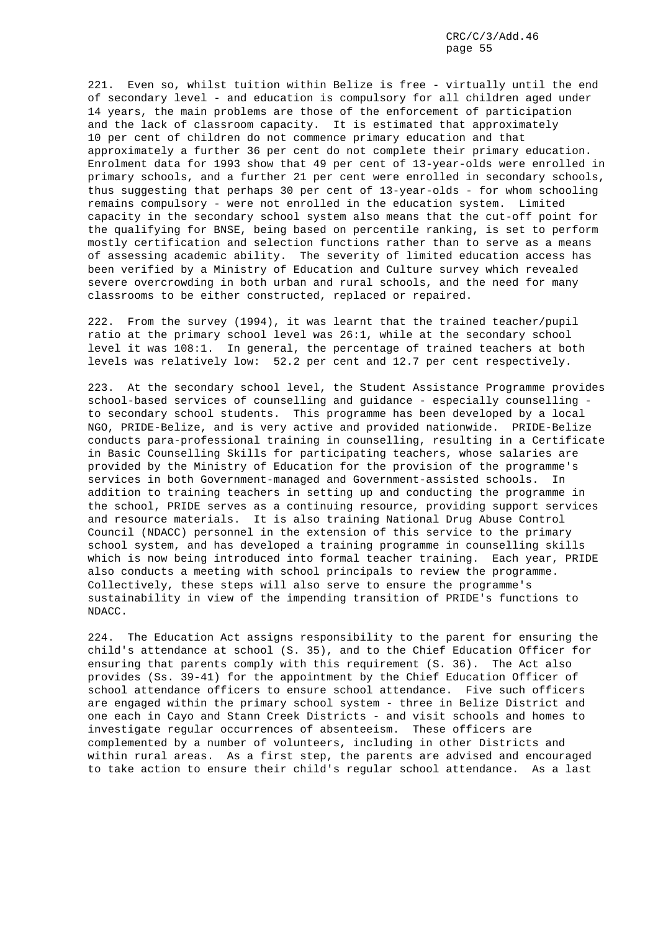221. Even so, whilst tuition within Belize is free - virtually until the end of secondary level - and education is compulsory for all children aged under 14 years, the main problems are those of the enforcement of participation and the lack of classroom capacity. It is estimated that approximately 10 per cent of children do not commence primary education and that approximately a further 36 per cent do not complete their primary education. Enrolment data for 1993 show that 49 per cent of 13-year-olds were enrolled in primary schools, and a further 21 per cent were enrolled in secondary schools, thus suggesting that perhaps 30 per cent of 13-year-olds - for whom schooling remains compulsory - were not enrolled in the education system. Limited capacity in the secondary school system also means that the cut-off point for the qualifying for BNSE, being based on percentile ranking, is set to perform mostly certification and selection functions rather than to serve as a means of assessing academic ability. The severity of limited education access has been verified by a Ministry of Education and Culture survey which revealed severe overcrowding in both urban and rural schools, and the need for many classrooms to be either constructed, replaced or repaired.

222. From the survey (1994), it was learnt that the trained teacher/pupil ratio at the primary school level was 26:1, while at the secondary school level it was 108:1. In general, the percentage of trained teachers at both levels was relatively low: 52.2 per cent and 12.7 per cent respectively.

223. At the secondary school level, the Student Assistance Programme provides school-based services of counselling and guidance - especially counselling to secondary school students. This programme has been developed by a local NGO, PRIDE-Belize, and is very active and provided nationwide. PRIDE-Belize conducts para-professional training in counselling, resulting in a Certificate in Basic Counselling Skills for participating teachers, whose salaries are provided by the Ministry of Education for the provision of the programme's services in both Government-managed and Government-assisted schools. In addition to training teachers in setting up and conducting the programme in the school, PRIDE serves as a continuing resource, providing support services and resource materials. It is also training National Drug Abuse Control Council (NDACC) personnel in the extension of this service to the primary school system, and has developed a training programme in counselling skills which is now being introduced into formal teacher training. Each year, PRIDE also conducts a meeting with school principals to review the programme. Collectively, these steps will also serve to ensure the programme's sustainability in view of the impending transition of PRIDE's functions to NDACC.

224. The Education Act assigns responsibility to the parent for ensuring the child's attendance at school (S. 35), and to the Chief Education Officer for ensuring that parents comply with this requirement (S. 36). The Act also provides (Ss. 39-41) for the appointment by the Chief Education Officer of school attendance officers to ensure school attendance. Five such officers are engaged within the primary school system - three in Belize District and one each in Cayo and Stann Creek Districts - and visit schools and homes to investigate regular occurrences of absenteeism. These officers are complemented by a number of volunteers, including in other Districts and within rural areas. As a first step, the parents are advised and encouraged to take action to ensure their child's regular school attendance. As a last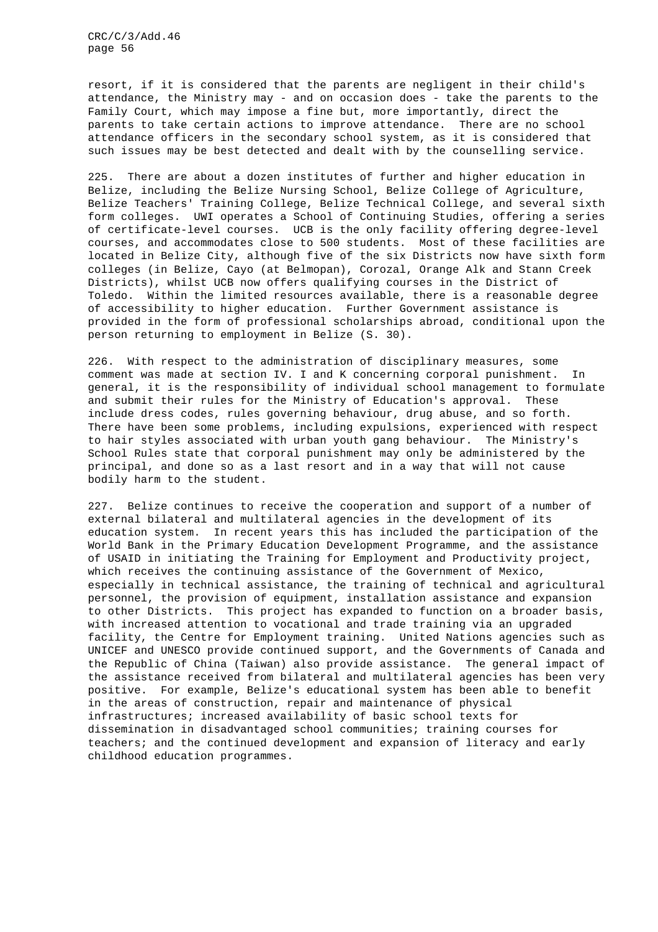resort, if it is considered that the parents are negligent in their child's attendance, the Ministry may - and on occasion does - take the parents to the Family Court, which may impose a fine but, more importantly, direct the parents to take certain actions to improve attendance. There are no school attendance officers in the secondary school system, as it is considered that such issues may be best detected and dealt with by the counselling service.

225. There are about a dozen institutes of further and higher education in Belize, including the Belize Nursing School, Belize College of Agriculture, Belize Teachers' Training College, Belize Technical College, and several sixth form colleges. UWI operates a School of Continuing Studies, offering a series of certificate-level courses. UCB is the only facility offering degree-level courses, and accommodates close to 500 students. Most of these facilities are located in Belize City, although five of the six Districts now have sixth form colleges (in Belize, Cayo (at Belmopan), Corozal, Orange Alk and Stann Creek Districts), whilst UCB now offers qualifying courses in the District of Toledo. Within the limited resources available, there is a reasonable degree of accessibility to higher education. Further Government assistance is provided in the form of professional scholarships abroad, conditional upon the person returning to employment in Belize (S. 30).

226. With respect to the administration of disciplinary measures, some comment was made at section IV. I and K concerning corporal punishment. In general, it is the responsibility of individual school management to formulate and submit their rules for the Ministry of Education's approval. These include dress codes, rules governing behaviour, drug abuse, and so forth. There have been some problems, including expulsions, experienced with respect to hair styles associated with urban youth gang behaviour. The Ministry's School Rules state that corporal punishment may only be administered by the principal, and done so as a last resort and in a way that will not cause bodily harm to the student.

227. Belize continues to receive the cooperation and support of a number of external bilateral and multilateral agencies in the development of its education system. In recent years this has included the participation of the World Bank in the Primary Education Development Programme, and the assistance of USAID in initiating the Training for Employment and Productivity project, which receives the continuing assistance of the Government of Mexico, especially in technical assistance, the training of technical and agricultural personnel, the provision of equipment, installation assistance and expansion to other Districts. This project has expanded to function on a broader basis, with increased attention to vocational and trade training via an upgraded facility, the Centre for Employment training. United Nations agencies such as UNICEF and UNESCO provide continued support, and the Governments of Canada and the Republic of China (Taiwan) also provide assistance. The general impact of the assistance received from bilateral and multilateral agencies has been very positive. For example, Belize's educational system has been able to benefit in the areas of construction, repair and maintenance of physical infrastructures; increased availability of basic school texts for dissemination in disadvantaged school communities; training courses for teachers; and the continued development and expansion of literacy and early childhood education programmes.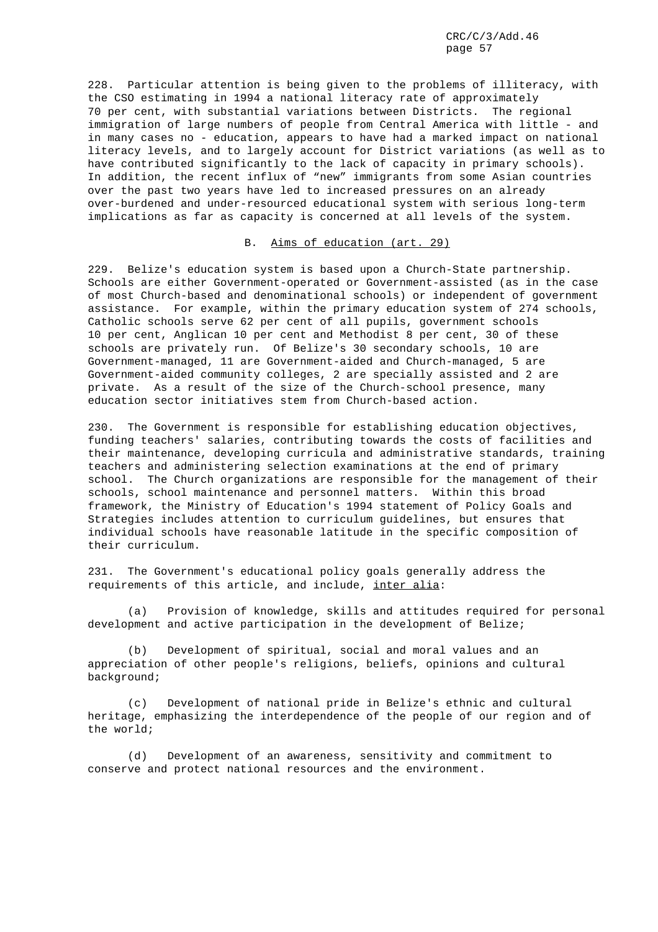228. Particular attention is being given to the problems of illiteracy, with the CSO estimating in 1994 a national literacy rate of approximately 70 per cent, with substantial variations between Districts. The regional immigration of large numbers of people from Central America with little - and in many cases no - education, appears to have had a marked impact on national literacy levels, and to largely account for District variations (as well as to have contributed significantly to the lack of capacity in primary schools). In addition, the recent influx of "new" immigrants from some Asian countries over the past two years have led to increased pressures on an already over-burdened and under-resourced educational system with serious long-term implications as far as capacity is concerned at all levels of the system.

## B. Aims of education (art. 29)

229. Belize's education system is based upon a Church-State partnership. Schools are either Government-operated or Government-assisted (as in the case of most Church-based and denominational schools) or independent of government assistance. For example, within the primary education system of 274 schools, Catholic schools serve 62 per cent of all pupils, government schools 10 per cent, Anglican 10 per cent and Methodist 8 per cent, 30 of these schools are privately run. Of Belize's 30 secondary schools, 10 are Government-managed, 11 are Government-aided and Church-managed, 5 are Government-aided community colleges, 2 are specially assisted and 2 are private. As a result of the size of the Church-school presence, many education sector initiatives stem from Church-based action.

230. The Government is responsible for establishing education objectives, funding teachers' salaries, contributing towards the costs of facilities and their maintenance, developing curricula and administrative standards, training teachers and administering selection examinations at the end of primary school. The Church organizations are responsible for the management of their schools, school maintenance and personnel matters. Within this broad framework, the Ministry of Education's 1994 statement of Policy Goals and Strategies includes attention to curriculum guidelines, but ensures that individual schools have reasonable latitude in the specific composition of their curriculum.

231. The Government's educational policy goals generally address the requirements of this article, and include, inter alia:

(a) Provision of knowledge, skills and attitudes required for personal development and active participation in the development of Belize;

(b) Development of spiritual, social and moral values and an appreciation of other people's religions, beliefs, opinions and cultural background;

(c) Development of national pride in Belize's ethnic and cultural heritage, emphasizing the interdependence of the people of our region and of the world;

(d) Development of an awareness, sensitivity and commitment to conserve and protect national resources and the environment.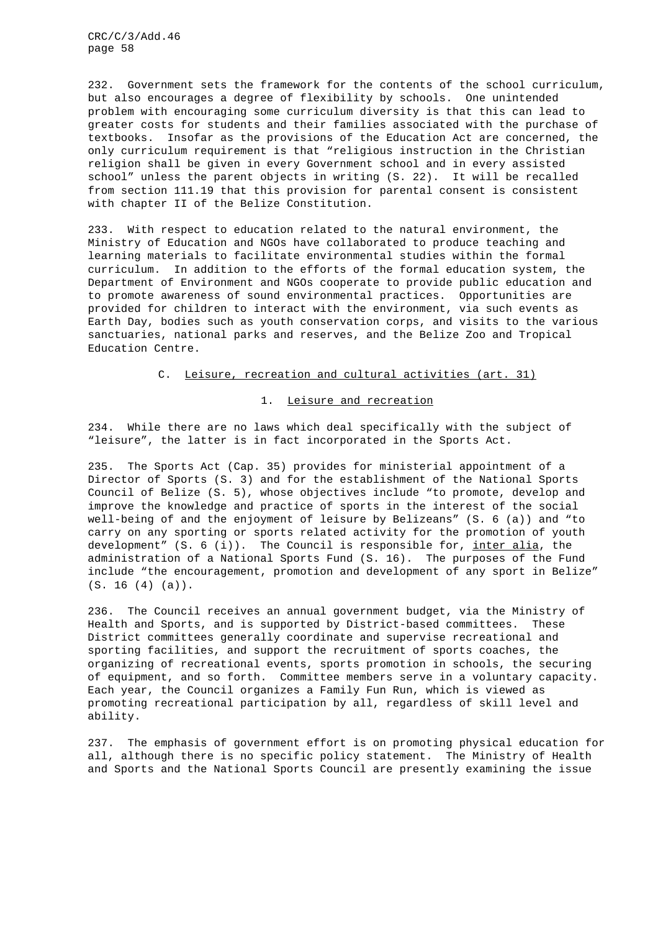232. Government sets the framework for the contents of the school curriculum, but also encourages a degree of flexibility by schools. One unintended problem with encouraging some curriculum diversity is that this can lead to greater costs for students and their families associated with the purchase of textbooks. Insofar as the provisions of the Education Act are concerned, the only curriculum requirement is that "religious instruction in the Christian religion shall be given in every Government school and in every assisted school" unless the parent objects in writing (S. 22). It will be recalled from section 111.19 that this provision for parental consent is consistent with chapter II of the Belize Constitution.

233. With respect to education related to the natural environment, the Ministry of Education and NGOs have collaborated to produce teaching and learning materials to facilitate environmental studies within the formal curriculum. In addition to the efforts of the formal education system, the Department of Environment and NGOs cooperate to provide public education and to promote awareness of sound environmental practices. Opportunities are provided for children to interact with the environment, via such events as Earth Day, bodies such as youth conservation corps, and visits to the various sanctuaries, national parks and reserves, and the Belize Zoo and Tropical Education Centre.

#### C. Leisure, recreation and cultural activities (art. 31)

### 1. Leisure and recreation

234. While there are no laws which deal specifically with the subject of "leisure", the latter is in fact incorporated in the Sports Act.

235. The Sports Act (Cap. 35) provides for ministerial appointment of a Director of Sports (S. 3) and for the establishment of the National Sports Council of Belize (S. 5), whose objectives include "to promote, develop and improve the knowledge and practice of sports in the interest of the social well-being of and the enjoyment of leisure by Belizeans" (S. 6 (a)) and "to carry on any sporting or sports related activity for the promotion of youth development"  $(S. 6 (i))$ . The Council is responsible for, inter alia, the administration of a National Sports Fund (S. 16). The purposes of the Fund include "the encouragement, promotion and development of any sport in Belize" (S. 16 (4) (a)).

236. The Council receives an annual government budget, via the Ministry of Health and Sports, and is supported by District-based committees. These District committees generally coordinate and supervise recreational and sporting facilities, and support the recruitment of sports coaches, the organizing of recreational events, sports promotion in schools, the securing of equipment, and so forth. Committee members serve in a voluntary capacity. Each year, the Council organizes a Family Fun Run, which is viewed as promoting recreational participation by all, regardless of skill level and ability.

237. The emphasis of government effort is on promoting physical education for all, although there is no specific policy statement. The Ministry of Health and Sports and the National Sports Council are presently examining the issue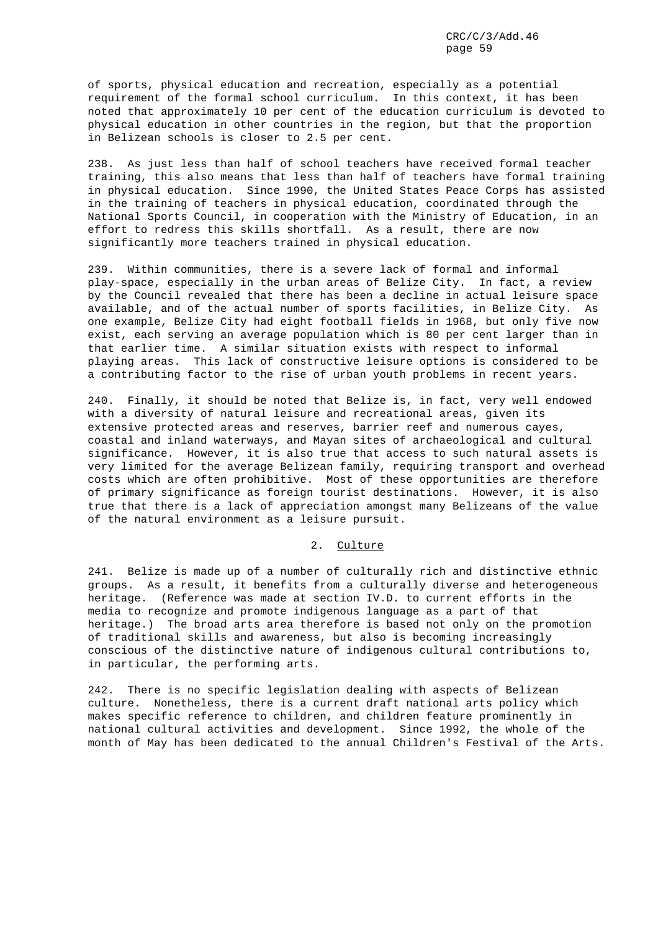of sports, physical education and recreation, especially as a potential requirement of the formal school curriculum. In this context, it has been noted that approximately 10 per cent of the education curriculum is devoted to physical education in other countries in the region, but that the proportion in Belizean schools is closer to 2.5 per cent.

238. As just less than half of school teachers have received formal teacher training, this also means that less than half of teachers have formal training in physical education. Since 1990, the United States Peace Corps has assisted in the training of teachers in physical education, coordinated through the National Sports Council, in cooperation with the Ministry of Education, in an effort to redress this skills shortfall. As a result, there are now significantly more teachers trained in physical education.

239. Within communities, there is a severe lack of formal and informal play-space, especially in the urban areas of Belize City. In fact, a review by the Council revealed that there has been a decline in actual leisure space available, and of the actual number of sports facilities, in Belize City. As one example, Belize City had eight football fields in 1968, but only five now exist, each serving an average population which is 80 per cent larger than in that earlier time. A similar situation exists with respect to informal playing areas. This lack of constructive leisure options is considered to be a contributing factor to the rise of urban youth problems in recent years.

240. Finally, it should be noted that Belize is, in fact, very well endowed with a diversity of natural leisure and recreational areas, given its extensive protected areas and reserves, barrier reef and numerous cayes, coastal and inland waterways, and Mayan sites of archaeological and cultural significance. However, it is also true that access to such natural assets is very limited for the average Belizean family, requiring transport and overhead costs which are often prohibitive. Most of these opportunities are therefore of primary significance as foreign tourist destinations. However, it is also true that there is a lack of appreciation amongst many Belizeans of the value of the natural environment as a leisure pursuit.

### 2. Culture

241. Belize is made up of a number of culturally rich and distinctive ethnic groups. As a result, it benefits from a culturally diverse and heterogeneous heritage. (Reference was made at section IV.D. to current efforts in the media to recognize and promote indigenous language as a part of that heritage.) The broad arts area therefore is based not only on the promotion of traditional skills and awareness, but also is becoming increasingly conscious of the distinctive nature of indigenous cultural contributions to, in particular, the performing arts.

242. There is no specific legislation dealing with aspects of Belizean culture. Nonetheless, there is a current draft national arts policy which makes specific reference to children, and children feature prominently in national cultural activities and development. Since 1992, the whole of the month of May has been dedicated to the annual Children's Festival of the Arts.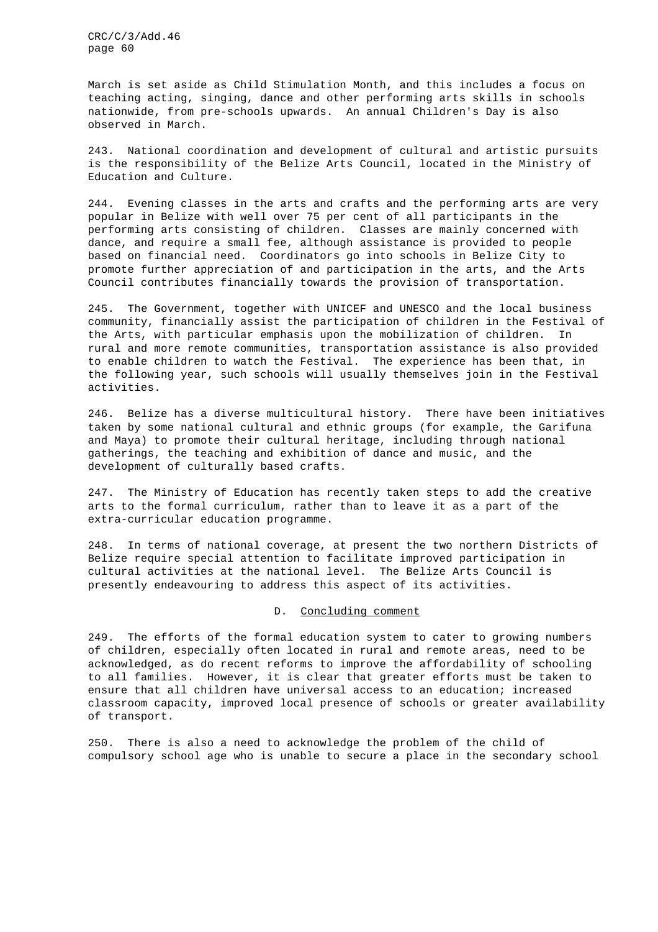March is set aside as Child Stimulation Month, and this includes a focus on teaching acting, singing, dance and other performing arts skills in schools nationwide, from pre-schools upwards. An annual Children's Day is also observed in March.

243. National coordination and development of cultural and artistic pursuits is the responsibility of the Belize Arts Council, located in the Ministry of Education and Culture.

244. Evening classes in the arts and crafts and the performing arts are very popular in Belize with well over 75 per cent of all participants in the performing arts consisting of children. Classes are mainly concerned with dance, and require a small fee, although assistance is provided to people based on financial need. Coordinators go into schools in Belize City to promote further appreciation of and participation in the arts, and the Arts Council contributes financially towards the provision of transportation.

245. The Government, together with UNICEF and UNESCO and the local business community, financially assist the participation of children in the Festival of the Arts, with particular emphasis upon the mobilization of children. In rural and more remote communities, transportation assistance is also provided to enable children to watch the Festival. The experience has been that, in the following year, such schools will usually themselves join in the Festival activities.

246. Belize has a diverse multicultural history. There have been initiatives taken by some national cultural and ethnic groups (for example, the Garifuna and Maya) to promote their cultural heritage, including through national gatherings, the teaching and exhibition of dance and music, and the development of culturally based crafts.

247. The Ministry of Education has recently taken steps to add the creative arts to the formal curriculum, rather than to leave it as a part of the extra-curricular education programme.

248. In terms of national coverage, at present the two northern Districts of Belize require special attention to facilitate improved participation in cultural activities at the national level. The Belize Arts Council is presently endeavouring to address this aspect of its activities.

# D. Concluding comment

249. The efforts of the formal education system to cater to growing numbers of children, especially often located in rural and remote areas, need to be acknowledged, as do recent reforms to improve the affordability of schooling to all families. However, it is clear that greater efforts must be taken to ensure that all children have universal access to an education; increased classroom capacity, improved local presence of schools or greater availability of transport.

250. There is also a need to acknowledge the problem of the child of compulsory school age who is unable to secure a place in the secondary school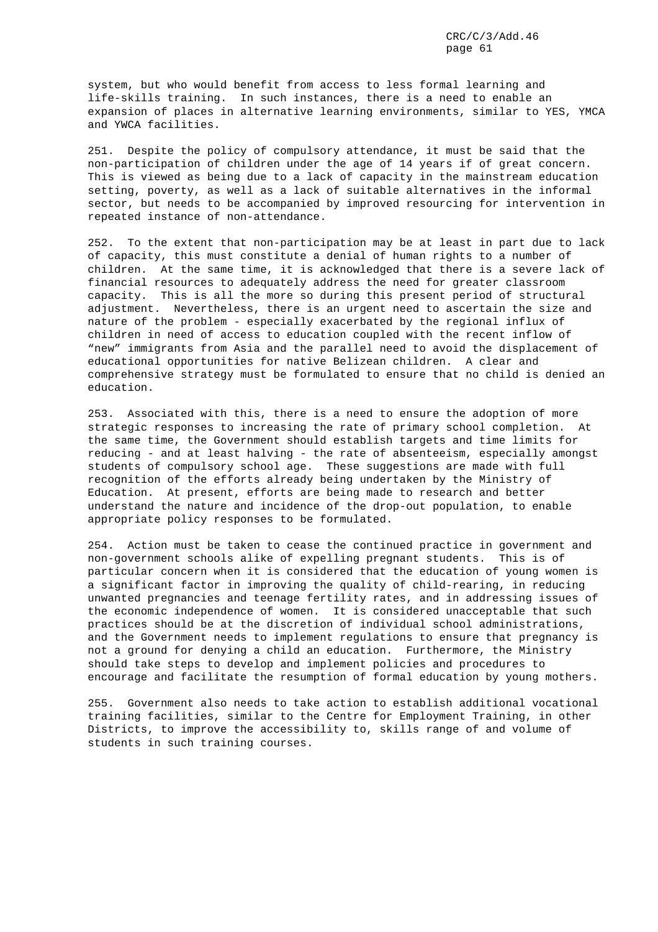system, but who would benefit from access to less formal learning and life-skills training. In such instances, there is a need to enable an expansion of places in alternative learning environments, similar to YES, YMCA and YWCA facilities.

251. Despite the policy of compulsory attendance, it must be said that the non-participation of children under the age of 14 years if of great concern. This is viewed as being due to a lack of capacity in the mainstream education setting, poverty, as well as a lack of suitable alternatives in the informal sector, but needs to be accompanied by improved resourcing for intervention in repeated instance of non-attendance.

252. To the extent that non-participation may be at least in part due to lack of capacity, this must constitute a denial of human rights to a number of children. At the same time, it is acknowledged that there is a severe lack of financial resources to adequately address the need for greater classroom capacity. This is all the more so during this present period of structural adjustment. Nevertheless, there is an urgent need to ascertain the size and nature of the problem - especially exacerbated by the regional influx of children in need of access to education coupled with the recent inflow of "new" immigrants from Asia and the parallel need to avoid the displacement of educational opportunities for native Belizean children. A clear and comprehensive strategy must be formulated to ensure that no child is denied an education.

253. Associated with this, there is a need to ensure the adoption of more strategic responses to increasing the rate of primary school completion. At the same time, the Government should establish targets and time limits for reducing - and at least halving - the rate of absenteeism, especially amongst students of compulsory school age. These suggestions are made with full recognition of the efforts already being undertaken by the Ministry of Education. At present, efforts are being made to research and better understand the nature and incidence of the drop-out population, to enable appropriate policy responses to be formulated.

254. Action must be taken to cease the continued practice in government and non-government schools alike of expelling pregnant students. This is of particular concern when it is considered that the education of young women is a significant factor in improving the quality of child-rearing, in reducing unwanted pregnancies and teenage fertility rates, and in addressing issues of the economic independence of women. It is considered unacceptable that such practices should be at the discretion of individual school administrations, and the Government needs to implement regulations to ensure that pregnancy is not a ground for denying a child an education. Furthermore, the Ministry should take steps to develop and implement policies and procedures to encourage and facilitate the resumption of formal education by young mothers.

255. Government also needs to take action to establish additional vocational training facilities, similar to the Centre for Employment Training, in other Districts, to improve the accessibility to, skills range of and volume of students in such training courses.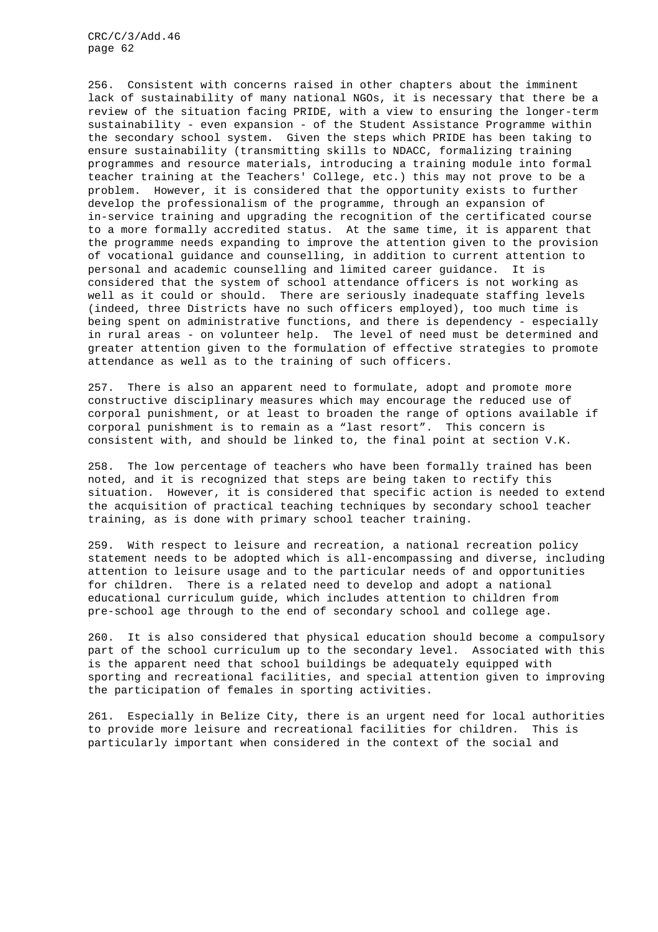256. Consistent with concerns raised in other chapters about the imminent lack of sustainability of many national NGOs, it is necessary that there be a review of the situation facing PRIDE, with a view to ensuring the longer-term sustainability - even expansion - of the Student Assistance Programme within the secondary school system. Given the steps which PRIDE has been taking to ensure sustainability (transmitting skills to NDACC, formalizing training programmes and resource materials, introducing a training module into formal teacher training at the Teachers' College, etc.) this may not prove to be a problem. However, it is considered that the opportunity exists to further develop the professionalism of the programme, through an expansion of in-service training and upgrading the recognition of the certificated course to a more formally accredited status. At the same time, it is apparent that the programme needs expanding to improve the attention given to the provision of vocational guidance and counselling, in addition to current attention to personal and academic counselling and limited career guidance. It is considered that the system of school attendance officers is not working as well as it could or should. There are seriously inadequate staffing levels (indeed, three Districts have no such officers employed), too much time is being spent on administrative functions, and there is dependency - especially in rural areas - on volunteer help. The level of need must be determined and greater attention given to the formulation of effective strategies to promote attendance as well as to the training of such officers.

257. There is also an apparent need to formulate, adopt and promote more constructive disciplinary measures which may encourage the reduced use of corporal punishment, or at least to broaden the range of options available if corporal punishment is to remain as a "last resort". This concern is consistent with, and should be linked to, the final point at section V.K.

258. The low percentage of teachers who have been formally trained has been noted, and it is recognized that steps are being taken to rectify this situation. However, it is considered that specific action is needed to extend the acquisition of practical teaching techniques by secondary school teacher training, as is done with primary school teacher training.

259. With respect to leisure and recreation, a national recreation policy statement needs to be adopted which is all-encompassing and diverse, including attention to leisure usage and to the particular needs of and opportunities for children. There is a related need to develop and adopt a national educational curriculum guide, which includes attention to children from pre-school age through to the end of secondary school and college age.

260. It is also considered that physical education should become a compulsory part of the school curriculum up to the secondary level. Associated with this is the apparent need that school buildings be adequately equipped with sporting and recreational facilities, and special attention given to improving the participation of females in sporting activities.

261. Especially in Belize City, there is an urgent need for local authorities to provide more leisure and recreational facilities for children. This is particularly important when considered in the context of the social and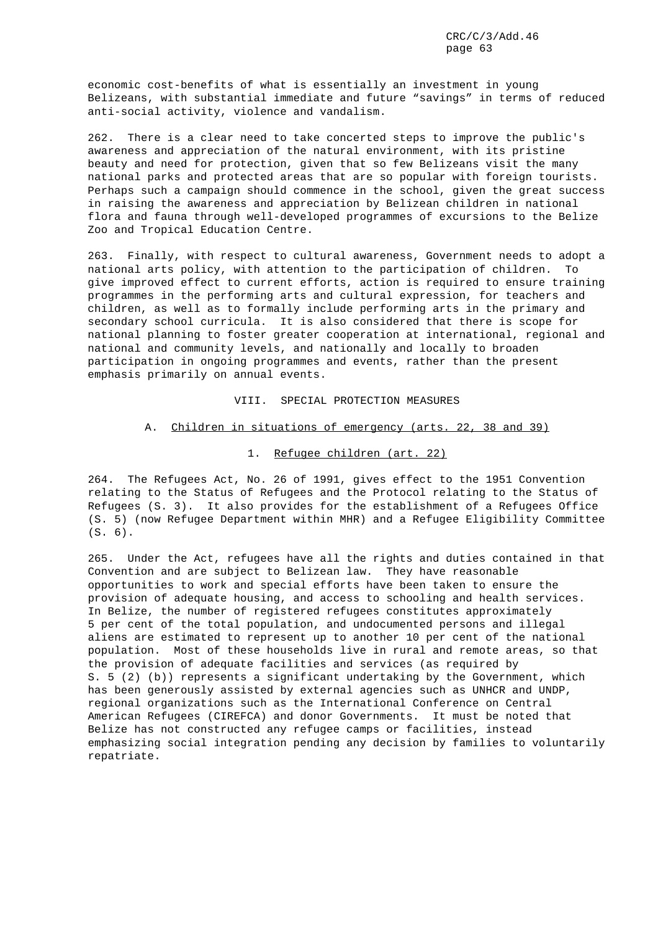economic cost-benefits of what is essentially an investment in young Belizeans, with substantial immediate and future "savings" in terms of reduced anti-social activity, violence and vandalism.

262. There is a clear need to take concerted steps to improve the public's awareness and appreciation of the natural environment, with its pristine beauty and need for protection, given that so few Belizeans visit the many national parks and protected areas that are so popular with foreign tourists. Perhaps such a campaign should commence in the school, given the great success in raising the awareness and appreciation by Belizean children in national flora and fauna through well-developed programmes of excursions to the Belize Zoo and Tropical Education Centre.

263. Finally, with respect to cultural awareness, Government needs to adopt a national arts policy, with attention to the participation of children. To give improved effect to current efforts, action is required to ensure training programmes in the performing arts and cultural expression, for teachers and children, as well as to formally include performing arts in the primary and secondary school curricula. It is also considered that there is scope for national planning to foster greater cooperation at international, regional and national and community levels, and nationally and locally to broaden participation in ongoing programmes and events, rather than the present emphasis primarily on annual events.

## VIII. SPECIAL PROTECTION MEASURES

#### A. Children in situations of emergency (arts. 22, 38 and 39)

# 1. Refugee children (art. 22)

264. The Refugees Act, No. 26 of 1991, gives effect to the 1951 Convention relating to the Status of Refugees and the Protocol relating to the Status of Refugees (S. 3). It also provides for the establishment of a Refugees Office (S. 5) (now Refugee Department within MHR) and a Refugee Eligibility Committee (S. 6).

265. Under the Act, refugees have all the rights and duties contained in that Convention and are subject to Belizean law. They have reasonable opportunities to work and special efforts have been taken to ensure the provision of adequate housing, and access to schooling and health services. In Belize, the number of registered refugees constitutes approximately 5 per cent of the total population, and undocumented persons and illegal aliens are estimated to represent up to another 10 per cent of the national population. Most of these households live in rural and remote areas, so that the provision of adequate facilities and services (as required by S. 5 (2) (b)) represents a significant undertaking by the Government, which has been generously assisted by external agencies such as UNHCR and UNDP, regional organizations such as the International Conference on Central American Refugees (CIREFCA) and donor Governments. It must be noted that Belize has not constructed any refugee camps or facilities, instead emphasizing social integration pending any decision by families to voluntarily repatriate.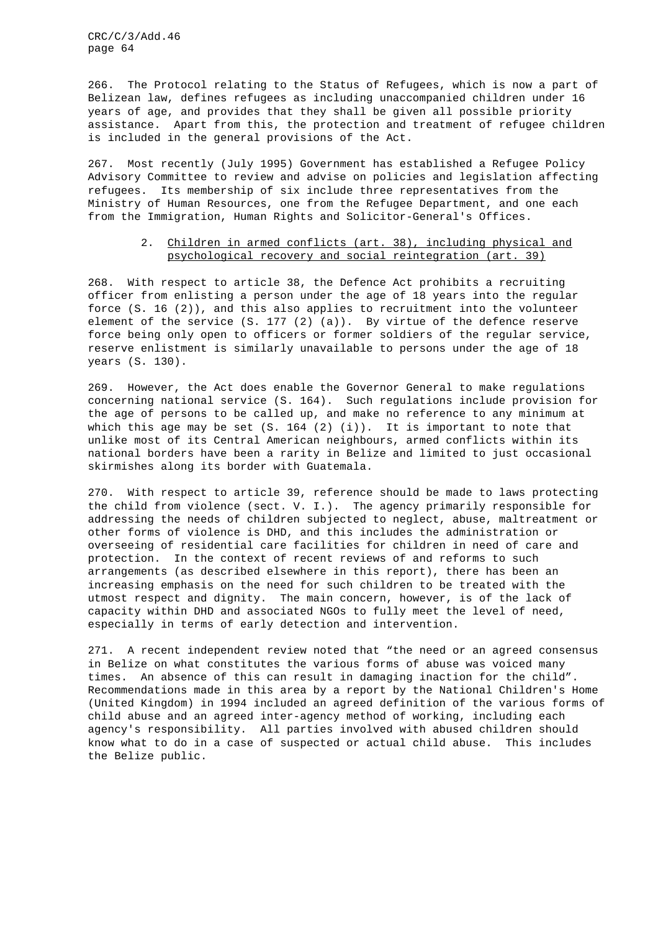266. The Protocol relating to the Status of Refugees, which is now a part of Belizean law, defines refugees as including unaccompanied children under 16 years of age, and provides that they shall be given all possible priority assistance. Apart from this, the protection and treatment of refugee children is included in the general provisions of the Act.

267. Most recently (July 1995) Government has established a Refugee Policy Advisory Committee to review and advise on policies and legislation affecting refugees. Its membership of six include three representatives from the Ministry of Human Resources, one from the Refugee Department, and one each from the Immigration, Human Rights and Solicitor-General's Offices.

# 2. Children in armed conflicts (art. 38), including physical and psychological recovery and social reintegration (art. 39)

268. With respect to article 38, the Defence Act prohibits a recruiting officer from enlisting a person under the age of 18 years into the regular force (S. 16 (2)), and this also applies to recruitment into the volunteer element of the service (S. 177 (2) (a)). By virtue of the defence reserve force being only open to officers or former soldiers of the regular service, reserve enlistment is similarly unavailable to persons under the age of 18 years (S. 130).

269. However, the Act does enable the Governor General to make regulations concerning national service (S. 164). Such regulations include provision for the age of persons to be called up, and make no reference to any minimum at which this age may be set  $(S. 164 (2) (i))$ . It is important to note that unlike most of its Central American neighbours, armed conflicts within its national borders have been a rarity in Belize and limited to just occasional skirmishes along its border with Guatemala.

270. With respect to article 39, reference should be made to laws protecting the child from violence (sect. V. I.). The agency primarily responsible for addressing the needs of children subjected to neglect, abuse, maltreatment or other forms of violence is DHD, and this includes the administration or overseeing of residential care facilities for children in need of care and protection. In the context of recent reviews of and reforms to such arrangements (as described elsewhere in this report), there has been an increasing emphasis on the need for such children to be treated with the utmost respect and dignity. The main concern, however, is of the lack of capacity within DHD and associated NGOs to fully meet the level of need, especially in terms of early detection and intervention.

271. A recent independent review noted that "the need or an agreed consensus in Belize on what constitutes the various forms of abuse was voiced many times. An absence of this can result in damaging inaction for the child". Recommendations made in this area by a report by the National Children's Home (United Kingdom) in 1994 included an agreed definition of the various forms of child abuse and an agreed inter-agency method of working, including each agency's responsibility. All parties involved with abused children should know what to do in a case of suspected or actual child abuse. This includes the Belize public.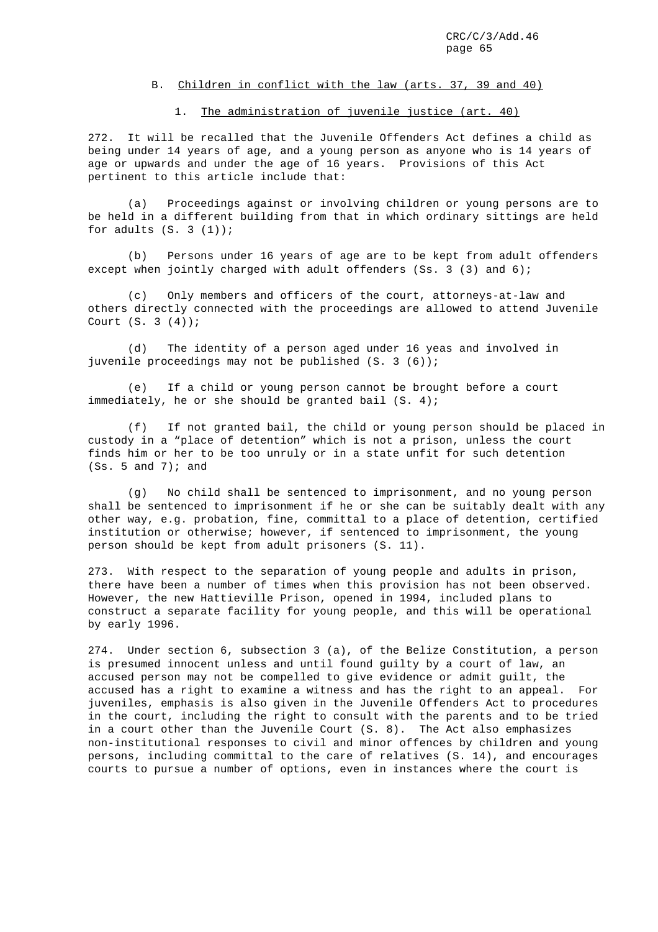### B. Children in conflict with the law (arts. 37, 39 and 40)

## 1. The administration of juvenile justice (art. 40)

272. It will be recalled that the Juvenile Offenders Act defines a child as being under 14 years of age, and a young person as anyone who is 14 years of age or upwards and under the age of 16 years. Provisions of this Act pertinent to this article include that:

(a) Proceedings against or involving children or young persons are to be held in a different building from that in which ordinary sittings are held for adults  $(S. 3 (1))$ ;

(b) Persons under 16 years of age are to be kept from adult offenders except when jointly charged with adult offenders (Ss. 3 (3) and 6);

(c) Only members and officers of the court, attorneys-at-law and others directly connected with the proceedings are allowed to attend Juvenile Court (S. 3 (4));

(d) The identity of a person aged under 16 yeas and involved in juvenile proceedings may not be published (S. 3 (6));

(e) If a child or young person cannot be brought before a court immediately, he or she should be granted bail (S. 4);

(f) If not granted bail, the child or young person should be placed in custody in a "place of detention" which is not a prison, unless the court finds him or her to be too unruly or in a state unfit for such detention  $(Ss. 5 and 7)$ ; and

(g) No child shall be sentenced to imprisonment, and no young person shall be sentenced to imprisonment if he or she can be suitably dealt with any other way, e.g. probation, fine, committal to a place of detention, certified institution or otherwise; however, if sentenced to imprisonment, the young person should be kept from adult prisoners (S. 11).

273. With respect to the separation of young people and adults in prison, there have been a number of times when this provision has not been observed. However, the new Hattieville Prison, opened in 1994, included plans to construct a separate facility for young people, and this will be operational by early 1996.

274. Under section 6, subsection 3 (a), of the Belize Constitution, a person is presumed innocent unless and until found guilty by a court of law, an accused person may not be compelled to give evidence or admit guilt, the accused has a right to examine a witness and has the right to an appeal. For juveniles, emphasis is also given in the Juvenile Offenders Act to procedures in the court, including the right to consult with the parents and to be tried in a court other than the Juvenile Court (S. 8). The Act also emphasizes non-institutional responses to civil and minor offences by children and young persons, including committal to the care of relatives (S. 14), and encourages courts to pursue a number of options, even in instances where the court is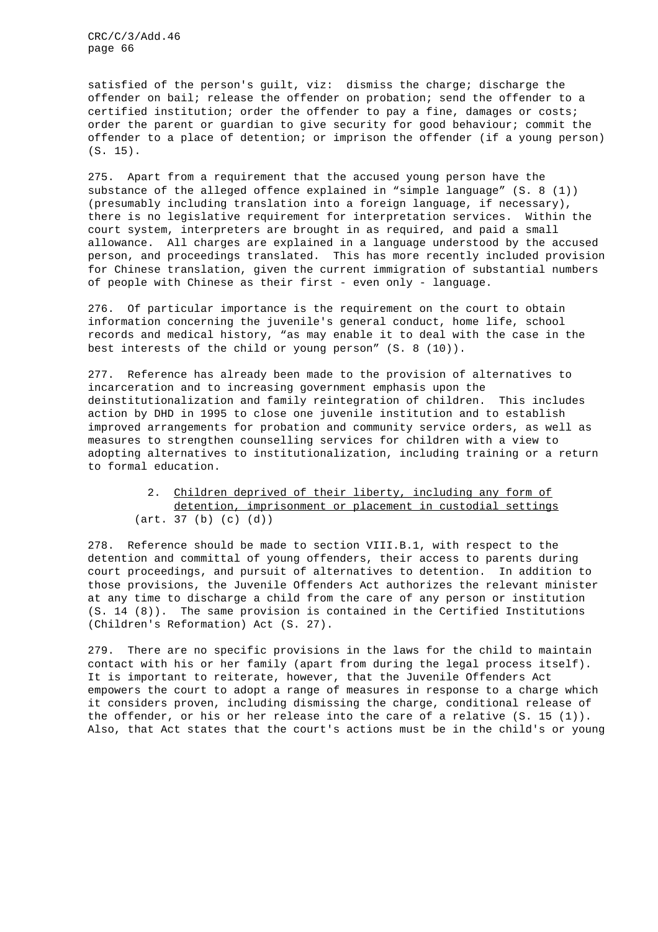satisfied of the person's guilt, viz: dismiss the charge; discharge the offender on bail; release the offender on probation; send the offender to a certified institution; order the offender to pay a fine, damages or costs; order the parent or guardian to give security for good behaviour; commit the offender to a place of detention; or imprison the offender (if a young person) (S. 15).

275. Apart from a requirement that the accused young person have the substance of the alleged offence explained in "simple language" (S. 8 (1)) (presumably including translation into a foreign language, if necessary), there is no legislative requirement for interpretation services. Within the court system, interpreters are brought in as required, and paid a small allowance. All charges are explained in a language understood by the accused person, and proceedings translated. This has more recently included provision for Chinese translation, given the current immigration of substantial numbers of people with Chinese as their first - even only - language.

276. Of particular importance is the requirement on the court to obtain information concerning the juvenile's general conduct, home life, school records and medical history, "as may enable it to deal with the case in the best interests of the child or young person" (S. 8 (10)).

277. Reference has already been made to the provision of alternatives to incarceration and to increasing government emphasis upon the deinstitutionalization and family reintegration of children. This includes action by DHD in 1995 to close one juvenile institution and to establish improved arrangements for probation and community service orders, as well as measures to strengthen counselling services for children with a view to adopting alternatives to institutionalization, including training or a return to formal education.

# 2. Children deprived of their liberty, including any form of detention, imprisonment or placement in custodial settings (art. 37 (b) (c) (d))

278. Reference should be made to section VIII.B.1, with respect to the detention and committal of young offenders, their access to parents during court proceedings, and pursuit of alternatives to detention. In addition to those provisions, the Juvenile Offenders Act authorizes the relevant minister at any time to discharge a child from the care of any person or institution (S. 14 (8)). The same provision is contained in the Certified Institutions (Children's Reformation) Act (S. 27).

279. There are no specific provisions in the laws for the child to maintain contact with his or her family (apart from during the legal process itself). It is important to reiterate, however, that the Juvenile Offenders Act empowers the court to adopt a range of measures in response to a charge which it considers proven, including dismissing the charge, conditional release of the offender, or his or her release into the care of a relative (S. 15 (1)). Also, that Act states that the court's actions must be in the child's or young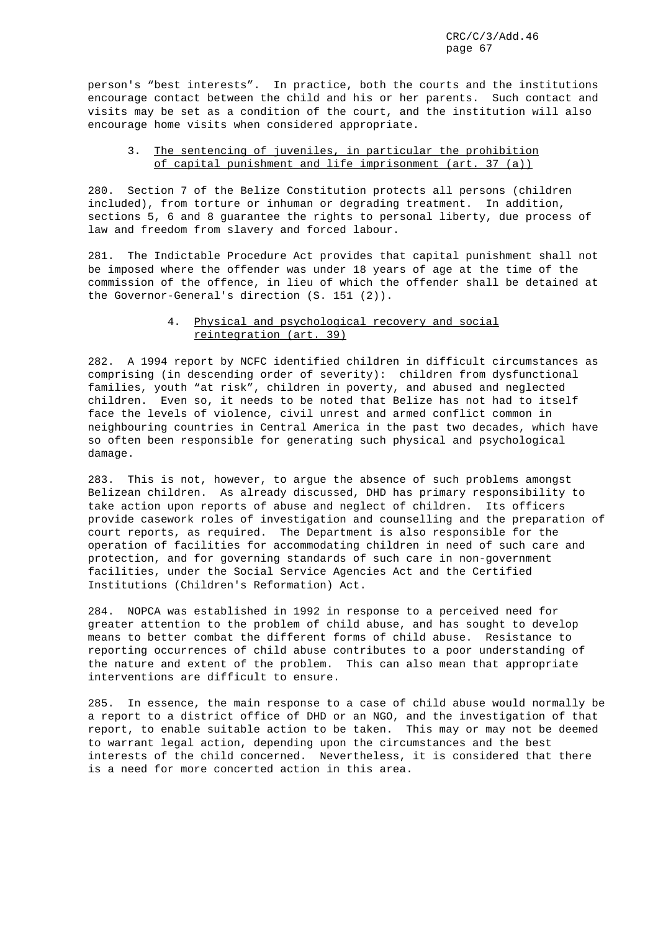person's "best interests". In practice, both the courts and the institutions encourage contact between the child and his or her parents. Such contact and visits may be set as a condition of the court, and the institution will also encourage home visits when considered appropriate.

# 3. The sentencing of juveniles, in particular the prohibition of capital punishment and life imprisonment (art. 37 (a))

280. Section 7 of the Belize Constitution protects all persons (children included), from torture or inhuman or degrading treatment. In addition, sections 5, 6 and 8 guarantee the rights to personal liberty, due process of law and freedom from slavery and forced labour.

281. The Indictable Procedure Act provides that capital punishment shall not be imposed where the offender was under 18 years of age at the time of the commission of the offence, in lieu of which the offender shall be detained at the Governor-General's direction (S. 151 (2)).

# 4. Physical and psychological recovery and social reintegration (art. 39)

282. A 1994 report by NCFC identified children in difficult circumstances as comprising (in descending order of severity): children from dysfunctional families, youth "at risk", children in poverty, and abused and neglected children. Even so, it needs to be noted that Belize has not had to itself face the levels of violence, civil unrest and armed conflict common in neighbouring countries in Central America in the past two decades, which have so often been responsible for generating such physical and psychological damage.

283. This is not, however, to argue the absence of such problems amongst Belizean children. As already discussed, DHD has primary responsibility to take action upon reports of abuse and neglect of children. Its officers provide casework roles of investigation and counselling and the preparation of court reports, as required. The Department is also responsible for the operation of facilities for accommodating children in need of such care and protection, and for governing standards of such care in non-government facilities, under the Social Service Agencies Act and the Certified Institutions (Children's Reformation) Act.

284. NOPCA was established in 1992 in response to a perceived need for greater attention to the problem of child abuse, and has sought to develop means to better combat the different forms of child abuse. Resistance to reporting occurrences of child abuse contributes to a poor understanding of the nature and extent of the problem. This can also mean that appropriate interventions are difficult to ensure.

285. In essence, the main response to a case of child abuse would normally be a report to a district office of DHD or an NGO, and the investigation of that report, to enable suitable action to be taken. This may or may not be deemed to warrant legal action, depending upon the circumstances and the best interests of the child concerned. Nevertheless, it is considered that there is a need for more concerted action in this area.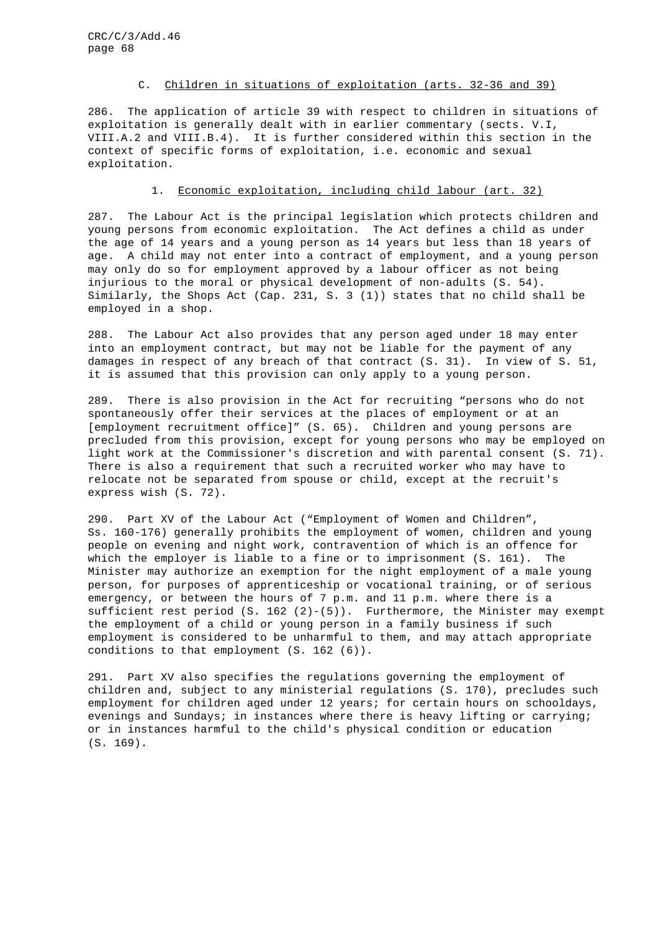# C. Children in situations of exploitation (arts. 32-36 and 39)

286. The application of article 39 with respect to children in situations of exploitation is generally dealt with in earlier commentary (sects. V.I, VIII.A.2 and VIII.B.4). It is further considered within this section in the context of specific forms of exploitation, i.e. economic and sexual exploitation.

# 1. Economic exploitation, including child labour (art. 32)

287. The Labour Act is the principal legislation which protects children and young persons from economic exploitation. The Act defines a child as under the age of 14 years and a young person as 14 years but less than 18 years of age. A child may not enter into a contract of employment, and a young person may only do so for employment approved by a labour officer as not being injurious to the moral or physical development of non-adults (S. 54). Similarly, the Shops Act (Cap. 231, S. 3 (1)) states that no child shall be employed in a shop.

288. The Labour Act also provides that any person aged under 18 may enter into an employment contract, but may not be liable for the payment of any damages in respect of any breach of that contract (S. 31). In view of S. 51, it is assumed that this provision can only apply to a young person.

289. There is also provision in the Act for recruiting "persons who do not spontaneously offer their services at the places of employment or at an [employment recruitment office]" (S. 65). Children and young persons are precluded from this provision, except for young persons who may be employed on light work at the Commissioner's discretion and with parental consent (S. 71). There is also a requirement that such a recruited worker who may have to relocate not be separated from spouse or child, except at the recruit's express wish (S. 72).

290. Part XV of the Labour Act ("Employment of Women and Children", Ss. 160-176) generally prohibits the employment of women, children and young people on evening and night work, contravention of which is an offence for which the employer is liable to a fine or to imprisonment (S. 161). The Minister may authorize an exemption for the night employment of a male young person, for purposes of apprenticeship or vocational training, or of serious emergency, or between the hours of 7 p.m. and 11 p.m. where there is a sufficient rest period  $(S. 162 (2)-(5))$ . Furthermore, the Minister may exempt the employment of a child or young person in a family business if such employment is considered to be unharmful to them, and may attach appropriate conditions to that employment (S. 162 (6)).

291. Part XV also specifies the regulations governing the employment of children and, subject to any ministerial regulations (S. 170), precludes such employment for children aged under 12 years; for certain hours on schooldays, evenings and Sundays; in instances where there is heavy lifting or carrying; or in instances harmful to the child's physical condition or education (S. 169).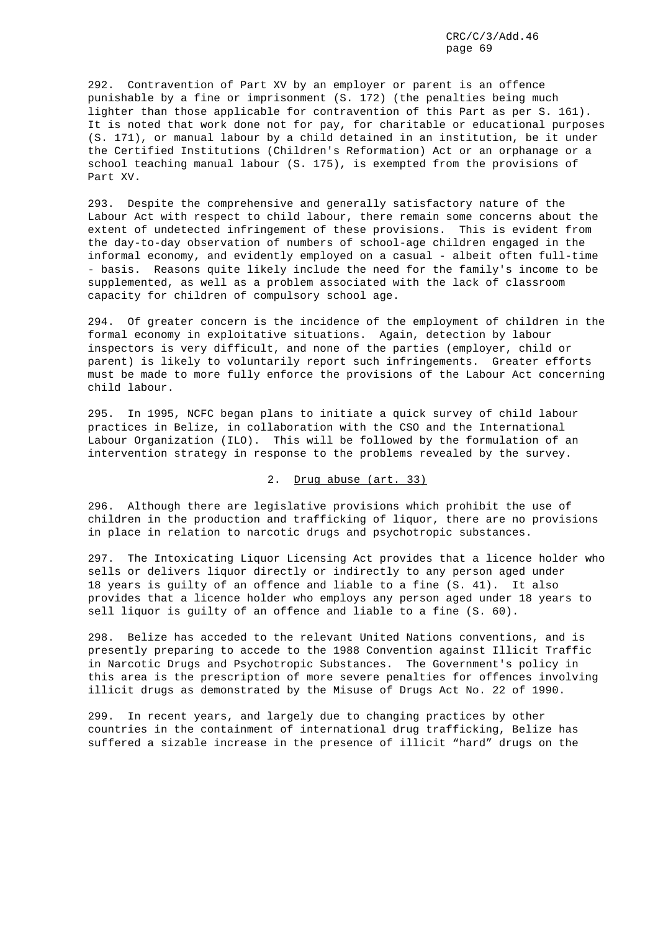292. Contravention of Part XV by an employer or parent is an offence punishable by a fine or imprisonment (S. 172) (the penalties being much lighter than those applicable for contravention of this Part as per S. 161). It is noted that work done not for pay, for charitable or educational purposes (S. 171), or manual labour by a child detained in an institution, be it under the Certified Institutions (Children's Reformation) Act or an orphanage or a school teaching manual labour (S. 175), is exempted from the provisions of Part XV.

293. Despite the comprehensive and generally satisfactory nature of the Labour Act with respect to child labour, there remain some concerns about the extent of undetected infringement of these provisions. This is evident from the day-to-day observation of numbers of school-age children engaged in the informal economy, and evidently employed on a casual - albeit often full-time - basis. Reasons quite likely include the need for the family's income to be supplemented, as well as a problem associated with the lack of classroom capacity for children of compulsory school age.

294. Of greater concern is the incidence of the employment of children in the formal economy in exploitative situations. Again, detection by labour inspectors is very difficult, and none of the parties (employer, child or parent) is likely to voluntarily report such infringements. Greater efforts must be made to more fully enforce the provisions of the Labour Act concerning child labour.

295. In 1995, NCFC began plans to initiate a quick survey of child labour practices in Belize, in collaboration with the CSO and the International Labour Organization (ILO). This will be followed by the formulation of an intervention strategy in response to the problems revealed by the survey.

2. Drug abuse (art. 33)

296. Although there are legislative provisions which prohibit the use of children in the production and trafficking of liquor, there are no provisions in place in relation to narcotic drugs and psychotropic substances.

297. The Intoxicating Liquor Licensing Act provides that a licence holder who sells or delivers liquor directly or indirectly to any person aged under 18 years is guilty of an offence and liable to a fine (S. 41). It also provides that a licence holder who employs any person aged under 18 years to sell liquor is guilty of an offence and liable to a fine (S. 60).

298. Belize has acceded to the relevant United Nations conventions, and is presently preparing to accede to the 1988 Convention against Illicit Traffic in Narcotic Drugs and Psychotropic Substances. The Government's policy in this area is the prescription of more severe penalties for offences involving illicit drugs as demonstrated by the Misuse of Drugs Act No. 22 of 1990.

299. In recent years, and largely due to changing practices by other countries in the containment of international drug trafficking, Belize has suffered a sizable increase in the presence of illicit "hard" drugs on the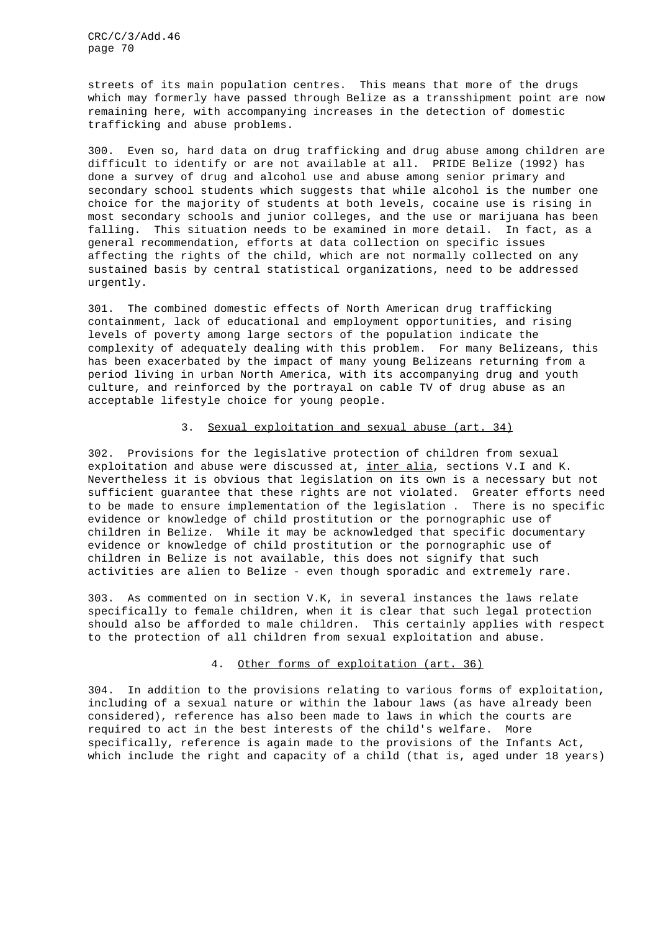streets of its main population centres. This means that more of the drugs which may formerly have passed through Belize as a transshipment point are now remaining here, with accompanying increases in the detection of domestic trafficking and abuse problems.

300. Even so, hard data on drug trafficking and drug abuse among children are difficult to identify or are not available at all. PRIDE Belize (1992) has done a survey of drug and alcohol use and abuse among senior primary and secondary school students which suggests that while alcohol is the number one choice for the majority of students at both levels, cocaine use is rising in most secondary schools and junior colleges, and the use or marijuana has been falling. This situation needs to be examined in more detail. In fact, as a general recommendation, efforts at data collection on specific issues affecting the rights of the child, which are not normally collected on any sustained basis by central statistical organizations, need to be addressed urgently.

301. The combined domestic effects of North American drug trafficking containment, lack of educational and employment opportunities, and rising levels of poverty among large sectors of the population indicate the complexity of adequately dealing with this problem. For many Belizeans, this has been exacerbated by the impact of many young Belizeans returning from a period living in urban North America, with its accompanying drug and youth culture, and reinforced by the portrayal on cable TV of drug abuse as an acceptable lifestyle choice for young people.

#### 3. Sexual exploitation and sexual abuse (art. 34)

302. Provisions for the legislative protection of children from sexual exploitation and abuse were discussed at, inter alia, sections V.I and K. Nevertheless it is obvious that legislation on its own is a necessary but not sufficient guarantee that these rights are not violated. Greater efforts need to be made to ensure implementation of the legislation . There is no specific evidence or knowledge of child prostitution or the pornographic use of children in Belize. While it may be acknowledged that specific documentary evidence or knowledge of child prostitution or the pornographic use of children in Belize is not available, this does not signify that such activities are alien to Belize - even though sporadic and extremely rare.

303. As commented on in section V.K, in several instances the laws relate specifically to female children, when it is clear that such legal protection should also be afforded to male children. This certainly applies with respect to the protection of all children from sexual exploitation and abuse.

#### 4. Other forms of exploitation (art. 36)

304. In addition to the provisions relating to various forms of exploitation, including of a sexual nature or within the labour laws (as have already been considered), reference has also been made to laws in which the courts are required to act in the best interests of the child's welfare. More specifically, reference is again made to the provisions of the Infants Act, which include the right and capacity of a child (that is, aged under 18 years)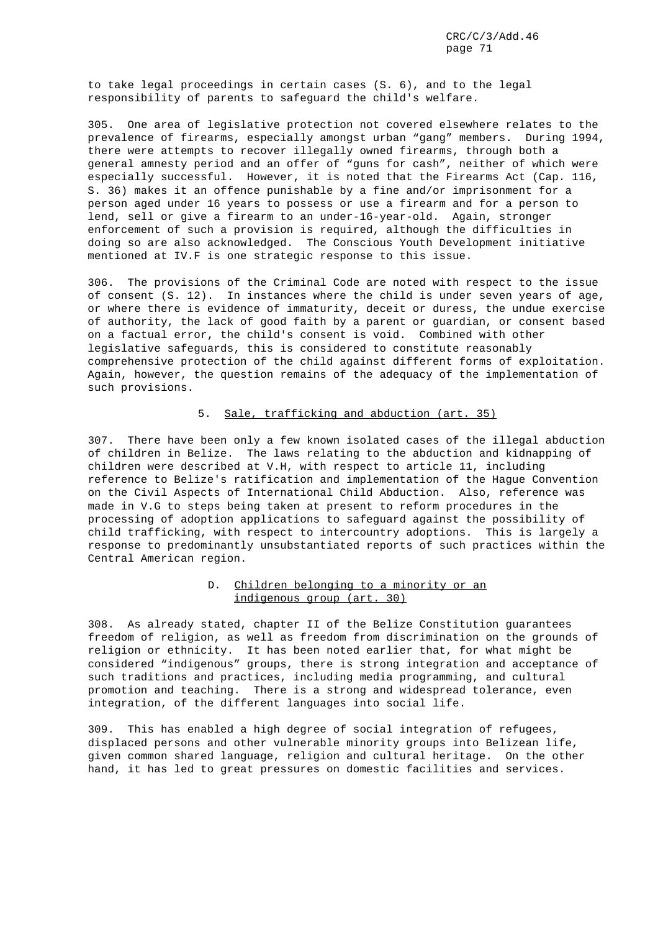to take legal proceedings in certain cases (S. 6), and to the legal responsibility of parents to safeguard the child's welfare.

305. One area of legislative protection not covered elsewhere relates to the prevalence of firearms, especially amongst urban "gang" members. During 1994, there were attempts to recover illegally owned firearms, through both a general amnesty period and an offer of "guns for cash", neither of which were especially successful. However, it is noted that the Firearms Act (Cap. 116, S. 36) makes it an offence punishable by a fine and/or imprisonment for a person aged under 16 years to possess or use a firearm and for a person to lend, sell or give a firearm to an under-16-year-old. Again, stronger enforcement of such a provision is required, although the difficulties in doing so are also acknowledged. The Conscious Youth Development initiative mentioned at IV.F is one strategic response to this issue.

306. The provisions of the Criminal Code are noted with respect to the issue of consent (S. 12). In instances where the child is under seven years of age, or where there is evidence of immaturity, deceit or duress, the undue exercise of authority, the lack of good faith by a parent or guardian, or consent based on a factual error, the child's consent is void. Combined with other legislative safeguards, this is considered to constitute reasonably comprehensive protection of the child against different forms of exploitation. Again, however, the question remains of the adequacy of the implementation of such provisions.

### 5. Sale, trafficking and abduction (art. 35)

307. There have been only a few known isolated cases of the illegal abduction of children in Belize. The laws relating to the abduction and kidnapping of children were described at V.H, with respect to article 11, including reference to Belize's ratification and implementation of the Hague Convention on the Civil Aspects of International Child Abduction. Also, reference was made in V.G to steps being taken at present to reform procedures in the processing of adoption applications to safeguard against the possibility of child trafficking, with respect to intercountry adoptions. This is largely a response to predominantly unsubstantiated reports of such practices within the Central American region.

# D. Children belonging to a minority or an indigenous group (art. 30)

308. As already stated, chapter II of the Belize Constitution guarantees freedom of religion, as well as freedom from discrimination on the grounds of religion or ethnicity. It has been noted earlier that, for what might be considered "indigenous" groups, there is strong integration and acceptance of such traditions and practices, including media programming, and cultural promotion and teaching. There is a strong and widespread tolerance, even integration, of the different languages into social life.

309. This has enabled a high degree of social integration of refugees, displaced persons and other vulnerable minority groups into Belizean life, given common shared language, religion and cultural heritage. On the other hand, it has led to great pressures on domestic facilities and services.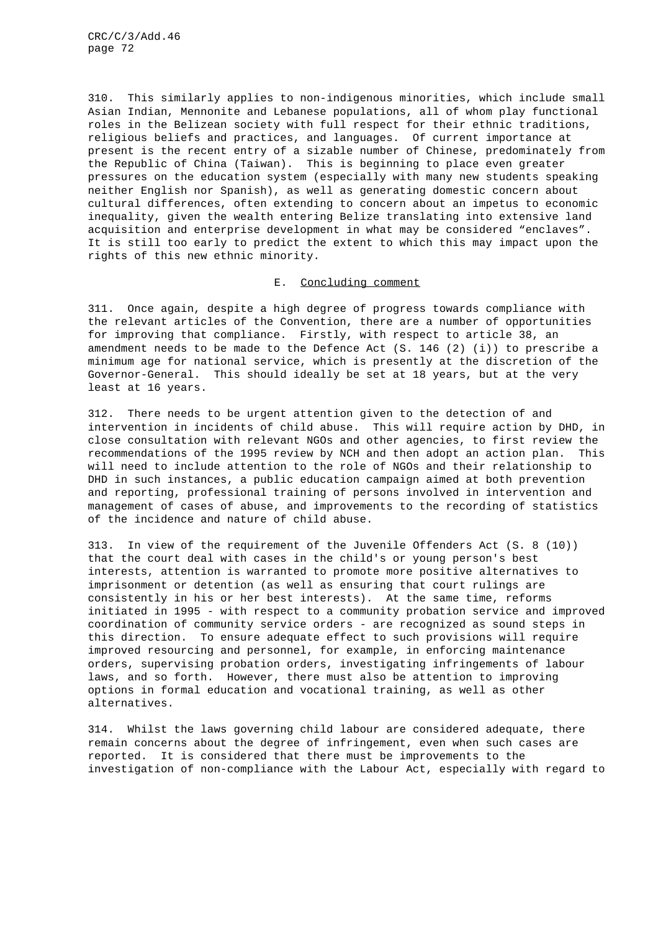310. This similarly applies to non-indigenous minorities, which include small Asian Indian, Mennonite and Lebanese populations, all of whom play functional roles in the Belizean society with full respect for their ethnic traditions, religious beliefs and practices, and languages. Of current importance at present is the recent entry of a sizable number of Chinese, predominately from the Republic of China (Taiwan). This is beginning to place even greater pressures on the education system (especially with many new students speaking neither English nor Spanish), as well as generating domestic concern about cultural differences, often extending to concern about an impetus to economic inequality, given the wealth entering Belize translating into extensive land acquisition and enterprise development in what may be considered "enclaves". It is still too early to predict the extent to which this may impact upon the rights of this new ethnic minority.

## E. Concluding comment

311. Once again, despite a high degree of progress towards compliance with the relevant articles of the Convention, there are a number of opportunities for improving that compliance. Firstly, with respect to article 38, an amendment needs to be made to the Defence Act (S. 146 (2) (i)) to prescribe a minimum age for national service, which is presently at the discretion of the Governor-General. This should ideally be set at 18 years, but at the very least at 16 years.

312. There needs to be urgent attention given to the detection of and intervention in incidents of child abuse. This will require action by DHD, in close consultation with relevant NGOs and other agencies, to first review the recommendations of the 1995 review by NCH and then adopt an action plan. This will need to include attention to the role of NGOs and their relationship to DHD in such instances, a public education campaign aimed at both prevention and reporting, professional training of persons involved in intervention and management of cases of abuse, and improvements to the recording of statistics of the incidence and nature of child abuse.

313. In view of the requirement of the Juvenile Offenders Act (S. 8 (10)) that the court deal with cases in the child's or young person's best interests, attention is warranted to promote more positive alternatives to imprisonment or detention (as well as ensuring that court rulings are consistently in his or her best interests). At the same time, reforms initiated in 1995 - with respect to a community probation service and improved coordination of community service orders - are recognized as sound steps in this direction. To ensure adequate effect to such provisions will require improved resourcing and personnel, for example, in enforcing maintenance orders, supervising probation orders, investigating infringements of labour laws, and so forth. However, there must also be attention to improving options in formal education and vocational training, as well as other alternatives.

314. Whilst the laws governing child labour are considered adequate, there remain concerns about the degree of infringement, even when such cases are reported. It is considered that there must be improvements to the investigation of non-compliance with the Labour Act, especially with regard to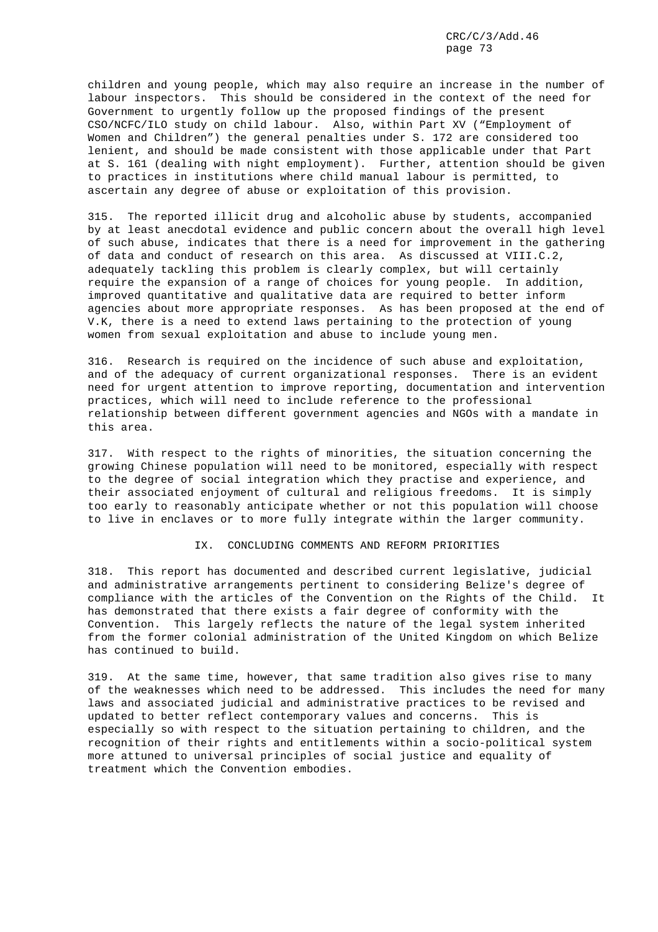children and young people, which may also require an increase in the number of labour inspectors. This should be considered in the context of the need for Government to urgently follow up the proposed findings of the present CSO/NCFC/ILO study on child labour. Also, within Part XV ("Employment of Women and Children") the general penalties under S. 172 are considered too lenient, and should be made consistent with those applicable under that Part at S. 161 (dealing with night employment). Further, attention should be given to practices in institutions where child manual labour is permitted, to ascertain any degree of abuse or exploitation of this provision.

315. The reported illicit drug and alcoholic abuse by students, accompanied by at least anecdotal evidence and public concern about the overall high level of such abuse, indicates that there is a need for improvement in the gathering of data and conduct of research on this area. As discussed at VIII.C.2, adequately tackling this problem is clearly complex, but will certainly require the expansion of a range of choices for young people. In addition, improved quantitative and qualitative data are required to better inform agencies about more appropriate responses. As has been proposed at the end of V.K, there is a need to extend laws pertaining to the protection of young women from sexual exploitation and abuse to include young men.

316. Research is required on the incidence of such abuse and exploitation, and of the adequacy of current organizational responses. There is an evident need for urgent attention to improve reporting, documentation and intervention practices, which will need to include reference to the professional relationship between different government agencies and NGOs with a mandate in this area.

317. With respect to the rights of minorities, the situation concerning the growing Chinese population will need to be monitored, especially with respect to the degree of social integration which they practise and experience, and their associated enjoyment of cultural and religious freedoms. It is simply too early to reasonably anticipate whether or not this population will choose to live in enclaves or to more fully integrate within the larger community.

## IX. CONCLUDING COMMENTS AND REFORM PRIORITIES

318. This report has documented and described current legislative, judicial and administrative arrangements pertinent to considering Belize's degree of compliance with the articles of the Convention on the Rights of the Child. It has demonstrated that there exists a fair degree of conformity with the Convention. This largely reflects the nature of the legal system inherited from the former colonial administration of the United Kingdom on which Belize has continued to build.

319. At the same time, however, that same tradition also gives rise to many of the weaknesses which need to be addressed. This includes the need for many laws and associated judicial and administrative practices to be revised and updated to better reflect contemporary values and concerns. This is especially so with respect to the situation pertaining to children, and the recognition of their rights and entitlements within a socio-political system more attuned to universal principles of social justice and equality of treatment which the Convention embodies.